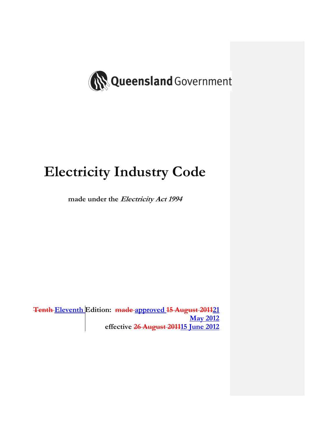

# **Electricity Industry Code**

**made under the Electricity Act 1994** 

**Tenth Eleventh Edition: made approved 15 August 201121 May 2012 effective 26 August 201115 June 2012**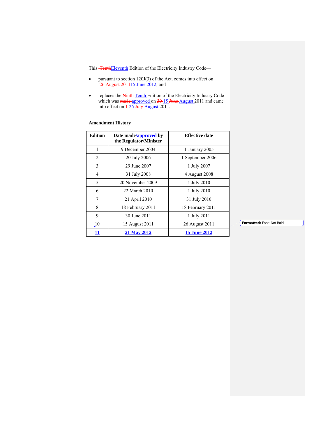This **TenthEleventh** Edition of the Electricity Industry Code—

- pursuant to section 120J(3) of the Act, comes into effect on 26 August 201115 June 2012; and
- replaces the Ninth-Tenth Edition of the Electricity Industry Code which was made approved on 30-15 June August 2011 and came into effect on  $\frac{1-26 \text{ July August}}{2011}$ .

# **Amendment History**

| <b>Edition</b> | Date made/approved by<br>the Regulator/Minister | <b>Effective date</b> |
|----------------|-------------------------------------------------|-----------------------|
| 1              | 9 December 2004                                 | 1 January 2005        |
| $\overline{2}$ | 20 July 2006                                    | 1 September 2006      |
| 3              | 29 June 2007                                    | 1 July 2007           |
| 4              | 31 July 2008                                    | 4 August 2008         |
| 5              | 20 November 2009                                | 1 July 2010           |
| 6              | 22 March 2010                                   | 1 July 2010           |
| 7              | 21 April 2010                                   | 31 July 2010          |
| 8              | 18 February 2011                                | 18 February 2011      |
| 9              | 30 June 2011                                    | 1 July 2011           |
| $\Lambda$      | 15 August 2011                                  | 26 August 2011        |
| 11             | <b>21 May 2012</b>                              | <b>15 June 2012</b>   |

**Formatted:** Font: Not Bold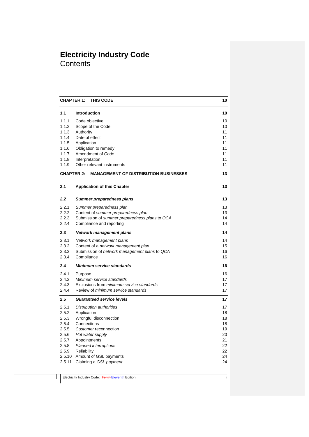# **Electricity Industry Code Contents**

| 1.1<br><b>Introduction</b><br>1.1.1<br>Code objective<br>1.1.2<br>Scope of the Code<br>1.1.3<br>Authority<br>1.1.4<br>Date of effect<br>11<br>1.1.5<br>11<br>Application<br>11<br>1.1.6<br>Obligation to remedy<br>1.1.7<br>Amendment of Code<br>11<br>1.1.8<br>11<br>Interpretation<br>1.1.9<br>Other relevant instruments<br>11<br><b>CHAPTER 2:</b><br><b>MANAGEMENT OF DISTRIBUTION BUSINESSES</b><br>2.1<br><b>Application of this Chapter</b><br>2.2<br>Summer preparedness plans<br>2.2.1<br>Summer preparedness plan<br>2.2.2<br>Content of summer preparedness plan<br>2.2.3<br>Submission of summer preparedness plans to QCA<br>2.2.4<br>Compliance and reporting | <b>THIS CODE</b><br>10<br><b>CHAPTER 1:</b> |    |  |
|------------------------------------------------------------------------------------------------------------------------------------------------------------------------------------------------------------------------------------------------------------------------------------------------------------------------------------------------------------------------------------------------------------------------------------------------------------------------------------------------------------------------------------------------------------------------------------------------------------------------------------------------------------------------------|---------------------------------------------|----|--|
|                                                                                                                                                                                                                                                                                                                                                                                                                                                                                                                                                                                                                                                                              |                                             | 10 |  |
|                                                                                                                                                                                                                                                                                                                                                                                                                                                                                                                                                                                                                                                                              |                                             | 10 |  |
|                                                                                                                                                                                                                                                                                                                                                                                                                                                                                                                                                                                                                                                                              |                                             | 10 |  |
|                                                                                                                                                                                                                                                                                                                                                                                                                                                                                                                                                                                                                                                                              |                                             | 11 |  |
|                                                                                                                                                                                                                                                                                                                                                                                                                                                                                                                                                                                                                                                                              |                                             |    |  |
|                                                                                                                                                                                                                                                                                                                                                                                                                                                                                                                                                                                                                                                                              |                                             |    |  |
|                                                                                                                                                                                                                                                                                                                                                                                                                                                                                                                                                                                                                                                                              |                                             |    |  |
|                                                                                                                                                                                                                                                                                                                                                                                                                                                                                                                                                                                                                                                                              |                                             |    |  |
|                                                                                                                                                                                                                                                                                                                                                                                                                                                                                                                                                                                                                                                                              |                                             |    |  |
|                                                                                                                                                                                                                                                                                                                                                                                                                                                                                                                                                                                                                                                                              |                                             |    |  |
|                                                                                                                                                                                                                                                                                                                                                                                                                                                                                                                                                                                                                                                                              |                                             | 13 |  |
|                                                                                                                                                                                                                                                                                                                                                                                                                                                                                                                                                                                                                                                                              |                                             | 13 |  |
|                                                                                                                                                                                                                                                                                                                                                                                                                                                                                                                                                                                                                                                                              |                                             | 13 |  |
|                                                                                                                                                                                                                                                                                                                                                                                                                                                                                                                                                                                                                                                                              |                                             | 13 |  |
|                                                                                                                                                                                                                                                                                                                                                                                                                                                                                                                                                                                                                                                                              |                                             | 13 |  |
|                                                                                                                                                                                                                                                                                                                                                                                                                                                                                                                                                                                                                                                                              |                                             | 14 |  |
|                                                                                                                                                                                                                                                                                                                                                                                                                                                                                                                                                                                                                                                                              |                                             | 14 |  |
| 2.3<br>Network management plans                                                                                                                                                                                                                                                                                                                                                                                                                                                                                                                                                                                                                                              |                                             | 14 |  |
| 2.3.1<br>Network management plans                                                                                                                                                                                                                                                                                                                                                                                                                                                                                                                                                                                                                                            |                                             | 14 |  |
| 2.3.2<br>Content of a network management plan                                                                                                                                                                                                                                                                                                                                                                                                                                                                                                                                                                                                                                |                                             | 15 |  |
| 2.3.3<br>Submission of network management plans to QCA                                                                                                                                                                                                                                                                                                                                                                                                                                                                                                                                                                                                                       |                                             | 16 |  |
| 2.3.4<br>Compliance                                                                                                                                                                                                                                                                                                                                                                                                                                                                                                                                                                                                                                                          |                                             | 16 |  |
| 2.4<br><b>Minimum service standards</b>                                                                                                                                                                                                                                                                                                                                                                                                                                                                                                                                                                                                                                      |                                             | 16 |  |
| 2.4.1<br>Purpose                                                                                                                                                                                                                                                                                                                                                                                                                                                                                                                                                                                                                                                             |                                             | 16 |  |
| 2.4.2<br>Minimum service standards                                                                                                                                                                                                                                                                                                                                                                                                                                                                                                                                                                                                                                           |                                             | 17 |  |
| 2.4.3<br>Exclusions from <i>minimum</i> service standards                                                                                                                                                                                                                                                                                                                                                                                                                                                                                                                                                                                                                    |                                             | 17 |  |
| 2.4.4<br>Review of <i>minimum</i> service standards                                                                                                                                                                                                                                                                                                                                                                                                                                                                                                                                                                                                                          |                                             | 17 |  |
| 2.5<br><b>Guaranteed service levels</b>                                                                                                                                                                                                                                                                                                                                                                                                                                                                                                                                                                                                                                      |                                             | 17 |  |
| 2.5.1<br>Distribution authorities                                                                                                                                                                                                                                                                                                                                                                                                                                                                                                                                                                                                                                            |                                             | 17 |  |
| 2.5.2<br>Application                                                                                                                                                                                                                                                                                                                                                                                                                                                                                                                                                                                                                                                         |                                             | 18 |  |
| Wrongful disconnection<br>2.5.3                                                                                                                                                                                                                                                                                                                                                                                                                                                                                                                                                                                                                                              |                                             | 18 |  |
| Connections<br>2.5.4                                                                                                                                                                                                                                                                                                                                                                                                                                                                                                                                                                                                                                                         |                                             | 18 |  |
| 2.5.5<br>Customer reconnection                                                                                                                                                                                                                                                                                                                                                                                                                                                                                                                                                                                                                                               |                                             | 19 |  |
| 2.5.6<br>Hot water supply                                                                                                                                                                                                                                                                                                                                                                                                                                                                                                                                                                                                                                                    |                                             | 20 |  |
| 2.5.7<br>Appointments                                                                                                                                                                                                                                                                                                                                                                                                                                                                                                                                                                                                                                                        |                                             | 21 |  |
| 2.5.8<br>Planned interruptions                                                                                                                                                                                                                                                                                                                                                                                                                                                                                                                                                                                                                                               |                                             | 22 |  |
| 2.5.9<br>Reliability                                                                                                                                                                                                                                                                                                                                                                                                                                                                                                                                                                                                                                                         |                                             | 22 |  |
| 2.5.10<br>Amount of GSL payments                                                                                                                                                                                                                                                                                                                                                                                                                                                                                                                                                                                                                                             |                                             | 24 |  |
| 2.5.11<br>Claiming a GSL payment                                                                                                                                                                                                                                                                                                                                                                                                                                                                                                                                                                                                                                             |                                             | 24 |  |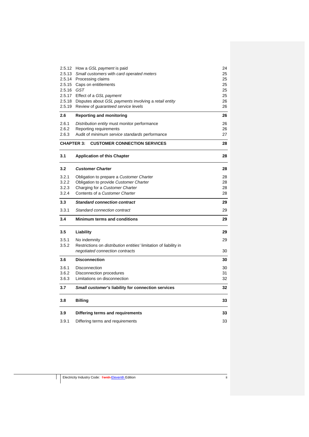|                   | 2.5.12 How a GSL payment is paid                                         | 24 |
|-------------------|--------------------------------------------------------------------------|----|
| 2.5.13            | Small customers with card operated meters                                | 25 |
|                   | 2.5.14 Processing claims                                                 | 25 |
| 2.5.15            | Caps on entitlements                                                     | 25 |
| 2.5.16 GST        |                                                                          | 25 |
| 2.5.17            | Effect of a GSL payment                                                  | 25 |
|                   | 2.5.18 Disputes about GSL payments involving a retail entity             | 26 |
| 2.5.19            | Review of <i>guaranteed</i> service levels                               | 26 |
| 2.6               | <b>Reporting and monitoring</b>                                          | 26 |
| 2.6.1             | Distribution entity must monitor performance                             | 26 |
| 2.6.2             | Reporting requirements                                                   | 26 |
| 2.6.3             | Audit of <i>minimum service standards</i> performance                    | 27 |
| <b>CHAPTER 3:</b> | <b>CUSTOMER CONNECTION SERVICES</b>                                      | 28 |
| 3.1               | <b>Application of this Chapter</b>                                       | 28 |
| 3.2               | <b>Customer Charter</b>                                                  | 28 |
| 3.2.1             | Obligation to prepare a Customer Charter                                 | 28 |
| 3.2.2             | Obligation to provide Customer Charter                                   | 28 |
| 3.2.3             | Charging for a Customer Charter                                          |    |
| 3.2.4             | Contents of a Customer Charter                                           | 28 |
| 3.3               | <b>Standard connection contract</b>                                      | 29 |
| 3.3.1             | Standard connection contract                                             | 29 |
| 3.4               | <b>Minimum terms and conditions</b>                                      | 29 |
| 3.5               | Liability                                                                | 29 |
| 3.5.1             | No indemnity                                                             | 29 |
| 3.5.2             | Restrictions on <i>distribution entities'</i> limitation of liability in |    |
|                   | negotiated connection contracts                                          | 30 |
| 3.6               | <b>Disconnection</b>                                                     | 30 |
| 3.6.1             | Disconnection                                                            | 30 |
| 3.6.2             | Disconnection procedures                                                 | 31 |
| 3.6.3             | Limitations on disconnection                                             | 32 |
| 3.7               | Small customer's liability for connection services                       | 32 |
| 3.8               | <b>Billing</b>                                                           | 33 |
| 3.9               | Differing terms and requirements                                         | 33 |
| 3.9.1             | Differing terms and requirements                                         |    |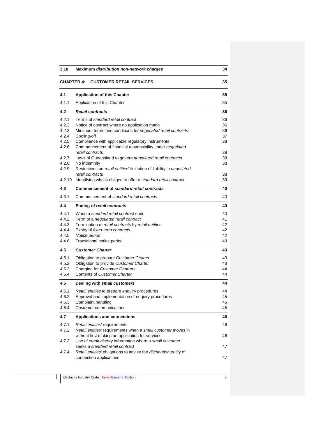| 3.10                                                                          | Maximum distribution non-network charges                                                                                                                                                                                                                                                                                                                                                                                                                     | 34                                           |  |
|-------------------------------------------------------------------------------|--------------------------------------------------------------------------------------------------------------------------------------------------------------------------------------------------------------------------------------------------------------------------------------------------------------------------------------------------------------------------------------------------------------------------------------------------------------|----------------------------------------------|--|
|                                                                               | <b>CHAPTER 4:</b><br><b>CUSTOMER RETAIL SERVICES</b><br>35                                                                                                                                                                                                                                                                                                                                                                                                   |                                              |  |
| 4.1                                                                           | <b>Application of this Chapter</b>                                                                                                                                                                                                                                                                                                                                                                                                                           | 35                                           |  |
| 4.1.1                                                                         | Application of this Chapter                                                                                                                                                                                                                                                                                                                                                                                                                                  | 35                                           |  |
| 4.2                                                                           | <b>Retail contracts</b>                                                                                                                                                                                                                                                                                                                                                                                                                                      | 36                                           |  |
| 4.2.1<br>4.2.2<br>4.2.3<br>4.2.4<br>4.2.5<br>4.2.6<br>4.2.7<br>4.2.8<br>4.2.9 | Terms of standard retail contract<br>Notice of contract where no application made<br>Minimum terms and conditions for negotiated retail contracts<br>Cooling-off<br>Compliance with applicable regulatory instruments<br>Commencement of financial responsibility under negotiated<br>retail contracts<br>Laws of Queensland to govern negotiated retail contracts<br>No indemnity<br>Restrictions on retail entities' limitation of liability in negotiated | 36<br>36<br>36<br>37<br>38<br>38<br>38<br>38 |  |
|                                                                               | retail contracts                                                                                                                                                                                                                                                                                                                                                                                                                                             | 38                                           |  |
| 4.2.10                                                                        | Identifying who is obliged to offer a standard retail contract                                                                                                                                                                                                                                                                                                                                                                                               | 39                                           |  |
| 4.3<br>4.3.1                                                                  | Commencement of standard retail contracts<br>Commencement of standard retail contracts                                                                                                                                                                                                                                                                                                                                                                       | 40                                           |  |
| 4.4                                                                           |                                                                                                                                                                                                                                                                                                                                                                                                                                                              | 40<br>40                                     |  |
| 4.4.1<br>4.4.2<br>4.4.3<br>4.4.4<br>4.4.5<br>4.4.6                            | <b>Ending of retail contracts</b><br>When a standard retail contract ends<br>Term of a negotiated retail contract<br>Termination of retail contracts by retail entities<br>Expiry of fixed-term contracts<br>Notice period<br>Transitional notice period                                                                                                                                                                                                     | 40<br>41<br>42<br>42<br>42<br>43             |  |
| 4.5                                                                           | <b>Customer Charter</b>                                                                                                                                                                                                                                                                                                                                                                                                                                      | 43                                           |  |
| 4.5.1<br>4.5.2<br>4.5.3<br>4.5.4                                              | Obligation to prepare Customer Charter<br>Obligation to provide Customer Charter<br>Charging for Customer Charters<br><b>Contents of Customer Charter</b>                                                                                                                                                                                                                                                                                                    | 43<br>43<br>44<br>44                         |  |
| 4.6                                                                           | Dealing with small customers                                                                                                                                                                                                                                                                                                                                                                                                                                 | 44                                           |  |
| 4.6.1<br>4.6.2<br>4.6.3<br>4.6.4                                              | Retail entities to prepare enquiry procedures<br>Approval and implementation of enquiry procedures<br>Complaint handling<br><b>Customer communications</b>                                                                                                                                                                                                                                                                                                   | 44<br>45<br>45<br>45                         |  |
| 4.7                                                                           | Applications and connections                                                                                                                                                                                                                                                                                                                                                                                                                                 | 46                                           |  |
| 4.7.1<br>4.7.2<br>4.7.3                                                       | Retail entities' requirements<br>Retail entities' requirements when a small customer moves in<br>without first making an application for services<br>Use of credit history information where a small customer                                                                                                                                                                                                                                                | 46<br>46                                     |  |
| 4.7.4                                                                         | seeks a standard retail contract<br>Retail entities' obligations to advise the distribution entity of<br>connection applications                                                                                                                                                                                                                                                                                                                             | 47<br>47                                     |  |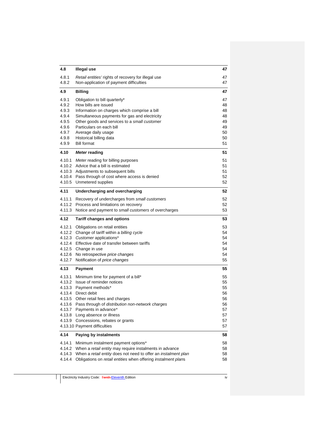| 4.8                                                                           | <b>Illegal use</b>                                                                                                                                                                                                                                                                                                                         | 47                                                       |
|-------------------------------------------------------------------------------|--------------------------------------------------------------------------------------------------------------------------------------------------------------------------------------------------------------------------------------------------------------------------------------------------------------------------------------------|----------------------------------------------------------|
| 4.8.1<br>4.8.2                                                                | Retail entities' rights of recovery for illegal use<br>Non-application of payment difficulties                                                                                                                                                                                                                                             | 47<br>47                                                 |
| 4.9                                                                           | <b>Billing</b>                                                                                                                                                                                                                                                                                                                             | 47                                                       |
| 4.9.1<br>4.9.2<br>4.9.3<br>4.9.4<br>4.9.5<br>4.9.6<br>4.9.7<br>4.9.8<br>4.9.9 | Obligation to bill quarterly*<br>How bills are issued<br>Information on charges which comprise a bill<br>Simultaneous payments for gas and electricity<br>Other goods and services to a small customer<br>Particulars on each bill<br>Average daily usage<br>Historical billing data<br><b>Bill format</b>                                 | 47<br>48<br>48<br>48<br>49<br>49<br>50<br>50<br>51       |
| 4.10                                                                          | <b>Meter reading</b>                                                                                                                                                                                                                                                                                                                       | 51                                                       |
| 4.10.1<br>4.10.5                                                              | Meter reading for billing purposes<br>4.10.2 Advice that a bill is estimated<br>4.10.3 Adjustments to subsequent bills<br>4.10.4 Pass through of cost where access is denied<br>Unmetered supplies                                                                                                                                         | 51<br>51<br>51<br>52<br>52                               |
| 4.11                                                                          | Undercharging and overcharging                                                                                                                                                                                                                                                                                                             | 52                                                       |
| 4.11.1<br>4.11.2<br>4.11.3                                                    | Recovery of undercharges from small customers<br>Process and limitations on recovery<br>Notice and payment to small customers of overcharges                                                                                                                                                                                               | 52<br>52<br>53                                           |
| 4.12                                                                          | <b>Tariff changes and options</b>                                                                                                                                                                                                                                                                                                          | 53                                                       |
| 4.12.1<br>4.12.2<br>4.12.3<br>4.12.6<br>4.12.7                                | Obligations on retail entities<br>Change of tariff within a billing cycle<br>Customer applications*<br>4.12.4 Effective date of transfer between tariffs<br>4.12.5 Change in use<br>No retrospective price changes<br>Notification of price changes                                                                                        | 53<br>54<br>54<br>54<br>54<br>54<br>55                   |
| 4.13                                                                          | <b>Payment</b>                                                                                                                                                                                                                                                                                                                             | 55                                                       |
| 4.13.1<br>4.13.2<br>4.13.3<br>4.13.4<br>4.13.6                                | Minimum time for payment of a bill*<br>Issue of reminder notices<br>Payment methods*<br>Direct debit<br>4.13.5 Other retail fees and charges<br>Pass through of distribution non-network charges<br>4.13.7 Payments in advance*<br>4.13.8 Long absence or illness<br>4.13.9 Concessions, rebates or grants<br>4.13.10 Payment difficulties | 55<br>55<br>55<br>56<br>56<br>56<br>57<br>57<br>57<br>57 |
| 4.14                                                                          | Paying by instalments                                                                                                                                                                                                                                                                                                                      | 58                                                       |
| 4.14.1<br>4.14.2<br>4.14.3<br>4.14.4                                          | Minimum instalment payment options*<br>When a retail entity may require instalments in advance<br>When a retail entity does not need to offer an instalment plan<br>Obligations on retail entities when offering instalment plans                                                                                                          | 58<br>58<br>58<br>58                                     |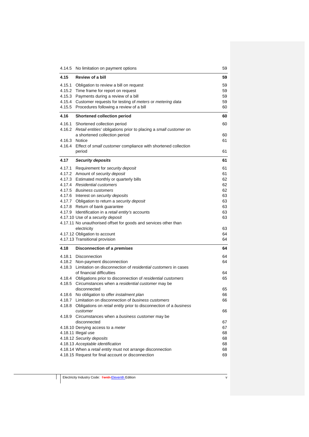|               | 4.14.5 No limitation on payment options                                                                           |          |
|---------------|-------------------------------------------------------------------------------------------------------------------|----------|
| 4.15          | Review of a bill                                                                                                  | 59       |
| 4.15.1        | Obligation to review a bill on request                                                                            | 59       |
|               | 4.15.2 Time frame for report on request                                                                           | 59       |
|               | 4.15.3 Payments during a review of a bill                                                                         | 59       |
|               | 4.15.4 Customer requests for testing of meters or metering data<br>4.15.5 Procedures following a review of a bill | 59<br>60 |
|               |                                                                                                                   |          |
| 4.16          | <b>Shortened collection period</b>                                                                                | 60       |
| 4.16.1        | Shortened collection period<br>4.16.2 Retail entities' obligations prior to placing a small customer on           | 60       |
|               | a shortened collection period                                                                                     | 60       |
| 4.16.3 Notice |                                                                                                                   | 61       |
| 4.16.4        | Effect of small customer compliance with shortened collection                                                     |          |
|               | period                                                                                                            | 61       |
| 4.17          | <b>Security deposits</b>                                                                                          | 61       |
| 4.17.1        | Requirement for security deposit                                                                                  | 61       |
|               | 4.17.2 Amount of security deposit                                                                                 | 61       |
|               | 4.17.3 Estimated monthly or quarterly bills                                                                       | 62       |
|               | 4.17.4 Residential customers                                                                                      | 62       |
|               | 4.17.5 Business customers                                                                                         | 62       |
|               | 4.17.6 Interest on security deposits                                                                              | 63       |
|               | 4.17.7 Obligation to return a security deposit                                                                    | 63       |
|               | 4.17.8 Return of bank guarantee                                                                                   | 63       |
|               | 4.17.9 Identification in a retail entity's accounts                                                               | 63       |
|               | 4.17.10 Use of a security deposit                                                                                 | 63       |
|               | 4.17.11 No unauthorised offset for goods and services other than<br>electricity                                   | 63       |
|               | 4.17.12 Obligation to account                                                                                     | 64       |
|               | 4.17.13 Transitional provision                                                                                    | 64       |
| 4.18          | Disconnection of a premises                                                                                       | 64       |
|               | 4.18.1 Disconnection                                                                                              | 64       |
|               | 4.18.2 Non-payment disconnection                                                                                  | 64       |
|               | 4.18.3 Limitation on disconnection of residential customers in cases                                              |          |
|               | of financial difficulties                                                                                         | 64       |
|               | 4.18.4 Obligations prior to disconnection of residential customers                                                | 65       |
|               | 4.18.5 Circumstances when a residential customer may be                                                           |          |
|               | disconnected                                                                                                      | 65       |
| 4.18.6        | No obligation to offer instalment plan                                                                            | 66       |
|               | 4.18.7 Limitation on disconnection of business customers                                                          | 66       |
|               | 4.18.8 Obligations on retail entity prior to disconnection of a business<br>customer                              | 66       |
|               | 4.18.9 Circumstances when a business customer may be                                                              |          |
|               | disconnected                                                                                                      | 67       |
|               | 4.18.10 Denying access to a meter                                                                                 | 67       |
|               | 4.18.11 Illegal use                                                                                               | 68       |
|               | 4.18.12 Security deposits                                                                                         | 68       |
|               | 4.18.13 Acceptable identification                                                                                 | 68       |
|               | 4.18.14 When a retail entity must not arrange disconnection<br>4.18.15 Request for final account or disconnection | 68<br>69 |
|               |                                                                                                                   |          |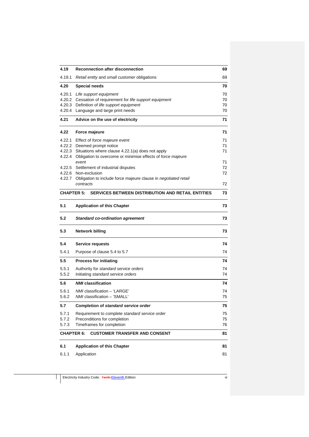| 4.19              | <b>Reconnection after disconnection</b>                         | 69 |
|-------------------|-----------------------------------------------------------------|----|
| 4.19.1            | Retail entity and small customer obligations                    | 69 |
| 4.20              | <b>Special needs</b>                                            | 70 |
| 4.20.1            | Life support equipment                                          | 70 |
| 4.20.2            | Cessation of requirement for life support equipment             | 70 |
| 4.20.3            | Definition of life support equipment                            | 70 |
|                   | 4.20.4 Language and large print needs                           | 70 |
| 4.21              | Advice on the use of electricity                                | 71 |
| 4.22              | Force majeure                                                   | 71 |
| 4.22.1            | Effect of force majeure event                                   | 71 |
| 4.22.2            | Deemed prompt notice                                            | 71 |
| 4.22.3            | Situations where clause 4.22.1(a) does not apply                | 71 |
| 4.22.4            | Obligation to overcome or minimise effects of force majeure     |    |
|                   | event                                                           | 71 |
|                   | 4.22.5 Settlement of industrial disputes                        | 72 |
|                   | 4.22.6 Non-exclusion                                            | 72 |
| 4.22.7            | Obligation to include force majeure clause in negotiated retail |    |
|                   | contracts                                                       | 72 |
| <b>CHAPTER 5:</b> | <b>SERVICES BETWEEN DISTRIBUTION AND RETAIL ENTITIES</b>        | 73 |
| 5.1               | <b>Application of this Chapter</b>                              | 73 |
| 5.2               | <b>Standard co-ordination agreement</b>                         | 73 |
| 5.3               | <b>Network billing</b>                                          | 73 |
| 5.4               | Service requests                                                | 74 |
| 5.4.1             | Purpose of clause 5.4 to 5.7                                    | 74 |
| 5.5               | <b>Process for initiating</b>                                   | 74 |
| 5.5.1             | Authority for standard service orders                           | 74 |
| 5.5.2             | Initiating standard service orders                              | 74 |
| 5.6               | <b>NMI</b> classification                                       | 74 |
| 5.6.1             | NMI classification - 'LARGE'                                    | 74 |
| 5.6.2             | NMI classification - 'SMALL'                                    | 75 |
| 5.7               | Completion of standard service order                            | 75 |
| 5.7.1             | Requirement to complete standard service order                  | 75 |
| 5.7.2             | Preconditions for completion                                    | 75 |
| 5.7.3             | Timeframes for completion                                       | 76 |
| <b>CHAPTER 6:</b> | <b>CUSTOMER TRANSFER AND CONSENT</b>                            | 81 |
| 6.1               | <b>Application of this Chapter</b>                              | 81 |
|                   |                                                                 |    |
| 6.1.1             | Application                                                     | 81 |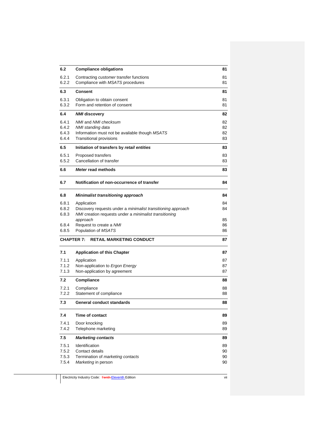| 6.2            | <b>Compliance obligations</b>                                               | 81       |
|----------------|-----------------------------------------------------------------------------|----------|
| 6.2.1<br>6.2.2 | Contracting customer transfer functions<br>Compliance with MSATS procedures | 81<br>81 |
| 6.3            | <b>Consent</b>                                                              | 81       |
| 6.3.1          | Obligation to obtain consent                                                | 81       |
| 6.3.2          | Form and retention of consent                                               | 81       |
| 6.4            | <b>NMI</b> discovery                                                        | 82       |
| 6.4.1<br>6.4.2 | NMI and NMI checksum<br>NMI standing data                                   | 82<br>82 |
| 6.4.3          | Information must not be available though MSATS                              | 82       |
| 6.4.4          | <b>Transitional provisions</b>                                              | 83       |
| 6.5            | Initiation of transfers by retail entities                                  | 83       |
| 6.5.1          | Proposed transfers                                                          | 83       |
| 6.5.2          | Cancellation of transfer                                                    | 83       |
| 6.6            | Meter read methods                                                          | 83       |
| 6.7            | Notification of non-occurrence of transfer                                  | 84       |
| 6.8            | <b>Minimalist transitioning approach</b>                                    | 84       |
| 6.8.1          | Application                                                                 | 84       |
| 6.8.2<br>6.8.3 | Discovery requests under a minimalist transitioning approach                | 84       |
|                | NMI creation requests under a minimalist transitioning<br>approach          | 85       |
| 6.8.4          | Request to create a NMI                                                     | 86       |
| 6.8.5          | Population of MSATS                                                         | 86       |
|                | <b>CHAPTER 7:</b><br><b>RETAIL MARKETING CONDUCT</b>                        | 87       |
| 7.1            | <b>Application of this Chapter</b>                                          | 87       |
| 7.1.1          | Application                                                                 | 87       |
| 7.1.2          | Non-application to Ergon Energy                                             | 87       |
| 7.1.3          | Non-application by agreement                                                | 87       |
| 7.2            | Compliance                                                                  | 88       |
| 7.2.1          | Compliance                                                                  | 88       |
| 7.2.2          | Statement of compliance                                                     | 88       |
| 7.3            | General conduct standards                                                   | 88       |
| 7.4            | Time of contact                                                             | 89       |
| 7.4.1          | Door knocking                                                               | 89       |
| 7.4.2          | Telephone marketing                                                         | 89       |
| 7.5            | <b>Marketing contacts</b>                                                   | 89       |
| 7.5.1<br>7.5.2 | Identification<br>Contact details                                           | 89       |
| 7.5.3          | Termination of <i>marketing contacts</i>                                    | 90<br>90 |
| 7.5.4          | Marketing in person                                                         | 90       |
|                |                                                                             |          |
|                |                                                                             |          |

Electricity Industry Code: Tenth Eleventh Edition viii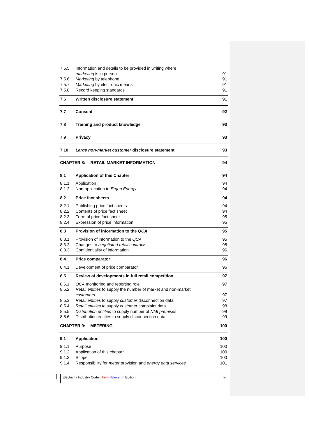| 7.5.5          | Information and details to be provided in writing where                                                     | 91       |  |
|----------------|-------------------------------------------------------------------------------------------------------------|----------|--|
| 7.5.6          | marketing is in person<br>Marketing by telephone                                                            |          |  |
| 7.5.7          | Marketing by electronic means                                                                               |          |  |
| 7.5.8          | Record keeping standards                                                                                    |          |  |
| 7.6            | Written disclosure statement                                                                                | 91       |  |
| 7.7            | <b>Consent</b>                                                                                              |          |  |
| 7.8            | <b>Training and product knowledge</b>                                                                       |          |  |
| 7.9            | Privacy                                                                                                     |          |  |
| 7.10           | Large non-market customer disclosure statement                                                              | 93       |  |
|                | <b>CHAPTER 8:</b><br><b>RETAIL MARKET INFORMATION</b>                                                       | 94       |  |
| 8.1            | <b>Application of this Chapter</b>                                                                          | 94       |  |
| 8.1.1          | Application                                                                                                 | 94       |  |
| 8.1.2          | Non-application to Ergon Energy                                                                             | 94       |  |
| 8.2            | <b>Price fact sheets</b>                                                                                    | 94       |  |
| 8.2.1          | Publishing price fact sheets                                                                                | 94<br>94 |  |
| 8.2.2          | Contents of price fact sheet                                                                                |          |  |
| 8.2.3<br>8.2.4 | Form of price fact sheet<br>Expression of price information                                                 | 95<br>95 |  |
| 8.3            | Provision of information to the QCA                                                                         |          |  |
| 8.3.1          | Provision of information to the QCA                                                                         | 95       |  |
| 8.3.2          | Changes to negotiated retail contracts                                                                      | 95       |  |
| 8.3.3          | Confidentiality of information                                                                              | 96       |  |
| 8.4            | <b>Price comparator</b>                                                                                     | 96       |  |
| 8.4.1          | Development of price comparator                                                                             | 96       |  |
| 8.5            | Review of developments in full retail competition                                                           | 97       |  |
| 8.5.1          | QCA monitoring and reporting role                                                                           | 97       |  |
| 8.5.2          | Retail entities to supply the number of market and non-market                                               |          |  |
|                | customers                                                                                                   | 97       |  |
| 8.5.3<br>8.5.4 | Retail entities to supply customer disconnection data                                                       | 97<br>98 |  |
| 8.5.5          | Retail entities to supply customer complaint data<br>Distribution entities to supply number of NMI premises | 99       |  |
| 8.5.6          | Distribution entities to supply disconnection data                                                          | 99       |  |
|                | <b>CHAPTER 9:</b><br><b>METERING</b>                                                                        | 100      |  |
| 9.1            | <b>Application</b>                                                                                          | 100      |  |
| 9.1.1          | Purpose                                                                                                     | 100      |  |
| 9.1.2          | Application of this chapter                                                                                 | 100      |  |
| 9.1.3          | Scope                                                                                                       | 100      |  |
| 9.1.4          | Responsibility for meter provision and energy data services                                                 | 101      |  |

Electricity Industry Code: Tenth Eleventh Edition viii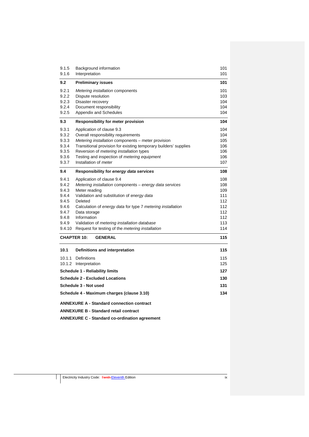| 9.1.5                                                                                                                                                    | Background information                                                                                                                                                                                                                                                                                                                                                         | 101                                                                |  |
|----------------------------------------------------------------------------------------------------------------------------------------------------------|--------------------------------------------------------------------------------------------------------------------------------------------------------------------------------------------------------------------------------------------------------------------------------------------------------------------------------------------------------------------------------|--------------------------------------------------------------------|--|
| 9.1.6                                                                                                                                                    | Interpretation                                                                                                                                                                                                                                                                                                                                                                 | 101                                                                |  |
| 9.2                                                                                                                                                      | <b>Preliminary issues</b>                                                                                                                                                                                                                                                                                                                                                      | 101                                                                |  |
| 9.2.1<br>9.2.2<br>9.2.3<br>9.2.4<br>9.2.5                                                                                                                | Metering installation components<br>Dispute resolution<br>Disaster recovery<br>Document responsibility<br>Appendix and Schedules                                                                                                                                                                                                                                               | 101<br>103<br>104<br>104<br>104                                    |  |
| 9.3                                                                                                                                                      | <b>Responsibility for meter provision</b>                                                                                                                                                                                                                                                                                                                                      | 104                                                                |  |
| 9.3.1<br>9.3.2<br>9.3.3<br>9.3.4<br>9.3.5<br>9.3.6<br>9.3.7                                                                                              | Application of clause 9.3<br>Overall responsibility requirements<br>Metering installation components – meter provision<br>Transitional provision for existing temporary builders' supplies<br>Reversion of <i>metering installation</i> types<br>Testing and inspection of <i>metering equipment</i><br>Installation of <i>meter</i>                                           | 104<br>104<br>105<br>106<br>106<br>106<br>107                      |  |
| 9.4                                                                                                                                                      | Responsibility for energy data services                                                                                                                                                                                                                                                                                                                                        | 108                                                                |  |
| 9.4.1<br>9.4.2<br>9.4.3<br>9.4.4<br>9.4.5<br>9.4.6<br>9.4.7<br>9.4.8<br>9.4.9<br>9.4.10                                                                  | Application of clause 9.4<br>Metering installation components - energy data services<br>Meter reading<br>Validation and substitution of energy data<br>Deleted<br>Calculation of energy data for type 7 metering installation<br>Data storage<br>Information<br>Validation of <i>metering installation database</i><br>Request for testing of the <i>metering installation</i> | 108<br>108<br>109<br>111<br>112<br>112<br>112<br>112<br>113<br>114 |  |
|                                                                                                                                                          | <b>CHAPTER 10:</b><br><b>GENERAL</b>                                                                                                                                                                                                                                                                                                                                           | 115                                                                |  |
| 10.1                                                                                                                                                     | Definitions and interpretation                                                                                                                                                                                                                                                                                                                                                 | 115                                                                |  |
|                                                                                                                                                          | <b>Definitions</b><br>115<br>10.1.1<br>10.1.2<br>Interpretation<br>125<br><b>Schedule 1 - Reliability limits</b><br>127                                                                                                                                                                                                                                                        |                                                                    |  |
|                                                                                                                                                          | <b>Schedule 2 - Excluded Locations</b>                                                                                                                                                                                                                                                                                                                                         | 130                                                                |  |
|                                                                                                                                                          | Schedule 3 - Not used                                                                                                                                                                                                                                                                                                                                                          | 131                                                                |  |
|                                                                                                                                                          | 134<br>Schedule 4 - Maximum charges (clause 3.10)                                                                                                                                                                                                                                                                                                                              |                                                                    |  |
| <b>ANNEXURE A - Standard connection contract</b><br><b>ANNEXURE B - Standard retail contract</b><br><b>ANNEXURE C - Standard co-ordination agreement</b> |                                                                                                                                                                                                                                                                                                                                                                                |                                                                    |  |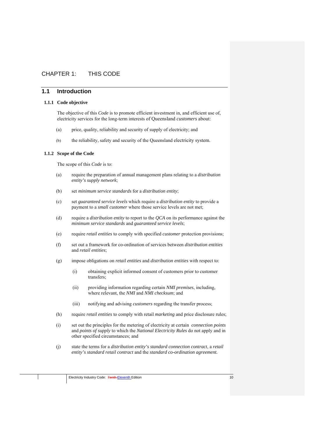# CHAPTER 1: THIS CODE

## **1.1 Introduction**

#### **1.1.1 Code objective**

The objective of this *Code* is to promote efficient investment in, and efficient use of, electricity services for the long-term interests of Queensland *customers* about:

- (a) price, quality, reliability and security of supply of electricity; and
- (b) the reliability, safety and security of the Queensland electricity system.

#### **1.1.2 Scope of the Code**

The scope of this *Code* is to:

- (a) require the preparation of annual management plans relating to a *distribution entity's supply network*;
- (b) set *minimum service standards* for a *distribution entity*;
- (c) set *guaranteed service levels* which require a *distribution entity* to provide a payment to a *small customer* where those service levels are not met;
- (d) require a *distribution entity* to report to the *QCA* on its performance against the *minimum service standards* and *guaranteed service levels*;
- (e) require *retail entities* to comply with specified *customer* protection provisions;
- (f) set out a framework for co-ordination of services between *distribution entities*  and *retail entities*;
- (g) impose obligations on *retail entities* and *distribution entities* with respect to:
	- (i) obtaining explicit informed consent of customers prior to customer transfers;
	- (ii) providing information regarding certain *NMI premises*, including, where relevant, the *NMI* and *NMI checksum*; and
	- (iii) notifying and advising *customers* regarding the transfer process;
- (h) require *retail entities* to comply with retail *marketing* and price disclosure rules;
- (i) set out the principles for the metering of electricity at certain *connection points*  and *points of supply* to which the *National Electricity Rules* do not apply and in other specified circumstances; and
- (j) state the terms for a *distribution entity's standard connection contract*, a *retail entity's standard retail contract* and the *standard co-ordination agreement.*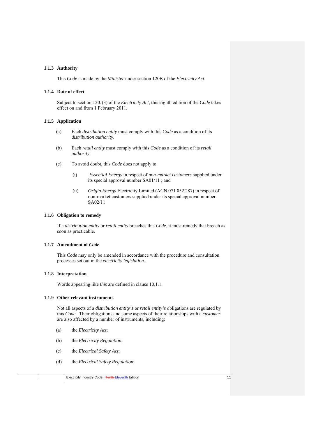#### **1.1.3 Authority**

This *Code* is made by the *Minister* under section 120B of the *Electricity Act*.

#### **1.1.4 Date of effect**

Subject to section 120J(3) of the *Electricity Act*, this eighth edition of the *Code* takes effect on and from 1 February 2011.

## **1.1.5 Application**

- (a) Each *distribution entity* must comply with this *Code* as a condition of its *distribution authority*.
- (b) Each *retail entity* must comply with this *Code* as a condition of its *retail authority*.
- (c) To avoid doubt, this *Code* does not apply to:
	- (i) *Essential Energy* in respect of *non-market customers* supplied under its special approval number SA01/11 ; and
	- (ii) *Origin Energy* Electricity Limited (ACN 071 052 287) in respect of non-market customers supplied under its special approval number SA02/11

## **1.1.6 Obligation to remedy**

If a *distribution entity* or *retail entity* breaches this *Code*, it must remedy that breach as soon as practicable.

#### **1.1.7 Amendment of** *Code*

This *Code* may only be amended in accordance with the procedure and consultation processes set out in the *electricity legislation*.

#### **1.1.8 Interpretation**

Words appearing like *this* are defined in clause 10.1.1.

## **1.1.9 Other relevant instruments**

Not all aspects of a *distribution entity's* or *retail entity's* obligations are regulated by this *Code*. Their obligations and some aspects of their relationships with a *customer* are also affected by a number of instruments, including:

- (a) the *Electricity Act*;
- (b) the *Electricity Regulation*;
- (c) the *Electrical Safety Act*;
- (d) the *Electrical Safety Regulation*;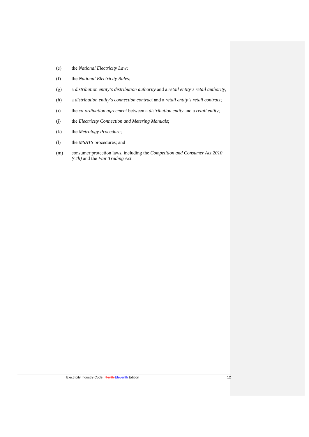- (e) the *National Electricity Law*;
- (f) the *National Electricity Rules*;
- (g) a *distribution entity's distribution authority* and a *retail entity's retail authority;*
- (h) a *distribution entity's connection contract* and a *retail entity's retail contract*;
- (i) the *co-ordination agreement* between a *distribution entity* and a *retail entity*;
- (j) the *Electricity Connection and Metering Manuals*;
- (k) the *Metrology Procedure*;
- (l) the *MSATS* procedures; and
- (m) consumer protection laws, including the *Competition and Consumer Act 2010 (Cth)* and the *Fair Trading Act*.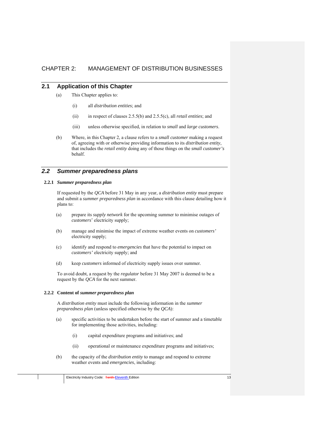# CHAPTER 2: MANAGEMENT OF DISTRIBUTION BUSINESSES

# **2.1 Application of this Chapter**

- (a) This Chapter applies to:
	- (i) all *distribution entities*; and
	- (ii) in respect of clauses 2.5.5(b) and 2.5.5(c), all *retail entities*; and
	- (iii) unless otherwise specified, in relation to *small* and *large customers*.
- (b) Where, in this Chapter 2, a clause refers to a *small customer* making a request of, agreeing with or otherwise providing information to its *distribution entity*, that includes the *retail entity* doing any of those things on the *small customer's* behalf.

# *2.2 Summer preparedness plans*

#### **2.2.1** *Summer preparedness plan*

If requested by the *QCA* before 31 May in any year, a *distribution entity* must prepare and submit a *summer preparedness plan* in accordance with this clause detailing how it plans to:

- (a) prepare its *supply network* for the upcoming summer to minimise outages of *customers*' electricity supply;
- (b) manage and minimise the impact of extreme weather events on *customers'* electricity supply;
- (c) identify and respond to *emergencies* that have the potential to impact on *customers'* electricity supply; and
- (d) keep *customers* informed of electricity supply issues over summer.

To avoid doubt, a request by the *regulator* before 31 May 2007 is deemed to be a request by the *QCA* for the next summer.

#### **2.2.2 Content of** *summer preparedness plan*

A *distribution entity* must include the following information in the *summer preparedness plan* (unless specified otherwise by the *QCA*):

- (a) specific activities to be undertaken before the start of summer and a timetable for implementing those activities, including:
	- (i) capital expenditure programs and initiatives; and
	- (ii) operational or maintenance expenditure programs and initiatives;
- (b) the capacity of the *distribution entity* to manage and respond to extreme weather events and *emergencies*, including: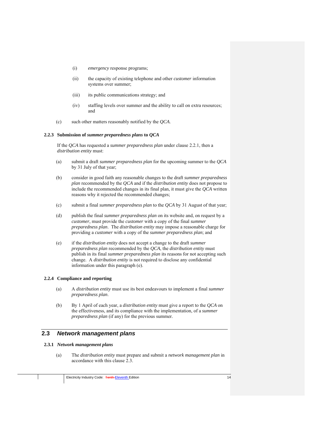- (i) *emergency* response programs;
- (ii) the capacity of existing telephone and other *customer* information systems over summer;
- (iii) its public communications strategy; and
- (iv) staffing levels over summer and the ability to call on extra resources; and
- (c) such other matters reasonably notified by the *QCA*.

#### **2.2.3 Submission of** *summer preparedness plans* **to** *QCA*

If the *QCA* has requested a *summer preparedness plan* under clause 2.2.1, then a *distribution entity* must:

- (a) submit a draft *summer preparedness plan* for the upcoming summer to the *QCA* by 31 July of that year;
- (b) consider in good faith any reasonable changes to the draft *summer preparedness plan* recommended by the *QCA* and if the *distribution entity* does not propose to include the recommended changes in its final plan, it must give the *QCA* written reasons why it rejected the recommended changes;
- (c) submit a final *summer preparedness plan* to the *QCA* by 31 August of that year;
- (d) publish the final *summer preparedness plan* on its website and, on request by a *customer*, must provide the *customer* with a copy of the final *summer preparedness plan*. The *distribution entity* may impose a reasonable charge for providing a *customer* with a copy of the *summer preparedness plan*; and
- (e) if the *distribution entity* does not accept a change to the draft *summer preparedness plan* recommended by the *QCA*, the *distribution entity* must publish in its final *summer preparedness plan* its reasons for not accepting such change. A *distribution entity* is not required to disclose any confidential information under this paragraph (e).

#### **2.2.4 Compliance and reporting**

- (a) A *distribution entity* must use its best endeavours to implement a final *summer preparedness plan*.
- (b) By 1 April of each year, a *distribution entity* must give a report to the *QCA* on the effectiveness, and its compliance with the implementation, of a *summer preparedness plan* (if any) for the previous summer.

# **2.3** *Network management plans*

## **2.3.1** *Network management plans*

(a) The *distribution entity* must prepare and submit a *network management plan* in accordance with this clause 2.3.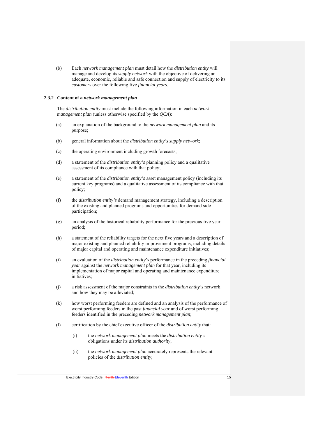(b) Each *network management plan* must detail how the *distribution entity* will manage and develop its *supply network* with the objective of delivering an adequate, economic, reliable and safe connection and supply of electricity to its *customers* over the following five *financial years*.

#### **2.3.2 Content of a** *network management plan*

The *distribution entity* must include the following information in each *network management plan* (unless otherwise specified by the *QCA*):

- (a) an explanation of the background to the *network management plan* and its purpose;
- (b) general information about the *distribution entity's supply network*;
- (c) the operating environment including growth forecasts;
- (d) a statement of the *distribution entity's* planning policy and a qualitative assessment of its compliance with that policy;
- (e) a statement of the *distribution entity's* asset management policy (including its current key programs) and a qualitative assessment of its compliance with that policy;
- (f) the *distribution entity's* demand management strategy, including a description of the existing and planned programs and opportunities for demand side participation;
- (g) an analysis of the historical reliability performance for the previous five year period;
- (h) a statement of the reliability targets for the next five years and a description of major existing and planned reliability improvement programs, including details of major capital and operating and maintenance expenditure initiatives;
- (i) an evaluation of the *distribution entity*'*s* performance in the preceding *financial year* against the *network management plan* for that year, including its implementation of major capital and operating and maintenance expenditure initiatives:
- (j) a risk assessment of the major constraints in the *distribution entity's* network and how they may be alleviated;
- (k) how worst performing feeders are defined and an analysis of the performance of worst performing feeders in the past *financial year* and of worst performing feeders identified in the preceding *network management plan*;
- (l) certification by the chief executive officer of the *distribution entity* that:
	- (i) the *network management plan* meets the *distribution entity's* obligations under its *distribution authority*;
	- (ii) the *network management plan* accurately represents the relevant policies of the *distribution entity*;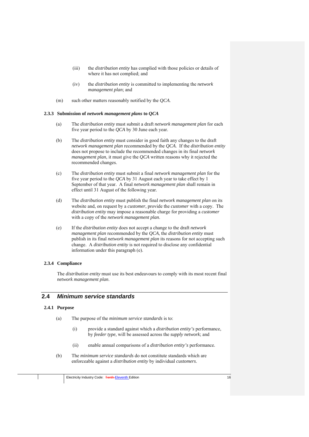- (iii) the *distribution entity* has complied with those policies or details of where it has not complied; and
- (iv) the *distribution entity* is committed to implementing the *network management plan*; and
- (m) such other matters reasonably notified by the *QCA*.

#### **2.3.3 Submission of** *network management plans* **to** *QCA*

- (a) The *distribution entity* must submit a draft *network management plan* for each five year period to the *QCA* by 30 June each year.
- (b) The *distribution entity* must consider in good faith any changes to the draft *network management plan* recommended by the *QCA*. If the *distribution entity* does not propose to include the recommended changes in its final *network management plan*, it must give the *QCA* written reasons why it rejected the recommended changes.
- (c) The *distribution entity* must submit a final *network management plan* for the five year period to the *QCA* by 31 August each year to take effect by 1 September of that year. A final *network management plan* shall remain in effect until 31 August of the following year.
- (d) The *distribution entity* must publish the final *network management plan* on its website and, on request by a *customer*, provide the *customer* with a copy. The *distribution entity* may impose a reasonable charge for providing a *customer* with a copy of the *network management plan*.
- (e) If the *distribution entity* does not accept a change to the draft *network management plan* recommended by the *QCA*, the *distribution entity* must publish in its final *network management plan* its reasons for not accepting such change. A *distribution entity* is not required to disclose any confidential information under this paragraph (e).

#### **2.3.4 Compliance**

The *distribution entity* must use its best endeavours to comply with its most recent final *network management plan*.

# **2.4** *Minimum service standards*

#### **2.4.1 Purpose**

- (a) The purpose of the *minimum service standards* is to:
	- (i) provide a standard against which a *distribution entity's* performance, by *feeder type*, will be assessed across the *supply network*; and
	- (ii) enable annual comparisons of a *distribution entity's* performance.
- (b) The *minimum service standards* do not constitute standards which are enforceable against a *distribution entity* by individual *customers*.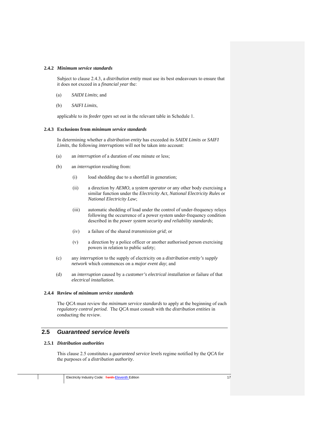#### **2.4.2** *Minimum service standards*

Subject to clause 2.4.3, a *distribution entity* must use its best endeavours to ensure that it does not exceed in a *financial year* the:

- (a) *SAIDI Limits*; and
- (b) *SAIFI Limits*,

applicable to its *feeder types* set out in the relevant table in Schedule 1.

#### **2.4.3 Exclusions from** *minimum service standards*

In determining whether a *distribution entity* has exceeded its *SAIDI Limits* or *SAIFI Limits*, the following *interruptions* will not be taken into account:

- (a) an *interruption* of a duration of one minute or less;
- (b) an *interruption* resulting from:
	- (i) load shedding due to a shortfall in generation;
	- (ii) a direction by *AEMO*, a *system operator* or any other body exercising a similar function under the *Electricity Act*, *National Electricity Rules* or *National Electricity Law*;
	- (iii) automatic shedding of load under the control of under-frequency relays following the occurrence of a power system under-frequency condition described in the *power system security and reliability standards*;
	- (iv) a failure of the shared *transmission grid*; or
	- (v) a direction by a police officer or another authorised person exercising powers in relation to public safety;
- (c) any *interruption* to the supply of electricity on a *distribution entity's supply network* which commences on a *major event day*; and
- (d) an *interruption* caused by a *customer's electrical installation* or failure of that *electrical installation*.

#### **2.4.4 Review of** *minimum service standards*

The *QCA* must review the *minimum service standards* to apply at the beginning of each *regulatory control period*. The *QCA* must consult with the *distribution entities* in conducting the review.

# **2.5** *Guaranteed service levels*

# **2.5.1** *Distribution authorities*

This clause 2.5 constitutes a *guaranteed service levels* regime notified by the *QCA* for the purposes of a *distribution authority*.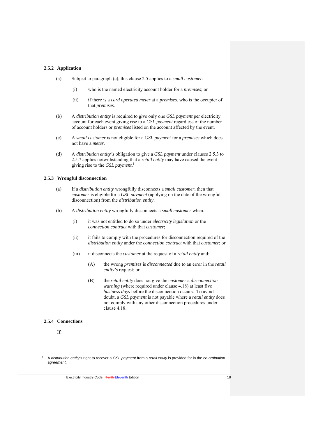#### **2.5.2 Application**

- (a) Subject to paragraph (c), this clause 2.5 applies to a *small customer*:
	- (i) who is the named electricity account holder for a *premises*; or
	- (ii) if there is a *card operated meter* at a *premises*, who is the occupier of that *premises*.
- (b) A *distribution entity* is required to give only one *GSL payment* per electricity account for each event giving rise to a *GSL payment* regardless of the number of account holders or *premises* listed on the account affected by the event.
- (c) A *small customer* is not eligible for a *GSL payment* for a *premises* which does not have a *meter*.
- (d) A *distribution entity's* obligation to give a *GSL payment* under clauses 2.5.3 to 2.5.7 applies notwithstanding that a *retail entity* may have caused the event giving rise to the *GSL payment*. 1

#### **2.5.3 Wrongful disconnection**

- (a) If a *distribution entity* wrongfully disconnects a *small customer*, then that *customer* is eligible for a *GSL payment* (applying on the date of the wrongful disconnection) from the *distribution entity*.
- (b) A *distribution entity* wrongfully disconnects a *small customer* when:
	- (i) it was not entitled to do so under *electricity legislation* or the *connection contract* with that *customer*;
	- (ii) it fails to comply with the procedures for disconnection required of the *distribution entity* under the *connection contract* with that *customer*; or
	- (iii) it disconnects the *customer* at the request of a *retail entity* and:
		- (A) the wrong *premises* is *disconnected* due to an error in the *retail entity's* request; or
		- (B) the *retail entity* does not give the *customer* a *disconnection warning* (where required under clause 4.18) at least five *business days* before the disconnection occurs. To avoid doubt, a *GSL payment* is not payable where a *retail entity* does not comply with any other disconnection procedures under clause 4.18.

## **2.5.4 Connections**

If:

1 1

A *distribution entity's* right to recover a *GSL payment* from a *retail entity* is provided for in the c*o-ordination agreement*.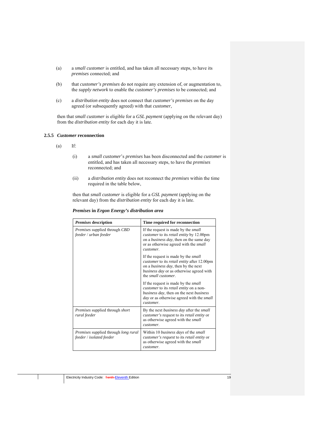- (a) a *small customer* is entitled, and has taken all necessary steps, to have its *premises* connected; and
- (b) that *customer's premises* do not require any extension of, or augmentation to, the *supply network* to enable the *customer's premises* to be connected; and
- (c) a *distribution entity* does not connect that *customer's premises* on the day agreed (or subsequently agreed) with that *customer*,

then that *small customer* is eligible for a *GSL payment* (applying on the relevant day) from the *distribution entity* for each day it is late.

## **2.5.5** *Customer* **reconnection**

- $(a)$  If:
	- (i) a *small customer*'s *premises* has been disconnected and the *customer* is entitled, and has taken all necessary steps, to have the *premises* reconnected; and
	- (ii) a *distribution entity* does not reconnect the *premises* within the time required in the table below,

then that *small customer* is eligible for a *GSL payment* (applying on the relevant day) from the *distribution entity* for each day it is late.

|  |  |  | <b>Premises in Ergon Energy's distribution area</b> |
|--|--|--|-----------------------------------------------------|
|--|--|--|-----------------------------------------------------|

| <i>Premises</i> description                                                    | Time required for reconnection                                                                                                                                                                                                   |
|--------------------------------------------------------------------------------|----------------------------------------------------------------------------------------------------------------------------------------------------------------------------------------------------------------------------------|
| <i>Premises</i> supplied through CBD<br>feeder / urban feeder                  | If the request is made by the <i>small</i><br><i>customer</i> to its <i>retail entity</i> by 12.00pm<br>on a <i>business day</i> , then on the same day<br>or as otherwise agreed with the small<br>customer.                    |
|                                                                                | If the request is made by the <i>small</i><br><i>customer</i> to its <i>retail entity</i> after 12.00pm<br>on a <i>business day</i> , then by the next<br><i>business day</i> or as otherwise agreed with<br>the small customer. |
|                                                                                | If the request is made by the <i>small</i><br><i>customer</i> to its <i>retail entity</i> on a non-<br>business day, then on the next business<br><i>day</i> or as otherwise agreed with the <i>small</i><br>customer.           |
| Premises supplied through short<br>rural feeder                                | By the next <i>business day</i> after the <i>small</i><br><i>customer's</i> request to its <i>retail entity</i> or<br>as otherwise agreed with the small<br>customer.                                                            |
| <i>Premises</i> supplied through <i>long rural</i><br>feeder / isolated feeder | Within 10 business days of the small<br>customer's request to its retail entity or<br>as otherwise agreed with the <i>small</i><br>customer.                                                                                     |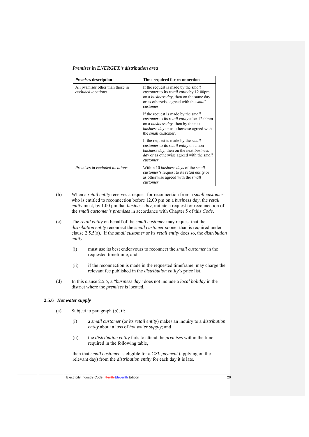#### *Premises* **in** *ENERGEX's distribution area*

| <i>Premises</i> description                                   | Time required for reconnection                                                                                                                                                                                                   |  |
|---------------------------------------------------------------|----------------------------------------------------------------------------------------------------------------------------------------------------------------------------------------------------------------------------------|--|
| All <i>premises</i> other than those in<br>excluded locations | If the request is made by the <i>small</i><br><i>customer</i> to its <i>retail entity</i> by 12.00pm<br>on a <i>business day</i> , then on the same day<br>or as otherwise agreed with the <i>small</i><br>customer.             |  |
|                                                               | If the request is made by the <i>small</i><br><i>customer</i> to its <i>retail entity</i> after 12.00pm<br>on a <i>business day</i> , then by the next<br>business day or as otherwise agreed with<br>the <i>small</i> customer. |  |
|                                                               | If the request is made by the <i>small</i><br><i>customer</i> to its <i>retail entity</i> on a non-<br><i>business day</i> , then on the next <i>business</i><br>day or as otherwise agreed with the <i>small</i><br>customer.   |  |
| Premises in excluded locations                                | Within 10 <i>business days</i> of the <i>small</i><br><i>customer's</i> request to its <i>retail entity</i> or<br>as otherwise agreed with the <i>small</i><br>customer.                                                         |  |

- (b) When a *retail entity* receives a request for reconnection from a *small customer* who is entitled to reconnection before 12.00 pm on a *business day*, the *retail entity* must, by 1.00 pm that *business day*, initiate a request for reconnection of the *small customer's premises* in accordance with Chapter 5 of this *Code*.
- (c) The *retail entity* on behalf of the *small customer* may request that the *distribution entity* reconnect the *small customer* sooner than is required under clause 2.5.5(a). If the *small customer* or its *retail entity* does so, the *distribution entity*:
	- (i) must use its best endeavours to reconnect the *small customer* in the requested timeframe; and
	- (ii) if the reconnection is made in the requested timeframe, may charge the relevant fee published in the *distribution entity's* price list.
- (d) In this clause 2.5.5, a "*business day*" does not include a *local holiday* in the district where the *premises* is located.

## **2.5.6** *Hot water supply*

- (a) Subject to paragraph (b), if:
	- (i) a *small customer* (or its *retail entity*) makes an inquiry to a *distribution entity* about a loss of *hot water supply*; and
	- (ii) the *distribution entity* fails to attend the *premises* within the time required in the following table,

then that *small customer* is eligible for a *GSL payment* (applying on the relevant day) from the *distribution entity* for each day it is late.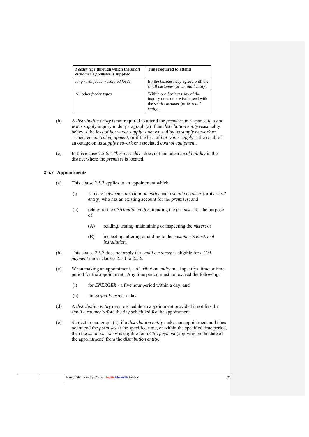| Feeder type through which the small<br>customer's premises is supplied | Time required to attend                                                                                                       |
|------------------------------------------------------------------------|-------------------------------------------------------------------------------------------------------------------------------|
| long rural feeder / isolated feeder                                    | By the <i>business day</i> agreed with the<br>small customer (or its retail entity).                                          |
| All other <i>feeder</i> types                                          | Within one <i>business day</i> of the<br>inquiry or as otherwise agreed with<br>the small customer (or its retail<br>entity). |

- (b) A *distribution entity* is not required to attend the *premises* in response to a *hot water supply* inquiry under paragraph (a) if the *distribution entity* reasonably believes the loss of *hot water supply* is not caused by its *supply network* or associated *control equipment*, or if the loss of *hot water supply* is the result of an outage on its *supply network* or associated *control equipment*.
- (c) In this clause 2.5.6, a "*business day*" does not include a *local holiday* in the district where the *premises* is located.

#### **2.5.7 Appointments**

- (a) This clause 2.5.7 applies to an appointment which:
	- (i) is made between a *distribution entity* and a *small customer* (or its *retail entity*) who has an existing account for the *premises*; and
	- (ii) relates to the *distribution entity* attending the *premises* for the purpose of:
		- (A) reading, testing, maintaining or inspecting the *meter*; or
		- (B) inspecting, altering or adding to the *customer's electrical installation*.
- (b) This clause 2.5.7 does not apply if a *small customer* is eligible for a *GSL payment* under clauses 2.5.4 to 2.5.6.
- (c) When making an appointment, a *distribution entity* must specify a time or time period for the appointment. Any time period must not exceed the following:
	- (i) for *ENERGEX* a five hour period within a day; and
	- (ii) for *Ergon Energy* a day.
- (d) A *distribution entity* may reschedule an appointment provided it notifies the *small customer* before the day scheduled for the appointment.
- (e) Subject to paragraph (d), if a *distribution entity* makes an appointment and does not attend the *premises* at the specified time, or within the specified time period, then the *small customer* is eligible for a *GSL payment* (applying on the date of the appointment) from the *distribution entity*.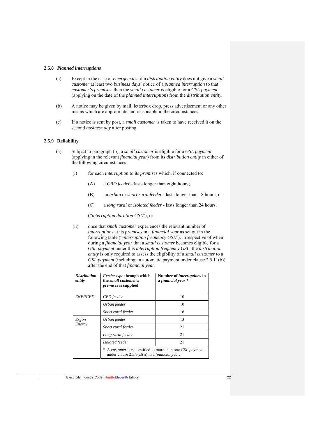#### **2.5.8** *Planned interruptions*

- (a) Except in the case of *emergencies*, if a *distribution entity* does not give a *small customer* at least two *business days*' notice of a *planned interruption* to that *customer's premises*, then the *small customer* is eligible for a *GSL payment* (applying on the date of the *planned interruption*) from the *distribution entity.*
- (b) A notice may be given by mail, letterbox drop, press advertisement or any other means which are appropriate and reasonable in the circumstances.
- (c) If a notice is sent by post, a *small customer* is taken to have received it on the second *business day* after posting.

#### **2.5.9 Reliability**

- (a) Subject to paragraph (b), a *small customer* is eligible for a *GSL payment* (applying in the relevant *financial year*) from its *distribution entity* in either of the following circumstances:
	- (i) for each *interruption* to its *premises* which, if connected to:
		- (A) a *CBD feeder*  lasts longer than eight hours;
		- (B) an *urban* or *short rural feeder*  lasts longer than 18 hours; or
		- (C) a *long rural* or *isolated feeder*  lasts longer than 24 hours,

("*interruption duration GSL*"); or

(ii) once that *small customer* experiences the relevant number of *interruptions* at its *premises* in a *financial year* as set out in the following table ("*interruption frequency GSL*"). Irrespective of when during a *financial year* that a *small customer* becomes eligible for a *GSL payment* under this *interruption frequency GSL*, the *distribution entity* is only required to assess the eligibility of a *small customer* to a *GSL payment* (including an automatic payment under clause 2.5.11(b)) after the end of that *financial year*.

| <b>Distribution</b><br>entity | <b>Feeder type through which</b><br>the small customer's<br><i>premises</i> is supplied                   | Number of <i>interruptions</i> in<br>a financial year * |  |
|-------------------------------|-----------------------------------------------------------------------------------------------------------|---------------------------------------------------------|--|
| <b>ENERGEX</b>                | CBD feeder                                                                                                | 10                                                      |  |
|                               | Urban feeder                                                                                              | 10                                                      |  |
|                               | Short rural feeder                                                                                        | 16                                                      |  |
| Ergon<br>Energy               | Urban feeder                                                                                              | 13                                                      |  |
|                               | Short rural feeder                                                                                        | 21                                                      |  |
|                               | Long rural feeder                                                                                         | 21                                                      |  |
|                               | Isolated feeder                                                                                           | 21                                                      |  |
|                               | A customer is not entitled to more than one GSL payment<br>under clause 2.5.9(a)(ii) in a financial year. |                                                         |  |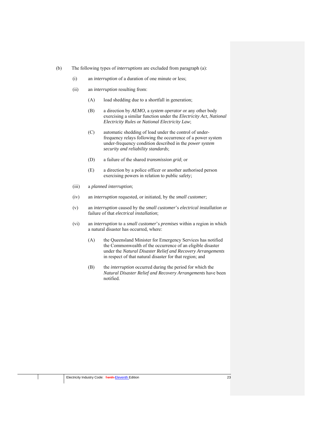- (b) The following types of *interruptions* are excluded from paragraph (a):
	- (i) an *interruption* of a duration of one minute or less;
	- (ii) an *interruption* resulting from:
		- (A) load shedding due to a shortfall in generation;
		- (B) a direction by *AEMO*, a *system operator* or any other body exercising a similar function under the *Electricity Act*, *National Electricity Rules* or *National Electricity Law*;
		- (C) automatic shedding of load under the control of underfrequency relays following the occurrence of a power system under-frequency condition described in the *power system security and reliability standards*;
		- (D) a failure of the shared *transmission grid*; or
		- (E) a direction by a police officer or another authorised person exercising powers in relation to public safety;
	- (iii) a *planned interruption*;
	- (iv) an *interruption* requested, or initiated, by the *small customer*;
	- (v) an *interruption* caused by the *small customer*'s *electrical installation* or failure of that *electrical installation*;
	- (vi) an *interruption* to a *small customer*'s *premises* within a region in which a natural disaster has occurred, where:
		- (A) the Queensland Minister for Emergency Services has notified the Commonwealth of the occurrence of an eligible disaster under the *Natural Disaster Relief and Recovery Arrangements*  in respect of that natural disaster for that region; and
		- (B) the *interruption* occurred during the period for which the *Natural Disaster Relief and Recovery Arrangements* have been notified.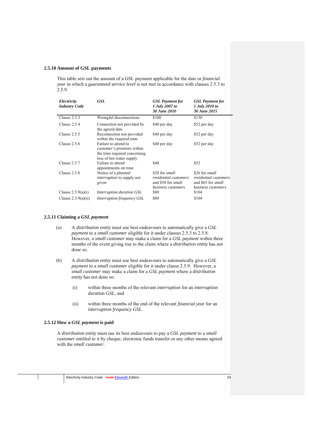#### **2.5.10 Amount of GSL payments**

This table sets out the amount of a GSL payment applicable for the date or *financial year* in which a *guaranteed service level* is not met in accordance with clauses 2.5.3 to 2.5.9.

| Electricity<br><b>Industry Code</b> | <b>GSL</b>                                                                                                            | <b>GSL</b> Payment for<br>1 July 2007 to<br>30 June 2010                            | <b>GSL</b> Payment for<br>1 July 2010 to<br>30 June 2015                            |
|-------------------------------------|-----------------------------------------------------------------------------------------------------------------------|-------------------------------------------------------------------------------------|-------------------------------------------------------------------------------------|
| Clause 2.5.3                        | Wrongful disconnections                                                                                               | \$100                                                                               | \$130                                                                               |
| Clause $2.5.4$                      | Connection not provided by<br>the agreed date                                                                         | \$40 per day                                                                        | \$52 per day                                                                        |
| Clause 2.5.5                        | Reconnection not provided<br>within the required time.                                                                | \$40 per day                                                                        | \$52 per day                                                                        |
| Clause $2.5.6$                      | Failure to attend to<br><i>customer's premises</i> within<br>the time required concerning<br>loss of hot water supply | \$40 per day                                                                        | \$52 per day                                                                        |
| Clause $2.5.7$                      | Failure to attend<br>appointments on time                                                                             | \$40                                                                                | \$52                                                                                |
| Clause 2.5.8                        | Notice of a <i>planned</i><br><i>interruption</i> to supply not<br>given                                              | \$20 for small<br>residential customers<br>and \$50 for small<br>business customers | \$26 for small<br>residential customers<br>and \$65 for small<br>business customers |
| Clause $2.5.9(a)(i)$                | Interruption duration GSL                                                                                             | \$80                                                                                | \$104                                                                               |
| Clause $2.5.9(a)(ii)$               | Interruption frequency GSL                                                                                            | \$80                                                                                | \$104                                                                               |

#### **2.5.11 Claiming a** *GSL payment*

- (a) A *distribution entity* must use best endeavours to automatically give a *GSL payment* to a *small customer* eligible for it under clauses 2.5.3 to 2.5.8. However, a *small customer* may make a claim for a *GSL payment* within three months of the event giving rise to the claim where a *distribution entity* has not done so.
- (b) A *distribution entity* must use best endeavours to automatically give a *GSL payment* to a *small customer* eligible for it under clause 2.5.9. However, a *small customer* may make a claim for a *GSL payment* where a *distribution entity* has not done so:
	- (i) within three months of the relevant *interruption* for an *interruption duration GSL*; and
	- (ii) within three months of the end of the relevant *financial year* for an *interruption frequency GSL*.

## **2.5.12 How a** *GSL payment* **is paid**

A *distribution entity* must use its best endeavours to pay a *GSL payment* to a *small customer* entitled to it by cheque, electronic funds transfer or any other means agreed with the *small customer*.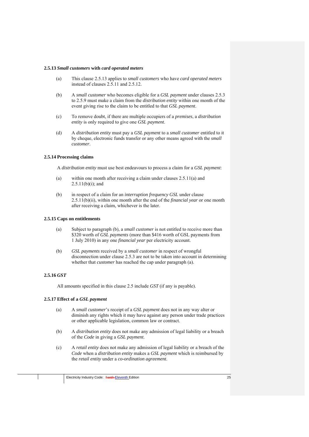## **2.5.13** *Small customers* **with** *card operated meters*

- (a) This clause 2.5.13 applies to *small customers* who have *card operated meters* instead of clauses 2.5.11 and 2.5.12.
- (b) A *small customer* who becomes eligible for a *GSL payment* under clauses 2.5.3 to 2.5.9 must make a claim from the *distribution entity* within one month of the event giving rise to the claim to be entitled to that *GSL payment*.
- (c) To remove doubt, if there are multiple occupiers of a *premises*, a *distribution entity* is only required to give one *GSL payment*.
- (d) A *distribution entity* must pay a *GSL payment* to a *small customer* entitled to it by cheque, electronic funds transfer or any other means agreed with the *small customer*.

#### **2.5.14 Processing claims**

A *distribution entity* must use best endeavours to process a claim for a *GSL payment*:

- (a) within one month after receiving a claim under clauses 2.5.11(a) and  $2.5.11(b)(i)$ ; and
- (b) in respect of a claim for an *interruption frequency GSL* under clause 2.5.11(b)(ii), within one month after the end of the *financial year* or one month after receiving a claim, whichever is the later.

#### **2.5.15 Caps on entitlements**

- (a) Subject to paragraph (b), a *small customer* is not entitled to receive more than \$320 worth of *GSL payments* (more than \$416 worth of GSL payments from 1 July 2010) in any one *financial year* per electricity account.
- (b) *GSL payments* received by a *small customer* in respect of wrongful disconnection under clause 2.5.3 are not to be taken into account in determining whether that *customer* has reached the cap under paragraph (a).

## **2.5.16** *GST*

All amounts specified in this clause 2.5 include *GST* (if any is payable).

## **2.5.17 Effect of a** *GSL payment*

- (a) A *small customer*'s receipt of a *GSL payment* does not in any way alter or diminish any rights which it may have against any person under trade practices or other applicable legislation, common law or contract.
- (b) A *distribution entity* does not make any admission of legal liability or a breach of the *Code* in giving a *GSL payment*.
- (c) A *retail entity* does not make any admission of legal liability or a breach of the *Code* when a *distribution entity* makes a *GSL payment* which is reimbursed by the *retail entity* under a *co-ordination agreement*.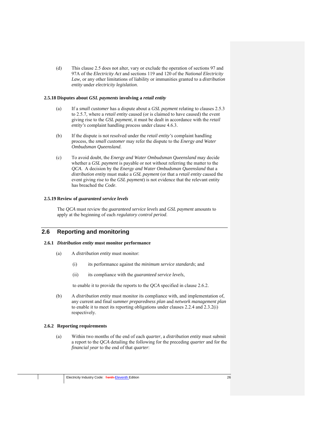(d) This clause 2.5 does not alter, vary or exclude the operation of sections 97 and 97A of the *Electricity Act* and sections 119 and 120 of the *National Electricity Law,* or any other limitations of liability or immunities granted to a *distribution entity* under *electricity legislation*.

#### **2.5.18 Disputes about** *GSL payments* **involving a** *retail entity*

- (a) If a *small customer* has a dispute about a *GSL payment* relating to clauses 2.5.3 to 2.5.7*,* where a *retail entity* caused (or is claimed to have caused) the event giving rise to the *GSL payment*, it must be dealt in accordance with the *retail entity's* complaint handling process under clause 4.6.3.
- (b) If the dispute is not resolved under the *retail entity's* complaint handling process, the *small customer* may refer the dispute to the *Energy and Water Ombudsman Queensland*.
- (c) To avoid doubt, the *Energy and Water Ombudsman Queensland* may decide whether a *GSL payment* is payable or not without referring the matter to the *QCA*. A decision by the *Energy and Water Ombudsman Queensland* that a *distribution entity* must make a *GSL payment* (or that a *retail entity* caused the event giving rise to the *GSL payment*) is not evidence that the relevant entity has breached the *Code*.

## **2.5.19 Review of** *guaranteed service levels*

The *QCA* must review the *guaranteed service levels* and *GSL payment* amounts to apply at the beginning of each *regulatory control period*.

# **2.6 Reporting and monitoring**

#### **2.6.1** *Distribution entity* **must monitor performance**

- (a) A *distribution entity* must monitor:
	- (i) its performance against the *minimum service standards*; and
	- (ii) its compliance with the *guaranteed service levels*,

to enable it to provide the reports to the *QCA* specified in clause 2.6.2.

(b) A *distribution entity* must monitor its compliance with, and implementation of, any current and final *summer preparedness plan* and *network management plan* to enable it to meet its reporting obligations under clauses 2.2.4 and 2.3.2(i) respectively.

## **2.6.2 Reporting requirements**

(a) Within two months of the end of each *quarter*, a *distribution entity* must submit a report to the *QCA* detailing the following for the preceding *quarter* and for the *financial year* to the end of that *quarter*: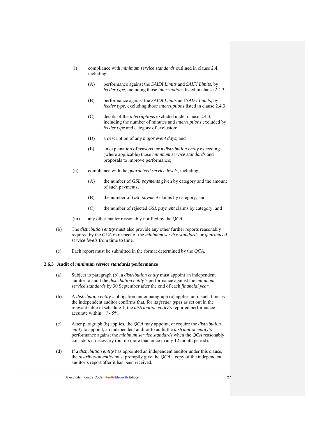- (i) compliance with *minimum service standards* outlined in clause 2.4, including:
	- (A) performance against the *SAIDI Limits* and *SAIFI Limits*, by *feeder type*, including those *interruptions* listed in clause 2.4.3;
	- (B) performance against the *SAIDI Limits* and *SAIFI Limits*, by *feeder type*, excluding those *interruptions* listed in clause 2.4.3;
	- (C) details of the *interruptions* excluded under clause 2.4.3, including the number of minutes and *interruptions* excluded by *feeder type* and category of exclusion;
	- (D) a description of any *major event days*; and
	- (E) an explanation of reasons for a *distribution entity* exceeding (where applicable) those *minimum service standards* and proposals to improve performance;
- (ii) compliance with the *guaranteed service levels*, including;
	- (A) the number of *GSL payments* given by category and the amount of such payments;
	- (B) the number of *GSL payment* claims by category; and
	- (C) the number of rejected *GSL payment* claims by category; and
- (iii) any other matter reasonably notified by the *QCA*.
- (b) The *distribution entity* must also provide any other further reports reasonably required by the *QCA* in respect of the *minimum service standards* or *guaranteed service levels* from time to time.
- (c) Each report must be submitted in the format determined by the *QCA*.

## **2.6.3 Audit of** *minimum service standards* **performance**

- (a) Subject to paragraph (b), a *distribution entity* must appoint an independent auditor to audit the *distribution entity's* performance against the *minimum service standards* by 30 September after the end of each *financial year*.
- (b) A *distribution entity's* obligation under paragraph (a) applies until such time as the independent auditor confirms that, for its *feeder types* as set out in the relevant table in schedule 1, the *distribution entity's* reported performance is accurate within  $+/-5%$ .
- (c) After paragraph (b) applies, the *QCA* may appoint, or require the *distribution entity* to appoint, an independent auditor to audit the *distribution entity's* performance against the *minimum service standards* when the *QCA* reasonably considers it necessary (but no more than once in any 12 month period).
- (d) If a *distribution entity* has appointed an independent auditor under this clause, the *distribution entity* must promptly give the *QCA* a copy of the independent auditor's report after it has been received.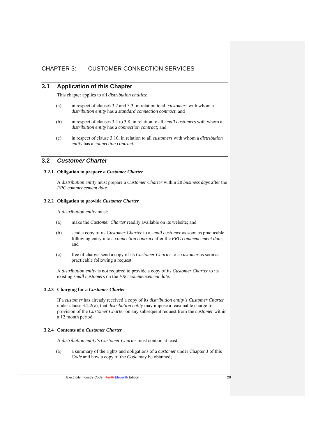# CHAPTER 3: CUSTOMER CONNECTION SERVICES

# **3.1 Application of this Chapter**

This chapter applies to all *distribution entities*:

- (a) in respect of clauses 3.2 and 3.3, in relation to all *customers* with whom a *distribution entity* has a *standard connection contract*; and
- (b) in respect of clauses 3.4 to 3.8, in relation to all *small customers* with whom a *distribution entity* has a *connection contract*; and
- (c) in respect of clause 3.10, in relation to all *customers* with whom a *distribution entity* has a *connection contract*."

## **3.2** *Customer Charter*

#### **3.2.1 Obligation to prepare a** *Customer Charter*

A *distribution entity* must prepare a *Customer Charter* within 20 *business days* after the *FRC commencement date*.

#### **3.2.2 Obligation to provide** *Customer Charter*

A *distribution entity* must:

- (a) make the *Customer Charter* readily available on its website; and
- (b) send a copy of its *Customer Charter* to a *small customer* as soon as practicable following entry into a *connection contract* after the *FRC commencement date;*  and
- (c) free of charge, send a copy of its *Customer Charter* to a *customer* as soon as practicable following a request.

A *distribution entity* is not required to provide a copy of its *Customer Charter* to its existing *small customers* on the *FRC commencement date*.

#### **3.2.3 Charging for a** *Customer Charter*

If a *customer* has already received a copy of its *distribution entity's Customer Charter*  under clause 3.2.2(c), that *distribution entity* may impose a reasonable charge for provision of the *Customer Charter* on any subsequent request from the *customer* within a 12 month period.

#### **3.2.4 Contents of a** *Customer Charter*

A *distribution entity's Customer Charter* must contain at least:

(a) a summary of the rights and obligations of a *customer* under Chapter 3 of this *Code* and how a copy of the *Code* may be obtained;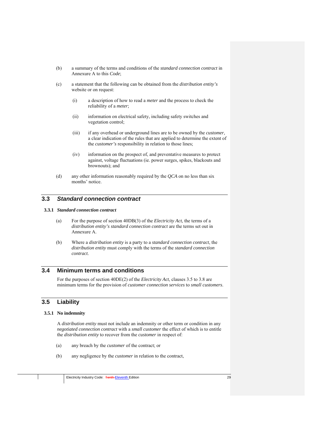- (b) a summary of the terms and conditions of the *standard connection contract* in Annexure A to this *Code*;
- (c) a statement that the following can be obtained from the *distribution entity's*  website or on request:
	- (i) a description of how to read a *meter* and the process to check the reliability of a *meter*;
	- (ii) information on electrical safety, including safety switches and vegetation control;
	- (iii) if any overhead or underground lines are to be owned by the *customer*, a clear indication of the rules that are applied to determine the extent of the *customer's* responsibility in relation to those lines;
	- (iv) information on the prospect of, and preventative measures to protect against, voltage fluctuations (ie. power surges, spikes, blackouts and brownouts); and
- (d) any other information reasonably required by the *QCA* on no less than six months' notice.

# **3.3** *Standard connection contract*

#### **3.3.1** *Standard connection contract*

- (a) For the purpose of section 40DB(3) of the *Electricity Act*, the terms of a *distribution entity's standard connection contract* are the terms set out in Annexure A.
- (b) Where a *distribution entity* is a party to a *standard connection contract*, the *distribution entity* must comply with the terms of the *standard connection contract*.

# **3.4 Minimum terms and conditions**

For the purposes of section 40DE(2) of the *Electricity Act*, clauses 3.5 to 3.8 are minimum terms for the provision of *customer connection services* to *small customers*.

# **3.5 Liability**

#### **3.5.1 No indemnity**

A *distribution entity* must not include an indemnity or other term or condition in any *negotiated connection contract* with a *small customer* the effect of which is to entitle the *distribution entity* to recover from the *customer* in respect of:

- (a) any breach by the *customer* of the contract; or
- (b) any negligence by the *customer* in relation to the contract,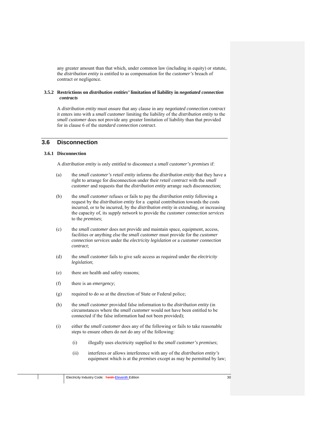any greater amount than that which, under common law (including in equity) or statute, the *distribution entity* is entitled to as compensation for the *customer's* breach of contract or negligence.

#### **3.5.2 Restrictions on** *distribution entities'* **limitation of liability in** *negotiated connection contracts*

A *distribution entity* must ensure that any clause in any *negotiated connection contract* it enters into with a *small customer* limiting the liability of the *distribution entity* to the *small customer* does not provide any greater limitation of liability than that provided for in clause 6 of the *standard connection contract*.

# **3.6 Disconnection**

#### **3.6.1 Disconnection**

A *distribution entity* is only entitled to disconnect a *small customer's premises* if:

- (a) the *small customer's retail entity* informs the *distribution entity* that they have a right to arrange for disconnection under their *retail contract* with the *small customer* and requests that the *distribution entity* arrange such disconnection;
- (b) the *small customer* refuses or fails to pay the *distribution entity* following a request by the *distribution entity* for a capital contribution towards the costs incurred, or to be incurred, by the *distribution entity* in extending, or increasing the capacity of, its *supply network* to provide the *customer connection services* to the *premises*;
- (c) the *small customer* does not provide and maintain space, equipment, access, facilities or anything else the *small customer* must provide for the *customer connection services* under the *electricity legislation* or a *customer connection contract*;
- (d) the *small customer* fails to give safe access as required under the *electricity legislation*;
- (e) there are health and safety reasons;
- (f) there is an *emergency*;
- (g) required to do so at the direction of State or Federal police;
- (h) the *small customer* provided false information to the *distribution entity* (in circumstances where the *small customer* would not have been entitled to be connected if the false information had not been provided);
- (i) either the *small customer* does any of the following or fails to take reasonable steps to ensure others do not do any of the following:
	- (i) illegally uses electricity supplied to the *small customer's premises*;
	- (ii) interferes or allows interference with any of the *distribution entity's* equipment which is at the *premises* except as may be permitted by law;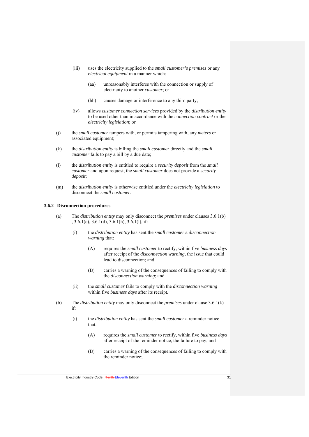- (iii) uses the electricity supplied to the *small customer's premises* or any *electrical equipment* in a manner which:
	- (aa) unreasonably interferes with the connection or supply of electricity to another *customer*; or
	- (bb) causes damage or interference to any third party;
- (iv) allows *customer connection services* provided by the *distribution entity* to be used other than in accordance with the *connection contract* or the *electricity legislation*; or
- (j) the *small customer* tampers with, or permits tampering with, any *meters* or associated equipment;
- (k) the *distribution entity* is billing the *small customer* directly and the *small customer* fails to pay a bill by a due date;
- (l) the *distribution entity* is entitled to require a *security deposit* from the *small customer* and upon request, the *small customer* does not provide a *security deposit*;
- (m) the *distribution entity* is otherwise entitled under the *electricity legislation* to disconnect the *small customer*.

#### **3.6.2 Disconnection procedures**

- (a) The *distribution entity* may only disconnect the *premises* under clauses 3.6.1(b)  $, 3.6.1(c), 3.6.1(d), 3.6.1(h), 3.6.1(l),$  if:
	- (i) the *distribution entity* has sent the *small customer* a *disconnection warning* that:
		- (A) requires the *small customer* to rectify, within five *business days*  after receipt of the *disconnection warning*, the issue that could lead to disconnection; and
		- (B) carries a warning of the consequences of failing to comply with the *disconnection warning*; and
	- (ii) the *small customer* fails to comply with the *disconnection warning* within five *business days* after its receipt.
- (b) The *distribution entity* may only disconnect the *premises* under clause 3.6.1(k) if:
	- (i) the *distribution entity* has sent the *small customer* a reminder notice that:
		- (A) requires the *small customer* to rectify, within five *business days*  after receipt of the reminder notice, the failure to pay; and
		- (B) carries a warning of the consequences of failing to comply with the reminder notice;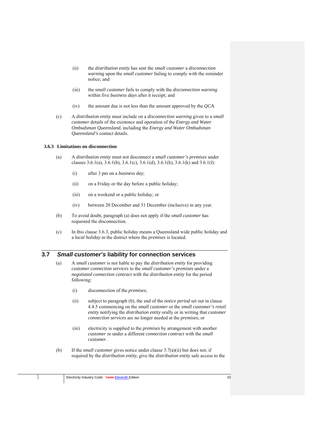- (ii) the *distribution entity* has sent the *small customer* a *disconnection warning* upon the *small customer* failing to comply with the reminder notice; and
- (iii) the *small customer* fails to comply with the *disconnection warning* within five *business days* after it receipt; and
- (iv) the amount due is not less than the amount approved by the *QCA*.
- (c) A *distribution entity* must include on a *disconnection warning* given to a *small customer* details of the existence and operation of the *Energy and Water Ombudsman Queensland*, including the *Energy and Water Ombudsman Queensland's* contact details.

#### **3.6.3 Limitations on disconnection**

- (a) A *distribution entity* must not disconnect a *small customer's premises* under clauses  $3.6.1(a)$ ,  $3.6.1(b)$ ,  $3.6.1(c)$ ,  $3.6.1(d)$ ,  $3.6.1(h)$ ,  $3.6.1(k)$  and  $3.6.1(l)$ :
	- (i) after 3 pm on a *business day*;
	- (ii) on a Friday or the day before a public holiday;
	- (iii) on a weekend or a public holiday; or
	- (iv) between 20 December and 31 December (inclusive) in any year.
- (b) To avoid doubt, paragraph (a) does not apply if the *small customer* has requested the disconnection.
- (c) In this clause 3.6.3, public holiday means a Queensland wide public holiday and a *local holiday* in the district where the *premises* is located.

# **3.7** *Small customer's* **liability for connection services**

- (a) A *small customer* is not liable to pay the *distribution entity* for providing *customer connection services* to the *small customer's premises* under a *negotiated connection contract* with the *distribution entity* for the period following:
	- (i) disconnection of the *premises*;
	- (ii) subject to paragraph (b), the end of the *notice period* set out in clause 4.4.5 commencing on the *small customer* or the *small customer's retail entity* notifying the *distribution entity* orally or in writing that *customer connection services* are no longer needed at the *premises*; or
	- (iii) electricity is supplied to the *premises* by arrangement with another *customer* or under a different *connection contract* with the *small customer*.
- (b) If the *small customer* gives notice under clause 3.7(a)(ii) but does not, if required by the *distribution entity*, give the *distribution entity* safe access to the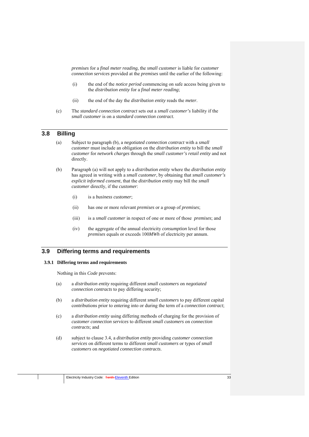*premises* for a *final meter reading*, the *small customer* is liable for *customer connection services* provided at the *premises* until the earlier of the following:

- (i) the end of the *notice period* commencing on safe access being given to the *distribution entity* for a *final meter reading*;
- (ii) the end of the day the *distribution entity* reads the *meter*.
- (c) The *standard connection contract* sets out a *small customer's* liability if the *small customer* is on a *standard connection contract*.

# **3.8 Billing**

- (a) Subject to paragraph (b), a *negotiated connection contract* with a *small customer* must include an obligation on the *distribution entity* to bill the *small customer* for *network charges* through the *small customer's retail entity* and not directly.
- (b) Paragraph (a) will not apply to a *distribution entity* where the *distribution entity* has agreed in writing with a *small customer*, by obtaining that *small customer's explicit informed consent*, that the *distribution entity* may bill the *small customer* directly, if the *customer*:
	- (i) is a *business customer*;
	- (ii) has one or more relevant *premises* or a group of *premises*;
	- (iii) is a *small customer* in respect of one or more of those *premises*; and
	- (iv) the aggregate of the annual electricity *consumption* level for those *premises* equals or exceeds 100*MWh* of electricity per annum.

## **3.9 Differing terms and requirements**

#### **3.9.1 Differing terms and requirements**

Nothing in this *Code* prevents:

- (a) a *distribution entity* requiring different *small customers* on *negotiated connection contracts* to pay differing security;
- (b) a *distribution entity* requiring different *small customers* to pay different capital contributions prior to entering into or during the term of a *connection contract*;
- (c) a *distribution entity* using differing methods of charging for the provision of *customer connection services* to different *small customers* on *connection contracts*; and
- (d) subject to clause 3.4, a *distribution entity* providing *customer connection services* on different terms to different *small customers* or types of *small customers* on *negotiated connection contracts*.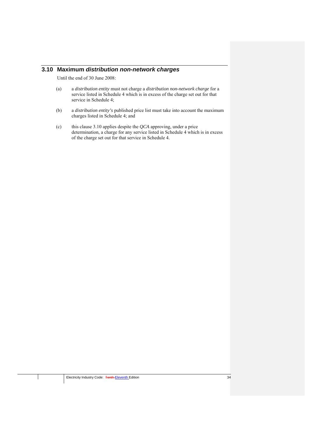# **3.10 Maximum** *distribution non-network charges*

Until the end of 30 June 2008:

- (a) a *distribution entity* must not charge a *distribution non-network charge* for a service listed in Schedule 4 which is in excess of the charge set out for that service in Schedule 4;
- (b) a *distribution entity's* published price list must take into account the maximum charges listed in Schedule 4; and
- (c) this clause 3.10 applies despite the *QCA* approving, under a price determination, a charge for any service listed in Schedule 4 which is in excess of the charge set out for that service in Schedule 4.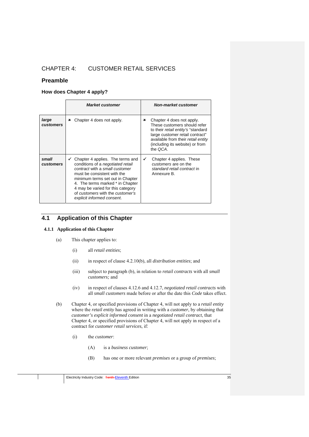# CHAPTER 4: CUSTOMER RETAIL SERVICES

# **Preamble**

# **How does Chapter 4 apply?**

|                           | <b>Market customer</b>                                                                                                                                                                                                                                                                                                            | <b>Non-market customer</b>                                                                                                                                                                                                    |
|---------------------------|-----------------------------------------------------------------------------------------------------------------------------------------------------------------------------------------------------------------------------------------------------------------------------------------------------------------------------------|-------------------------------------------------------------------------------------------------------------------------------------------------------------------------------------------------------------------------------|
| large<br><b>customers</b> | Chapter 4 does not apply.<br>×                                                                                                                                                                                                                                                                                                    | Chapter 4 does not apply.<br>×<br>These customers should refer<br>to their retail entity's "standard"<br>large customer retail contract"<br>available from their retail entity<br>(including its website) or from<br>the OCA. |
| small<br>customers        | Chapter 4 applies. The terms and<br>v<br>conditions of a <i>negotiated</i> retail<br>contract with a small customer<br>must be consistent with the<br>minimum terms set out in Chapter<br>4. The terms marked * in Chapter<br>4 may be varied for this category<br>of customers with the customer's<br>explicit informed consent. | Chapter 4 applies. These<br>✓<br>customers are on the<br>standard retail contract in<br>Annexure B.                                                                                                                           |

# **4.1 Application of this Chapter**

# **4.1.1 Application of this Chapter**

- (a) This chapter applies to:
	- (i) all *retail entities*;
	- (ii) in respect of clause 4.2.10(b), all *distribution entities*; and
	- (iii) subject to paragraph (b), in relation to *retail contracts* with all *small customers;* and
	- (iv) in respect of clauses 4.12.6 and 4.12.7, *negotiated retail contracts* with all *small customers* made before or after the date this *Code* takes effect.
- (b) Chapter 4, or specified provisions of Chapter 4, will not apply to a *retail entity* where the *retail entity* has agreed in writing with a *customer*, by obtaining that *customer's explicit informed consent* in a *negotiated retail contract*, that Chapter 4, or specified provisions of Chapter 4, will not apply in respect of a contract for *customer retail services*, if:
	- (i) the *customer*:
		- (A) is a *business customer*;
		- (B) has one or more relevant *premises* or a group of *premises*;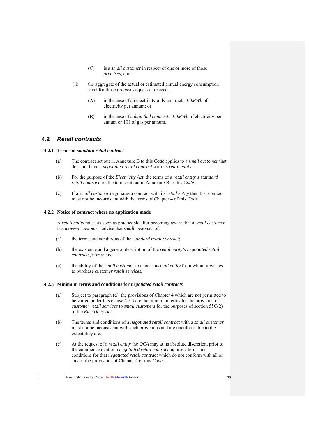- (C) is a *small customer* in respect of one or more of those *premises*; and
- (ii) the aggregate of the actual or estimated annual energy consumption level for those *premises* equals or exceeds:
	- (A) in the case of an electricity only contract, 100*MWh* of electricity per annum; or
	- (B) in the case of a *dual fuel contract*, 100*MWh* of electricity per annum or 1TJ of gas per annum.

# **4.2** *Retail contracts*

# **4.2.1 Terms of** *standard retail contract*

- (a) The contract set out in Annexure B to this *Code* applies to a s*mall customer* that does not have a *negotiated retail contract* with its *retail entity*.
- (b) For the purpose of the *Electricity Act*, the terms of a *retail entity's standard retail contract* are the terms set out in Annexure B to this *Code*.
- (c) If a *small customer* negotiates a contract with its *retail entity* then that contract must not be inconsistent with the terms of Chapter 4 of this *Code.*

#### **4.2.2 Notice of contract where no application made**

A *retail entity* must, as soon as practicable after becoming aware that a *small customer*  is a *move-in customer*, advise that *small customer* of:

- (a) the terms and conditions of the *standard retail contract*;
- (b) the existence and a general description of the *retail entity's negotiated retail contracts*, if any; and
- (c) the ability of the *small customer* to choose a *retail entity* from whom it wishes to purchase *customer retail services.*

## **4.2.3 Minimum terms and conditions for** *negotiated retail contracts*

- (a) Subject to paragraph (d), the provisions of Chapter 4 which are not permitted to be varied under this clause 4.2.3 are the minimum terms for the provision of *customer retail services* to *small customers* for the purposes of section 55C(2) of the *Electricity Act*.
- (b) The terms and conditions of a *negotiated retail contract* with a *small customer* must not be inconsistent with such provisions and are unenforceable to the extent they are.
- (c) At the request of a *retail entity* the *QCA* may at its absolute discretion, prior to the commencement of a *negotiated retail contract*, approve terms and conditions for that *negotiated retail contract* which do not conform with all or any of the provisions of Chapter 4 of this *Code*.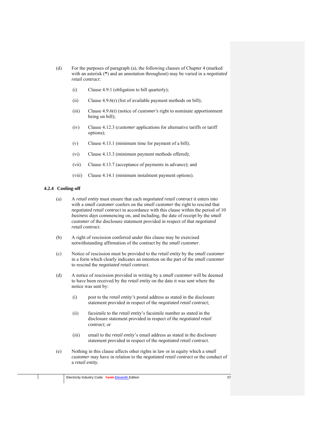- (d) For the purposes of paragraph (a), the following clauses of Chapter 4 (marked with an asterisk (**\***) and an annotation throughout) may be varied in a *negotiated retail contract*:
	- (i) Clause 4.9.1 (obligation to bill quarterly);
	- (ii) Clause 4.9.6(r) (list of available payment methods on bill);
	- (iii) Clause 4.9.6(t) (notice of *customer's* right to nominate apportionment being on bill);
	- (iv) Clause 4.12.3 (*customer* applications for alternative tariffs or tariff options);
	- (v) Clause 4.13.1 (minimum time for payment of a bill);
	- (vi) Clause 4.13.3 (minimum payment methods offered);
	- (vii) Clause 4.13.7 (acceptance of payments in advance); and
	- (viii) Clause 4.14.1 (minimum instalment payment options).

#### **4.2.4 Cooling-off**

- (a) A *retail entity* must ensure that each *negotiated retail contract* it enters into with a *small customer* confers on the *small customer* the right to rescind that *negotiated retail contract* in accordance with this clause within the period of 10 *business days* commencing on, and including, the date of receipt by the *small customer* of the disclosure statement provided in respect of that *negotiated retail contract*.
- (b) A right of rescission conferred under this clause may be exercised notwithstanding affirmation of the contract by the *small customer*.
- (c) Notice of rescission must be provided to the *retail entity* by the *small customer* in a form which clearly indicates an intention on the part of the *small customer* to rescind the *negotiated retail contract*.
- (d) A notice of rescission provided in writing by a *small customer* will be deemed to have been received by the *retail entity* on the date it was sent where the notice was sent by:
	- (i) post to the *retail entity's* postal address as stated in the disclosure statement provided in respect of the *negotiated retail contract*;
	- (ii) facsimile to the *retail entity*'s facsimile number as stated in the disclosure statement provided in respect of the *negotiated retail contract*; or
	- (iii) email to the *retail entity*'s email address as stated in the disclosure statement provided in respect of the *negotiated retail contract*.
- (e) Nothing in this clause affects other rights in law or in equity which a *small customer* may have in relation to the *negotiated retail contract* or the conduct of a *retail entity*.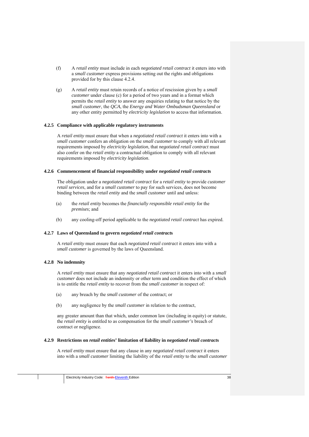- (f) A *retail entity* must include in each *negotiated retail contract* it enters into with a *small customer* express provisions setting out the rights and obligations provided for by this clause 4.2.4.
- (g) A *retail entity* must retain records of a notice of rescission given by a *small customer* under clause (c) for a period of two years and in a format which permits the *retail entity* to answer any enquiries relating to that notice by the *small customer*, the *QCA*, the *Energy and Water Ombudsman Queensland* or any other entity permitted by *electricity legislation* to access that information.

## **4.2.5 Compliance with applicable regulatory instruments**

A *retail entity* must ensure that when a *negotiated retail contract* it enters into with a *small customer* confers an obligation on the *small customer* to comply with all relevant requirements imposed by *electricity legislation*, that *negotiated retail contract* must also confer on the *retail entity* a contractual obligation to comply with all relevant requirements imposed by *electricity legislation*.

### **4.2.6 Commencement of financial responsibility under** *negotiated retail contract***s**

The obligation under a *negotiated retail contract* for a *retail entity* to provide *customer retail services*, and for a *small customer* to pay for such services, does not become binding between the *retail entity* and the *small customer* until and unless:

- (a) the *retail entity* becomes the *financially responsible retail entity* for the *premises*; and
- (b) any cooling-off period applicable to the *negotiated retail contract* has expired.

#### **4.2.7 Laws of Queensland to govern** *negotiated retail contract***s**

A *retail entity* must ensure that each *negotiated retail contract* it enters into with a *small customer* is governed by the laws of Queensland.

## **4.2.8 No indemnity**

A *retail entity* must ensure that any *negotiated retail contract* it enters into with a *small customer* does not include an indemnity or other term and condition the effect of which is to entitle the *retail entity* to recover from the *small customer* in respect of:

- (a) any breach by the *small customer* of the contract; or
- (b) any negligence by the *small customer* in relation to the contract,

any greater amount than that which, under common law (including in equity) or statute, the *retail entity* is entitled to as compensation for the *small customer's* breach of contract or negligence.

#### **4.2.9 Restrictions on** *retail entitie***s' limitation of liability in** *negotiated retail contract***s**

A *retail entity* must ensure that any clause in any *negotiated retail contract* it enters into with a *small customer* limiting the liability of the *retail entity* to the *small customer*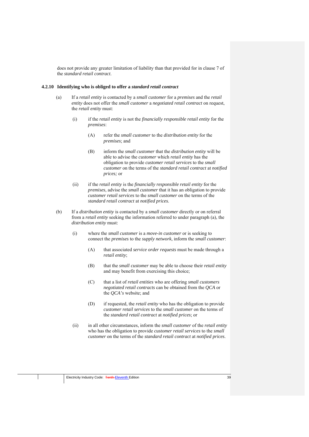does not provide any greater limitation of liability than that provided for in clause 7 of the *standard retail contract*.

#### **4.2.10 Identifying who is obliged to offer a** *standard retail contract*

- (a) If a *retail entity* is contacted by a *small customer* for a *premises* and the *retail entity* does not offer the *small customer* a *negotiated retail contract* on request, the *retail entity* must:
	- (i) if the *retail entity* is not the *financially responsible retail entity* for the *premises*:
		- (A) refer the *small customer* to the *distribution entity* for the *premises*; and
		- (B) inform the *small customer* that the *distribution entity* will be able to advise the *customer* which *retail entity* has the obligation to provide *customer retail services* to the *small customer* on the terms of the *standard retail contract* at *notified prices;* or
	- (ii) if the *retail entity* is the *financially responsible retail entity* for the *premises*, advise the *small customer* that it has an obligation to provide *customer retail services* to the *small customer* on the terms of the *standard retail contract* at *notified prices*.
- (b) If a *distribution entity* is contacted by a *small customer* directly or on referral from a *retail entity* seeking the information referred to under paragraph (a), the *distribution entity* must:
	- (i) where the *small customer* is a *move-in customer* or is seeking to connect the *premises* to the *supply network*, inform the *small customer*:
		- (A) that associated *service order requests* must be made through a *retail entity*;
		- (B) that the *small customer* may be able to choose their *retail entity* and may benefit from exercising this choice;
		- (C) that a list of *retail entities* who are offering *small customers negotiated retail contracts* can be obtained from the *QCA* or the *QCA's* website; and
		- (D) if requested, the *retail entity* who has the obligation to provide *customer retail services* to the *small customer* on the terms of the *standard retail contract* at *notified prices*; or
	- (ii) in all other circumstances, inform the *small customer* of the *retail entity* who has the obligation to provide *customer retail services* to the *small customer* on the terms of the *standard retail contract* at *notified prices*.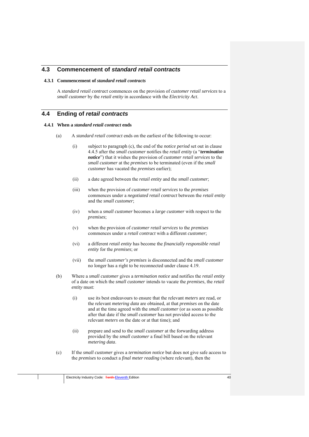# **4.3 Commencement of** *standard retail contracts*

## **4.3.1 Commencement of** *standard retail contracts*

A *standard retail contract* commences on the provision of *customer retail services* to a *small customer* by the *retail entity* in accordance with the *Electricity Act*.

# **4.4 Ending of** *retail contracts*

#### **4.4.1 When a** *standard retail contract* **ends**

- (a) A *standard retail contract* ends on the earliest of the following to occur:
	- (i) subject to paragraph (c), the end of the *notice period* set out in clause 4.4.5 after the *small customer* notifies the *retail entity* (a "*termination notice*") that it wishes the provision of *customer retail services* to the *small customer* at the *premises* to be terminated (even if the *small customer* has vacated the *premises* earlier);
	- (ii) a date agreed between the *retail entity* and the *small customer*;
	- (iii) when the provision of *customer retail services* to the *premises* commences under a *negotiated retail contract* between the *retail entity*  and the *small customer*;
	- (iv) when a *small customer* becomes a *large customer* with respect to the *premises*;
	- (v) when the provision of *customer retail services* to the *premises* commences under a *retail contract* with a different *customer*;
	- (vi) a different *retail entity* has become the *financially responsible retail entity* for the *premises*; or
	- (vii) the *small customer's premises* is disconnected and the *small customer*  no longer has a right to be reconnected under clause 4.19.
- (b) Where a *small customer* gives a *termination notice* and notifies the *retail entity*  of a date on which the *small customer* intends to vacate the *premises*, the *retail entity* must:
	- (i) use its best endeavours to ensure that the relevant *meters* are read, or the relevant *metering data* are obtained, at that *premises* on the date and at the time agreed with the *small customer* (or as soon as possible after that date if the *small customer* has not provided access to the relevant *meters* on the date or at that time); and
	- (ii) prepare and send to the *small customer* at the forwarding address provided by the *small customer* a final bill based on the relevant *metering data*.
- (c) If the *small customer* gives a *termination notice* but does not give safe access to the *premises* to conduct a *final meter reading* (where relevant), then the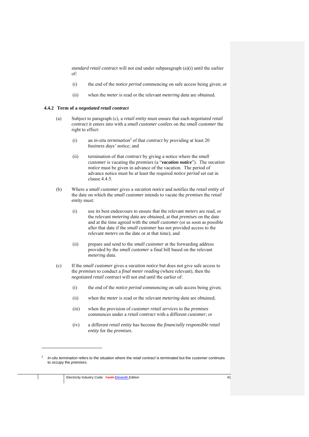*standard retail contract* will not end under subparagraph (a)(i) until the earlier of:

- (i) the end of the *notice period* commencing on safe access being given; or
- (ii) when the *meter* is read or the relevant *metering data* are obtained.

## **4.4.2 Term of a** *negotiated retail contract*

- (a) Subject to paragraph (c), a *retail entity* must ensure that each *negotiated retail contract* it enters into with a *small customer* confers on the *small customer* the right to effect:
	- (i) an *in-situ termination*<sup>2</sup> of that *contract* by providing at least 20 *business days'* notice; and
	- (ii) termination of that *contract* by giving a notice where the *small customer* is vacating the *premises* (a "*vacation notice*"). The *vacation notice* must be given in advance of the vacation. The period of advance notice must be at least the required *notice period* set out in clause 4.4.5.
- (b) Where a *small customer* gives a *vacation notice* and notifies the *retail entity* of the date on which the *small customer* intends to vacate the *premises* the *retail entity* must:
	- (i) use its best endeavours to ensure that the relevant *meters* are read, or the relevant *metering data* are obtained, at that *premises* on the date and at the time agreed with the *small customer* (or as soon as possible after that date if the *small customer* has not provided access to the relevant *meters* on the date or at that time); and
	- (ii) prepare and send to the *small customer* at the forwarding address provided by the *small customer* a final bill based on the relevant *metering data*.
- (c) If the *small customer* gives a *vacation notice* but does not give safe access to the *premises* to conduct a *final meter reading* (where relevant), then the *negotiated retail contract* will not end until the earlier of:
	- (i) the end of the *notice period* commencing on safe access being given;
	- (ii) when the *meter* is read or the relevant *metering data* are obtained;
	- (iii) when the provision of *customer retail services* to the *premises* commences under a *retail contract* with a different *customer*; or
	- (iv) a different *retail entity* has become the *financially responsible retail entity* for the *premises*.

1

<sup>2</sup> *In-situ termination* refers to the situation where the *retail contract* is terminated but the *customer* continues to occupy the *premises*.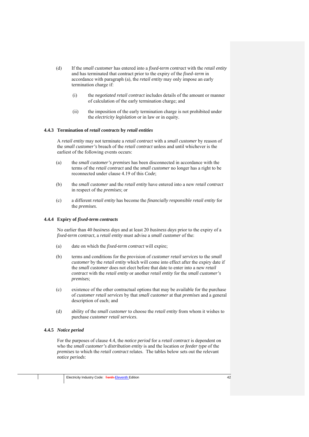- (d) If the *small customer* has entered into a *fixed-term contract* with the *retail entity*  and has terminated that contract prior to the expiry of the *fixed–term* in accordance with paragraph (a), the *retail entity* may only impose an early termination charge if:
	- (i) the *negotiated retail contract* includes details of the amount or manner of calculation of the early termination charge; and
	- (ii) the imposition of the early termination charge is not prohibited under the *electricity legislation* or in law or in equity.

### **4.4.3 Termination of** *retail contracts* **by** *retail entities*

A *retail entity* may not terminate a *retail contract* with a *small customer* by reason of the *small customer's* breach of the *retail contract* unless and until whichever is the earliest of the following events occurs:

- (a) the *small customer's premises* has been disconnected in accordance with the terms of the *retail contract* and the *small customer* no longer has a right to be reconnected under clause 4.19 of this *Code*;
- (b) the *small customer* and the *retail entity* have entered into a new *retail contract* in respect of the *premises*; or
- (c) a different *retail entity* has become the *financially responsible retail entity* for the *premises*.

#### **4.4.4 Expiry of** *fixed-term contracts*

No earlier than 40 *business days* and at least 20 *business days* prior to the expiry of a *fixed-term contract*, a *retail entity* must advise a *small customer* of the:

- (a) date on which the *fixed-term contract* will expire;
- (b) terms and conditions for the provision of *customer retail services* to the *small customer* by the *retail entity* which will come into effect after the expiry date if the *small customer* does not elect before that date to enter into a new *retail contract* with the *retail entity* or another *retail entity* for the *small customer's premises*;
- (c) existence of the other contractual options that may be available for the purchase of *customer retail services* by that *small customer* at that *premises* and a general description of each; and
- (d) ability of the *small customer* to choose the *retail entity* from whom it wishes to purchase *customer retail services*.

#### **4.4.5** *Notice period*

For the purposes of clause 4.4, the *notice period* for a *retail contract* is dependent on who the *small customer's distribution entity* is and the location or *feeder type* of the *premises* to which the *retail contract* relates. The tables below sets out the relevant *notice periods*: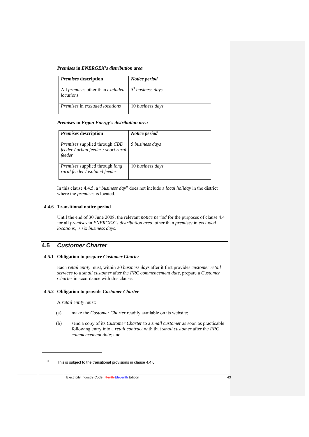### *Premises* **in** *ENERGEX's distribution area*

| <i>Premises</i> description                                                                    | Notice period    |
|------------------------------------------------------------------------------------------------|------------------|
| All <i>premises</i> other than <i>excluded</i> $\left  5^3 \right $ business days<br>locations |                  |
| Premises in excluded locations                                                                 | 10 business days |

## *Premises* **in** *Ergon Energy's distribution area*

| <i>Premises</i> description                                                                  | Notice period    |
|----------------------------------------------------------------------------------------------|------------------|
| <i>Premises</i> supplied through <i>CBD</i><br>feeder / urban feeder / short rural<br>feeder | 5 business days  |
| <i>Premises</i> supplied through <i>long</i><br>rural feeder / isolated feeder               | 10 business days |

In this clause 4.4.5, a "*business day*" does not include a *local holiday* in the district where the *premises* is located.

## **4.4.6 Transitional notice period**

Until the end of 30 June 2008, the relevant *notice period* for the purposes of clause 4.4 for all *premises* in *ENERGEX's distribution area*, other than *premises* in *excluded locations*, is six *business days*.

# **4.5** *Customer Charter*

## **4.5.1 Obligation to prepare** *Customer Charter*

Each *retail entity* must, within 20 *business days* after it first provides *customer retail services* to a *small customer* after the *FRC commencement date*, prepare a *Customer Charter* in accordance with this clause.

## **4.5.2 Obligation to provide** *Customer Charter*

A *retail entity* must:

<u>.</u>

- (a) make the *Customer Charter* readily available on its website;
- (b) send a copy of its *Customer Charter* to a *small customer* as soon as practicable following entry into a *retail contract* with that *small customer* after the *FRC commencement date*; and

<sup>3</sup> This is subject to the transitional provisions in clause 4.4.6.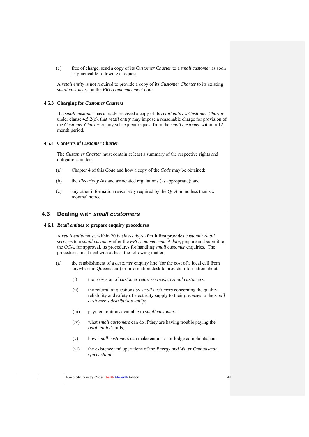(c) free of charge, send a copy of its *Customer Charter* to a *small customer* as soon as practicable following a request.

A *retail entity* is not required to provide a copy of its *Customer Charter* to its existing *small customers* on the *FRC commencement date*.

## **4.5.3 Charging for** *Customer Charters*

If a *small customer* has already received a copy of its *retail entity's Customer Charter*  under clause 4.5.2(c), that *retail entity* may impose a reasonable charge for provision of the *Customer Charter* on any subsequent request from the *small customer* within a 12 month period.

## **4.5.4 Contents of** *Customer Charter*

The *Customer Charter* must contain at least a summary of the respective rights and obligations under:

- (a) Chapter 4 of this *Code* and how a copy of the *Code* may be obtained;
- (b) the *Electricity Act* and associated regulations (as appropriate); and
- (c) any other information reasonably required by the *QCA* on no less than six months' notice.

# **4.6 Dealing with** *small customers*

## **4.6.1** *Retail entities* **to prepare enquiry procedures**

A *retail entity* must, within 20 *business days* after it first provides *customer retail services* to a *small customer* after the *FRC commencement date*, prepare and submit to the *QCA*, for approval, its procedures for handling *small customer* enquiries. The procedures must deal with at least the following matters:

- (a) the establishment of a *customer* enquiry line (for the cost of a local call from anywhere in Queensland) or information desk to provide information about:
	- (i) the provision of *customer retail services* to *small customers*;
	- (ii) the referral of questions by *small customers* concerning the quality, reliability and safety of electricity supply to their *premises* to the *small customer's distribution entity*;
	- (iii) payment options available to *small customers*;
	- (iv) what *small customers* can do if they are having trouble paying the *retail entity's* bills;
	- (v) how *small customers* can make enquiries or lodge complaints; and
	- (vi) the existence and operations of the *Energy and Water Ombudsman Queensland*;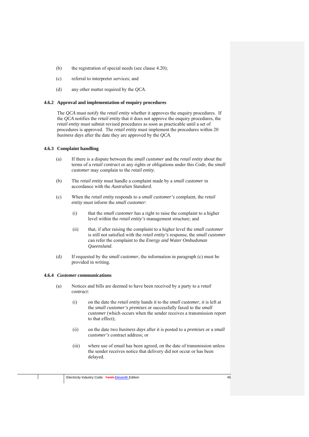- (b) the registration of special needs (see clause 4.20);
- (c) referral to interpreter services; and
- (d) any other matter required by the *QCA*.

## **4.6.2 Approval and implementation of enquiry procedures**

The *QCA* must notify the *retail entity* whether it approves the enquiry procedures. If the *QCA* notifies the *retail entity* that it does not approve the enquiry procedures, the *retail entity* must submit revised procedures as soon as practicable until a set of procedures is approved. The *retail entity* must implement the procedures within 20 *business days* after the date they are approved by the *QCA*.

## **4.6.3 Complaint handling**

- (a) If there is a dispute between the *small customer* and the *retail entity* about the terms of a *retail contract* or any rights or obligations under this *Code*, the *small customer* may complain to the *retail entity*.
- (b) The *retail entity* must handle a complaint made by a *small customer* in accordance with the *Australian Standard.*
- (c) When the *retail entity* responds to a *small customer's* complaint, the *retail entity* must inform the *small customer*:
	- (i) that the *small customer* has a right to raise the complaint to a higher level within the *retail entity's* management structure; and
	- (ii) that, if after raising the complaint to a higher level the *small customer*  is still not satisfied with the *retail entity's* response, the *small customer*  can refer the complaint to the *Energy and Water Ombudsman Queensland*.
- (d) If requested by the *small customer*, the information in paragraph (c) must be provided in writing.

# **4.6.4** *Customer* **communications**

- (a) Notices and bills are deemed to have been received by a party to a *retail contract*:
	- (i) on the date the *retail entity* hands it to the *small customer*, it is left at the *small customer's premises* or successfully faxed to the *small customer* (which occurs when the sender receives a transmission report to that effect);
	- (ii) on the date two *business days* after it is posted to a *premises* or a *small customer's* contract address; or
	- (iii) where use of email has been agreed, on the date of transmission unless the sender receives notice that delivery did not occur or has been delayed.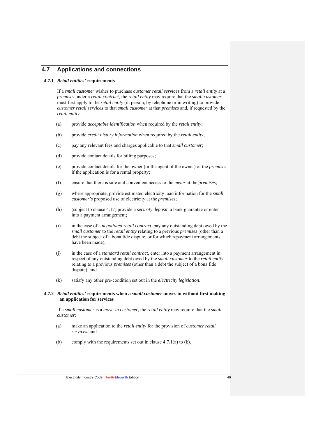# **4.7 Applications and connections**

## **4.7.1** *Retail entities'* **requirements**

If a *small customer* wishes to purchase *customer retail services* from a *retail entity* at a *premises* under a *retail contract*, the *retail entity* may require that the *small customer*  must first apply to the *retail entity* (in person, by telephone or in writing) to provide *customer retail services* to that *small customer* at that *premises* and, if requested by the *retail entity*:

- (a) provide *acceptable identification* when required by the *retail entity*;
- (b) provide *credit history information* when required by the *retail entity*;
- (c) pay any relevant fees and charges applicable to that *small customer*;
- (d) provide contact details for billing purposes;
- (e) provide contact details for the owner (or the agent of the owner) of the *premises* if the application is for a rental property;
- (f) ensure that there is safe and convenient access to the *meter* at the *premises*;
- (g) where appropriate, provide estimated electricity load information for the *small customer's* proposed use of electricity at the *premises*;
- (h) (subject to clause 4.17) provide a *security deposit*, a bank guarantee or enter into a payment arrangement;
- (i) in the case of a *negotiated retail contract*, pay any outstanding debt owed by the *small customer* to the *retail entity* relating to a previous *premises* (other than a debt the subject of a bona fide dispute, or for which repayment arrangements have been made);
- (j) in the case of a *standard retail contract*, enter into a payment arrangement in respect of any outstanding debt owed by the *small customer* to the *retail entity*  relating to a previous *premises* (other than a debt the subject of a bona fide dispute); and
- (k) satisfy any other pre-condition set out in the *electricity legislation*.

## **4.7.2** *Retail entities'* **requirements when a** *small customer* **moves in without first making an application for services**

If a *small customer* is a *move-in customer*, the *retail entity* may require that the *small customer*:

- (a) make an application to the *retail entity* for the provision of *customer retail services*; and
- (b) comply with the requirements set out in clause  $4.7.1(a)$  to (k).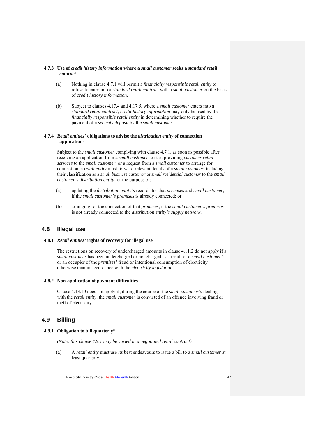### **4.7.3 Use of** *credit history information* **where a** *small customer* **seeks a** *standard retail contract*

- (a) Nothing in clause 4.7.1 will permit a *financially responsible retail entity* to refuse to enter into a *standard retail contract* with a *small customer* on the basis of *credit history information*.
- (b) Subject to clauses 4.17.4 and 4.17.5, where a *small customer* enters into a *standard retail contract*, *credit history information* may only be used by the *financially responsible retail entity* in determining whether to require the payment of a *security deposit* by the *small customer*.

## **4.7.4** *Retail entities'* **obligations to advise the** *distribution entity* **of connection applications**

Subject to the *small customer* complying with clause 4.7.1, as soon as possible after receiving an application from a *small customer* to start providing *customer retail services* to the *small customer*, or a request from a *small customer* to arrange for connection, a *retail entity* must forward relevant details of a *small customer,* including their classification as a *small business customer* or *small residential customer* to the *small customer's distribution entity* for the purpose of:

- (a) updating the *distribution entity's* records for that *premises* and *small customer*, if the *small customer's premises* is already connected; or
- (b) arranging for the connection of that *premises*, if the *small customer's premises* is not already connected to the *distribution entity's supply network*.

# **4.8 Illegal use**

# **4.8.1** *Retail entities'* **rights of recovery for illegal use**

The restrictions on recovery of undercharged amounts in clause 4.11.2 do not apply if a *small customer* has been undercharged or not charged as a result of a *small customer's* or an occupier of the *premises'* fraud or intentional consumption of electricity otherwise than in accordance with the *electricity legislation*.

# **4.8.2 Non-application of payment difficulties**

Clause 4.13.10 does not apply if, during the course of the *small customer's* dealings with the *retail entity,* the *small customer* is convicted of an offence involving fraud or theft of electricity.

# **4.9 Billing**

# **4.9.1 Obligation to bill quarterly\***

*(Note: this clause 4.9.1 may be varied in a negotiated retail contract)* 

(a) A *retail entity* must use its best endeavours to issue a bill to a *small customer* at least quarterly.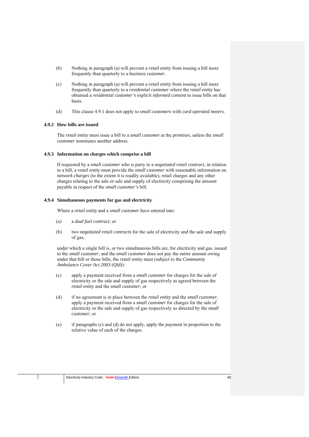- (b) Nothing in paragraph (a) will prevent a *retail entity* from issuing a bill more frequently than quarterly to a *business customer*.
- (c) Nothing in paragraph (a) will prevent a *retail entity* from issuing a bill more frequently than quarterly to a *residential customer* where the *retail entity* has obtained a *residential customer's explicit informed consent* to issue bills on that basis.
- (d) This clause 4.9.1 does not apply to *small customers* with *card operated meters*.

### **4.9.2 How bills are issued**

The *retail entity* must issue a bill to a *small customer* at the *premises*, unless the *small customer* nominates another address.

### **4.9.3 Information on charges which comprise a bill**

If requested by a *small customer* who is party to a *negotiated retail contract*, in relation to a bill, a *retail entity* must provide the *small customer* with reasonable information on *network charges* (to the extent it is readily available), retail charges and any other charges relating to the sale or sale and supply of electricity comprising the amount payable in respect of the *small customer's* bill.

#### **4.9.4 Simultaneous payments for gas and electricity**

Where a *retail entity* and a *small customer* have entered into:

- (a) a *dual fuel contract*; or
- (b) two *negotiated retail contracts* for the sale of electricity and the sale and supply of gas,

under which a single bill is, or two simultaneous bills are, for electricity and gas, issued to the *small customer*, and the *small customer* does not pay the entire amount owing under that bill or those bills, the *retail entity* must (subject to the *Community Ambulance Cover Act 2003* (Qld)):

- (c) apply a payment received from a *small customer* for charges for the sale of electricity or the sale and supply of gas respectively as agreed between the *retail entity* and the *small customer*; or
- (d) if no agreement is in place between the *retail entity* and the *small customer*, apply a payment received from a *small customer* for charges for the sale of electricity or the sale and supply of gas respectively as directed by the *small customer*; or
- (e) if paragraphs (c) and (d) do not apply, apply the payment in proportion to the relative value of each of the charges.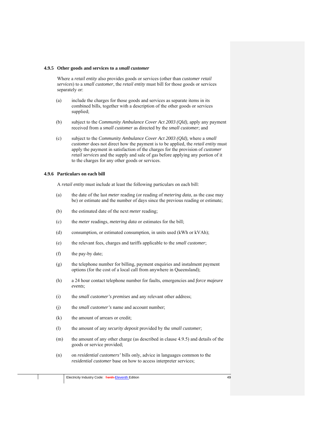#### **4.9.5 Other goods and services to a** *small customer*

Where a *retail entity* also provides goods or services (other than *customer retail services*) to a *small customer*, the *retail entity* must bill for those goods or services separately or:

- (a) include the charges for those goods and services as separate items in its combined bills, together with a description of the other goods or services supplied;
- (b) subject to the *Community Ambulance Cover Act 2003 (Qld),* apply any payment received from a *small customer* as directed by the *small customer*; and
- (c) subject to the *Community Ambulance Cover Act 2003 (Qld),* where a *small customer* does not direct how the payment is to be applied, the *retail entity* must apply the payment in satisfaction of the charges for the provision of *customer retail services* and the supply and sale of gas before applying any portion of it to the charges for any other goods or services.

## **4.9.6 Particulars on each bill**

A *retail entity* must include at least the following particulars on each bill:

- (a) the date of the last *meter* reading (or reading of *metering data*, as the case may be) or estimate and the number of days since the previous reading or estimate;
- (b) the estimated date of the next *meter* reading;
- (c) the *meter* readings, *metering data* or estimates for the bill;
- (d) consumption, or estimated consumption, in units used (kWh or kVAh);
- (e) the relevant fees, charges and tariffs applicable to the *small customer*;
- (f) the pay-by date;
- (g) the telephone number for billing, payment enquiries and instalment payment options (for the cost of a local call from anywhere in Queensland);
- (h) a 24 hour contact telephone number for faults, emergencies and *force majeure events*;
- (i) the *small customer's premises* and any relevant other address;
- (j) the *small customer's* name and account number;
- (k) the amount of arrears or credit;
- (l) the amount of any *security deposit* provided by the *small customer*;
- (m) the amount of any other charge (as described in clause 4.9.5) and details of the goods or service provided;
- (n) on *residential customers'* bills only, advice in languages common to the *residential customer* base on how to access interpreter services;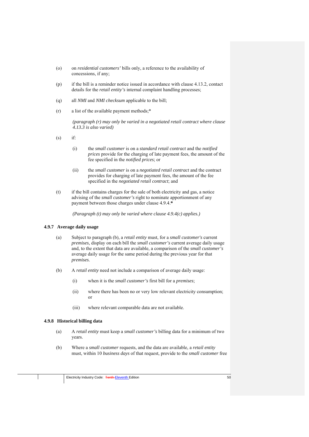- (o) on *residential customers'* bills only, a reference to the availability of concessions, if any;
- (p) if the bill is a reminder notice issued in accordance with clause 4.13.2, contact details for the *retail entity's* internal complaint handling processes;
- (q) all *NMI* and *NMI checksum* applicable to the bill;
- (r) a list of the available payment methods;\*

*(paragraph (r) may only be varied in a negotiated retail contract where clause 4.13.3 is also varied)* 

- $(s)$  if:
	- (i) the *small customer* is on a *standard retail contract* and the *notified prices* provide for the charging of late payment fees, the amount of the fee specified in the *notified prices*; or
	- (ii) the *small customer* is on a *negotiated retail contract* and the contract provides for charging of late payment fees, the amount of the fee specified in the *negotiated retail contract*; and
- (t) if the bill contains charges for the sale of both electricity and gas, a notice advising of the *small customer's* right to nominate apportionment of any payment between those charges under clause 4.9.4.**\***

*(Paragraph (t) may only be varied where clause 4.9.4(c) applies.)*

## **4.9.7 Average daily usage**

- (a) Subject to paragraph (b), a *retail entity* must, for a *small customer's* current *premises*, display on each bill the *small customer's* current average daily usage and, to the extent that data are available, a comparison of the *small customer's* average daily usage for the same period during the previous year for that *premises*.
- (b) A *retail entity* need not include a comparison of average daily usage:
	- (i) when it is the *small customer's* first bill for a *premises*;
	- (ii) where there has been no or very low relevant electricity consumption; or
	- (iii) where relevant comparable data are not available.

# **4.9.8 Historical billing data**

- (a) A *retail entity* must keep a *small customer's* billing data for a minimum of two years.
- (b) Where a *small customer* requests, and the data are available, a *retail entity*  must, within 10 *business days* of that request, provide to the *small customer* free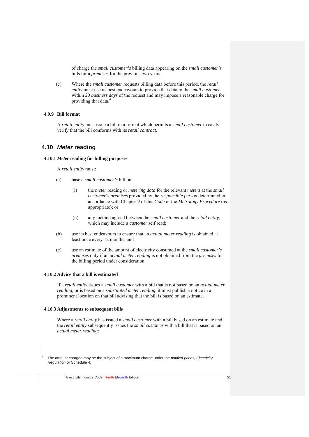of charge the *small customer's* billing data appearing on the *small customer's*  bills for a *premises* for the previous two years.

(c) Where the *small customer* requests billing data before this period, the *retail entity* must use its best endeavours to provide that data to the *small customer*  within 20 *business days* of the request and may impose a reasonable charge for providing that data.4

## **4.9.9 Bill format**

A *retail entity* must issue a bill in a format which permits a *small customer* to easily verify that the bill conforms with its *retail contract*.

# **4.10** *Meter* **reading**

#### **4.10.1** *Meter* **reading for billing purposes**

A *retail entity* must:

- (a) base a *small customer's* bill on:
	- (i) the *meter* reading or *metering data* for the relevant *meters* at the *small customer*'s *premises* provided by the *responsible person* determined in accordance with Chapter 9 of this *Code* or the *Metrology Procedure* (as appropriate); or
	- (ii) any method agreed between the *small customer* and the *retail entity*, which may include a *customer* self read;
- (b) use its best endeavours to ensure that an *actual meter reading* is obtained at least once every 12 months; and
- (c) use an estimate of the amount of electricity consumed at the *small customer's premises* only if an *actual meter reading* is not obtained from the *premises* for the billing period under consideration.

#### **4.10.2 Advice that a bill is estimated**

If a *retail entity* issues a *small customer* with a bill that is not based on an *actual meter reading,* or is based on a *substituted meter reading*, it must publish a notice in a prominent location on that bill advising that the bill is based on an estimate.

# **4.10.3 Adjustments to subsequent bills**

1

Where a *retail entity* has issued a *small customer* with a bill based on an estimate and the *retail entity* subsequently issues the *small customer* with a bill that is based on an *actual meter reading*:

<sup>4</sup> The amount charged may be the subject of a maximum charge under the *notified prices, Electricity Regulation* or Schedule 4.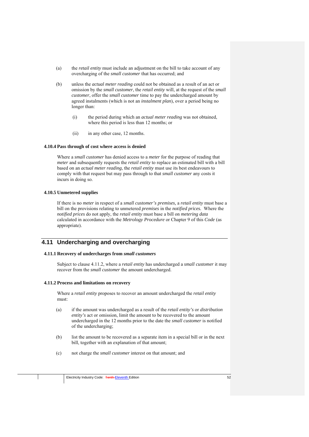- (a) the *retail entity* must include an adjustment on the bill to take account of any overcharging of the *small customer* that has occurred; and
- (b) unless the *actual meter reading* could not be obtained as a result of an act or omission by the *small customer*, the *retail entity* will, at the request of the *small customer*, offer the *small customer* time to pay the undercharged amount by agreed instalments (which is not an *instalment plan*), over a period being no longer than:
	- (i) the period during which an *actual meter reading* was not obtained, where this period is less than 12 months; or
	- (ii) in any other case, 12 months.

## **4.10.4 Pass through of cost where access is denied**

Where a *small customer* has denied access to a *meter* for the purpose of reading that *meter* and subsequently requests the *retail entity* to replace an estimated bill with a bill based on an *actual meter reading*, the *retail entity* must use its best endeavours to comply with that request but may pass through to that *small customer* any costs it incurs in doing so.

# **4.10.5 Unmetered supplies**

If there is no *meter* in respect of a *small customer's premises,* a *retail entity* must base a bill on the provisions relating to unmetered *premises* in the *notified prices.* Where the *notified prices* do not apply, the *retail entity* must base a bill on *metering data*  calculated in accordance with the *Metrology Procedure* or Chapter 9 of this *Code* (as appropriate).

# **4.11 Undercharging and overcharging**

# **4.11.1 Recovery of undercharges from** *small customers*

Subject to clause 4.11.2, where a *retail entity* has undercharged a *small customer* it may recover from the *small customer* the amount undercharged.

# **4.11.2 Process and limitations on recovery**

Where a *retail entity* proposes to recover an amount undercharged the *retail entity*  must:

- (a) if the amount was undercharged as a result of the *retail entity's* or *distribution entity's* act or omission, limit the amount to be recovered to the amount undercharged in the 12 months prior to the date the *small customer* is notified of the undercharging;
- (b) list the amount to be recovered as a separate item in a special bill or in the next bill, together with an explanation of that amount;
- (c) not charge the *small customer* interest on that amount; and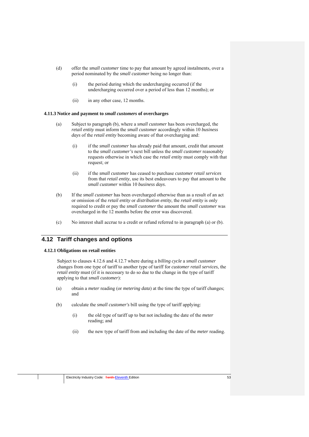- (d) offer the *small customer* time to pay that amount by agreed instalments, over a period nominated by the *small customer* being no longer than:
	- (i) the period during which the undercharging occurred (if the undercharging occurred over a period of less than 12 months); or
	- (ii) in any other case, 12 months.

#### **4.11.3 Notice and payment to** *small customers* **of overcharges**

- (a) Subject to paragraph (b), where a *small customer* has been overcharged, the *retail entity* must inform the *small customer* accordingly within 10 *business days* of the *retail entity* becoming aware of that overcharging and:
	- (i) if the *small customer* has already paid that amount, credit that amount to the *small customer's* next bill unless the *small customer* reasonably requests otherwise in which case the *retail entity* must comply with that request; or
	- (ii) if the *small customer* has ceased to purchase *customer retail services*  from that *retail entity*, use its best endeavours to pay that amount to the *small customer* within 10 *business days*.
- (b) If the *small customer* has been overcharged otherwise than as a result of an act or omission of the *retail entity* or *distribution entity*, the *retail entity* is only required to credit or pay the *small customer* the amount the *small customer* was overcharged in the 12 months before the error was discovered.
- (c) No interest shall accrue to a credit or refund referred to in paragraph (a) or (b).

# **4.12 Tariff changes and options**

### **4.12.1 Obligations on retail entities**

Subject to clauses 4.12.6 and 4.12.7 where during a *billing cycle* a *small customer* changes from one type of tariff to another type of tariff for *customer retail services*, the *retail entity* must (if it is necessary to do so due to the change in the type of tariff applying to that *small customer*):

- (a) obtain a *meter* reading (or *metering data*) at the time the type of tariff changes; and
- (b) calculate the *small customer's* bill using the type of tariff applying:
	- (i) the old type of tariff up to but not including the date of the *meter* reading; and
	- (ii) the new type of tariff from and including the date of the *meter* reading.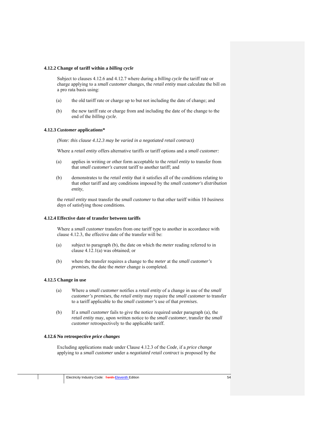#### **4.12.2 Change of tariff within a** *billing cycle*

Subject to clauses 4.12.6 and 4.12.7 where during a *billing cycle* the tariff rate or charge applying to a *small customer* changes, the *retail entity* must calculate the bill on a pro rata basis using:

- (a) the old tariff rate or charge up to but not including the date of change; and
- (b) the new tariff rate or charge from and including the date of the change to the end of the *billing cycle*.

#### **4.12.3** *Customer* **applications\***

*(Note: this clause 4.12.3 may be varied in a negotiated retail contract)*

Where a *retail entity* offers alternative tariffs or tariff options and a *small customer:*

- (a) applies in writing or other form acceptable to the *retail entity* to transfer from that *small customer's* current tariff to another tariff; and
- (b) demonstrates to the *retail entity* that it satisfies all of the conditions relating to that other tariff and any conditions imposed by the *small customer's distribution entity*,

the *retail entity* must transfer the *small customer* to that other tariff within 10 *business days* of satisfying those conditions.

#### **4.12.4 Effective date of transfer between tariffs**

Where a *small customer* transfers from one tariff type to another in accordance with clause 4.12.3, the effective date of the transfer will be:

- (a) subject to paragraph (b), the date on which the *meter* reading referred to in clause 4.12.1(a) was obtained; or
- (b) where the transfer requires a change to the *meter* at the *small customer's premises*, the date the *meter* change is completed.

#### **4.12.5 Change in use**

- (a) Where a *small customer* notifies a *retail entity* of a change in use of the *small customer's premises*, the *retail entity* may require the *small customer* to transfer to a tariff applicable to the *small customer's* use of that *premises*.
- (b) If a *small customer* fails to give the notice required under paragraph (a), the *retail entity* may, upon written notice to the *small customer*, transfer the *small customer* retrospectively to the applicable tariff.

#### **4.12.6 No retrospective** *price changes*

Excluding applications made under Clause 4.12.3 of the *Code*, if a *price change* applying to a *small customer* under a *negotiated retail contract* is proposed by the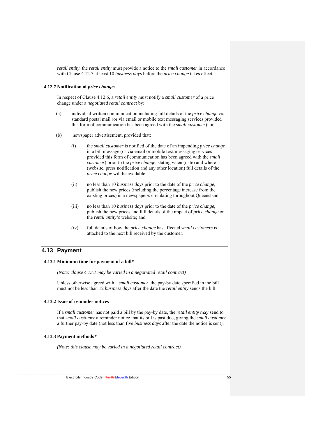*retail entity*, the *retail entity* must provide a notice to the *small customer* in accordance with Clause 4.12.7 at least 10 *business days* before the *price change* takes effect*.* 

### **4.12.7 Notification of** *price changes*

In respect of Clause 4.12.6, a *retail entity* must notify a *small customer* of a price change under a *negotiated retail contract* by:

- (a) individual written communication including full details of the *price change* via standard postal mail (or via email or mobile text messaging services provided this form of communication has been agreed with the *small customer*); or
- (b) newspaper advertisement, provided that:
	- (i) the *small customer* is notified of the date of an impending *price change* in a bill message (or via email or mobile text messaging services provided this form of communication has been agreed with the *small customer*) prior to the *price change*, stating when (date) and where (website, press notification and any other location) full details of the *price change* will be available;
	- (ii) no less than 10 *business days* prior to the date of the *price change*, publish the new prices (including the percentage increase from the existing prices) in a newspaper/s circulating throughout Queensland;
	- (iii) no less than 10 *business days* prior to the date of the *price change*, publish the new prices and full details of the impact of *price change* on the *retail entity's* website; and
	- (iv) full details of how the *price change* has affected *small customers* is attached to the next bill received by the customer.

# **4.13 Payment**

## **4.13.1 Minimum time for payment of a bill\***

*(Note: clause 4.13.1 may be varied in a negotiated retail contract)* 

Unless otherwise agreed with a *small customer*, the pay-by date specified in the bill must not be less than 12 *business days* after the date the *retail entity* sends the bill.

### **4.13.2 Issue of reminder notices**

If a *small customer* has not paid a bill by the pay-by date, the *retail entity* may send to that *small customer* a reminder notice that its bill is past due, giving the *small customer*  a further pay-by date (not less than five *business days* after the date the notice is sent).

#### **4.13.3 Payment methods***\**

*(Note: this clause may be varied in a negotiated retail contract)*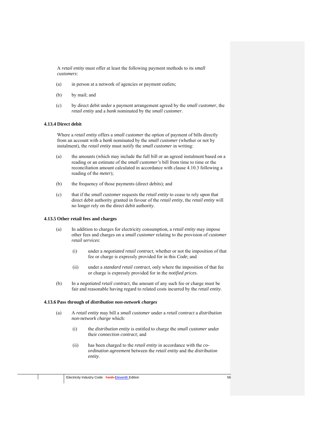A *retail entity* must offer at least the following payment methods to its *small customers*:

- (a) in person at a network of agencies or payment outlets;
- (b) by mail; and
- (c) by direct debit under a payment arrangement agreed by the *small customer*, the *retail entity* and a *bank* nominated by the *small customer*.

## **4.13.4 Direct debit**

Where a *retail entity* offers a *small customer* the option of payment of bills directly from an account with a *bank* nominated by the *small customer* (whether or not by instalment), the *retail entity* must notify the *small customer* in writing:

- (a) the amounts (which may include the full bill or an agreed instalment based on a reading or an estimate of the *small customer's* bill from time to time or the reconciliation amount calculated in accordance with clause 4.10.3 following a reading of the *meter*);
- (b) the frequency of those payments (direct debits); and
- (c) that if the *small customer* requests the *retail entity* to cease to rely upon that direct debit authority granted in favour of the *retail entity*, the *retail entity* will no longer rely on the direct debit authority.

# **4.13.5 Other retail fees and charges**

- (a) In addition to charges for electricity consumption, a *retail entity* may impose other fees and charges on a *small customer* relating to the provision of *customer retail services*:
	- (i) under a *negotiated retail contract*, whether or not the imposition of that fee or charge is expressly provided for in this *Code*; and
	- (ii) under a *standard retail contract*, only where the imposition of that fee or charge is expressly provided for in the *notified prices*.
- (b) In a *negotiated retail contract*, the amount of any such fee or charge must be fair and reasonable having regard to related costs incurred by the *retail entity*.

#### **4.13.6 Pass through of** *distribution non-network charges*

- (a) A *retail entity* may bill a *small customer* under a *retail contract* a *distribution non-network charge* which:
	- (i) the *distribution entity* is entitled to charge the *small customer* under their *connection contract*; and
	- (ii) has been charged to the *retail entity* in accordance with the *coordination agreement* between the *retail entity* and the *distribution entity*.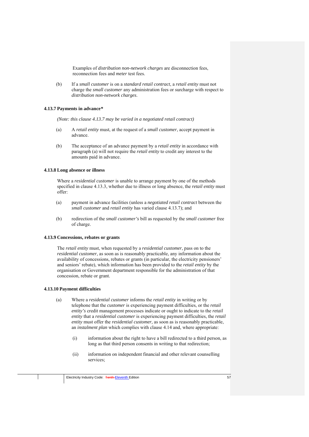Examples of *distribution non-network charges* are disconnection fees, reconnection fees and *meter* test fees.

(b) If a *small customer* is on a *standard retail contract*, a *retail entity* must not charge the *small customer* any administration fees or surcharge with respect to *distribution non-network charges*.

# **4.13.7 Payments in advance***\**

*(Note: this clause 4.13.7 may be varied in a negotiated retail contract)* 

- (a) A *retail entity* must, at the request of a *small customer*, accept payment in advance.
- (b) The acceptance of an advance payment by a *retail entity* in accordance with paragraph (a) will not require the *retail entity* to credit any interest to the amounts paid in advance.

#### **4.13.8 Long absence or illness**

Where a *residential customer* is unable to arrange payment by one of the methods specified in clause 4.13.3, whether due to illness or long absence, the *retail entity* must offer:

- (a) payment in advance facilities (unless a *negotiated retail contract* between the *small customer* and *retail entity* has varied clause 4.13.7); and
- (b) redirection of the *small customer's* bill as requested by the *small customer* free of charge.

#### **4.13.9 Concessions, rebates or grants**

The *retail entity* must, when requested by a *residential customer*, pass on to the *residential customer*, as soon as is reasonably practicable, any information about the availability of concessions, rebates or grants (in particular, the electricity pensioners' and seniors' rebate), which information has been provided to the *retail entity* by the organisation or Government department responsible for the administration of that concession, rebate or grant.

## **4.13.10 Payment difficulties**

- (a) Where a *residential customer* informs the *retail entity* in writing or by telephone that the *customer* is experiencing payment difficulties, or the *retail entity's* credit management processes indicate or ought to indicate to the *retail entity* that a *residential customer* is experiencing payment difficulties, the *retail entity* must offer the *residential customer*, as soon as is reasonably practicable, an *instalment plan* which complies with clause 4.14 and, where appropriate:
	- (i) information about the right to have a bill redirected to a third person, as long as that third person consents in writing to that redirection;
	- (ii) information on independent financial and other relevant counselling services;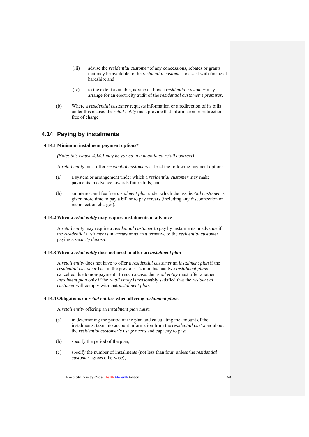- (iii) advise the *residential customer* of any concessions, rebates or grants that may be available to the *residential customer* to assist with financial hardship; and
- (iv) to the extent available, advice on how a *residential customer* may arrange for an electricity audit of the *residential customer's premises*.
- (b) Where a *residential customer* requests information or a redirection of its bills under this clause, the *retail entity* must provide that information or redirection free of charge.

# **4.14 Paying by instalments**

#### **4.14.1 Minimum instalment payment options\***

*(Note: this clause 4.14.1 may be varied in a negotiated retail contract)* 

A *retail entity* must offer *residential customers* at least the following payment options:

- (a) a system or arrangement under which a *residential customer* may make payments in advance towards future bills; and
- (b) an interest and fee free *instalment plan* under which the *residential customer* is given more time to pay a bill or to pay arrears (including any disconnection or reconnection charges).

### **4.14.2 When a** *retail entity* **may require instalments in advance**

A *retail entity* may require a *residential customer* to pay by instalments in advance if the *residential customer* is in arrears or as an alternative to the *residential customer*  paying a *security deposit*.

## **4.14.3 When a** *retail entity* **does not need to offer an** *instalment plan*

A *retail entity* does not have to offer a *residential customer* an *instalment plan* if the *residential customer* has, in the previous 12 months, had two *instalment plan*s cancelled due to non-payment. In such a case, the *retail entity* must offer another *instalment plan* only if the *retail entity* is reasonably satisfied that the *residential customer* will comply with that *instalment plan*.

#### **4.14.4 Obligations on** *retail entities* **when offering** *instalment plan***s**

A *retail entity* offering an *instalment plan* must:

- (a) in determining the period of the plan and calculating the amount of the instalments, take into account information from the *residential customer* about the *residential customer's* usage needs and capacity to pay;
- (b) specify the period of the plan;
- (c) specify the number of instalments (not less than four, unless the *residential customer* agrees otherwise);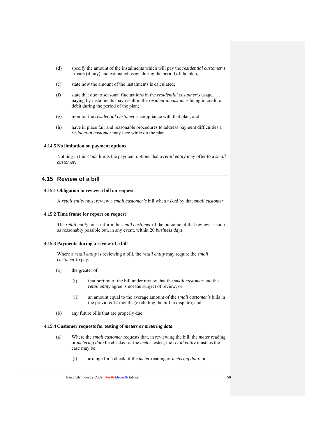- (d) specify the amount of the instalments which will pay the *residential customer's*  arrears (if any) and estimated usage during the period of the plan;
- (e) state how the amount of the instalments is calculated;
- (f) state that due to seasonal fluctuations in the *residential customer's* usage, paying by instalments may result in the *residential customer* being in credit or debit during the period of the plan;
- (g) monitor the *residential customer's* compliance with that plan; and
- (h) have in place fair and reasonable procedures to address payment difficulties a *residential customer* may face while on the plan.

## **4.14.5 No limitation on payment options**

Nothing in this *Code* limits the payment options that a *retail entity* may offer to a *small customer*.

# **4.15 Review of a bill**

### **4.15.1 Obligation to review a bill on request**

A *retail entity* must review a *small customer's* bill when asked by that *small customer*.

#### **4.15.2 Time frame for report on request**

The *retail entity* must inform the *small customer* of the outcome of that review as soon as reasonably possible but, in any event, within 20 *business days*.

## **4.15.3 Payments during a review of a bill**

Where a *retail entity* is reviewing a bill, the *retail entity* may require the *small customer* to pay:

- (a) the greater of:
	- (i) that portion of the bill under review that the *small customer* and the *retail entity* agree is not the subject of review; or
	- (ii) an amount equal to the average amount of the *small customer's* bills in the previous 12 months (excluding the bill in dispute); and
- (b) any future bills that are properly due.

## **4.15.4 Customer requests for testing of** *meters* **or** *metering data*

- (a) Where the *small customer* requests that, in reviewing the bill, the *meter* reading or *metering data* be checked or the *meter* tested, the *retail entity* must, as the case may be:
	- (i) arrange for a check of the *meter* reading or *metering data*; or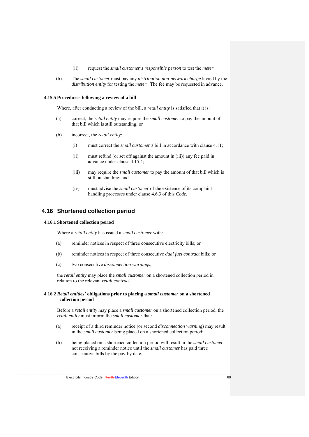- (ii) request the *small customer's responsible person* to test the *meter*.
- (b) The *small customer* must pay any *distribution non-network charge* levied by the *distribution entity* for testing the *meter*. The fee may be requested in advance.

#### **4.15.5 Procedures following a review of a bill**

Where, after conducting a review of the bill, a *retail entity* is satisfied that it is:

- (a) correct, the *retail entity* may require the *small customer* to pay the amount of that bill which is still outstanding; or
- (b) incorrect, the *retail entity*:
	- (i) must correct the *small customer's* bill in accordance with clause 4.11;
	- (ii) must refund (or set off against the amount in (iii)) any fee paid in advance under clause 4.15.4;
	- (iii) may require the *small customer* to pay the amount of that bill which is still outstanding; and
	- (iv) must advise the *small customer* of the existence of its complaint handling processes under clause 4.6.3 of this *Code*.

# **4.16 Shortened collection period**

### **4.16.1 Shortened collection period**

Where a *retail entity* has issued a *small customer* with:

- (a) reminder notices in respect of three consecutive electricity bills; or
- (b) reminder notices in respect of three consecutive *dual fuel contract* bills; or
- (c) two consecutive *disconnection warnings*,

the *retail entity* may place the *small customer* on a shortened collection period in relation to the relevant *retail contract*.

### **4.16.2** *Retail entities'* **obligations prior to placing a** *small customer* **on a shortened collection period**

Before a *retail entity* may place a *small customer* on a shortened collection period, the *retail entity* must inform the *small customer* that:

- (a) receipt of a third reminder notice (or second *disconnection warning*) may result in the *small customer* being placed on a shortened collection period;
- (b) being placed on a shortened collection period will result in the *small customer*  not receiving a reminder notice until the *small customer* has paid three consecutive bills by the pay-by date;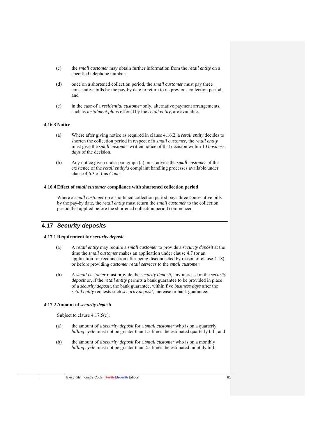- (c) the *small customer* may obtain further information from the *retail entity* on a specified telephone number;
- (d) once on a shortened collection period, the *small customer* must pay three consecutive bills by the pay-by date to return to its previous collection period; and
- (e) in the case of a *residential customer* only, alternative payment arrangements, such as *instalment plan*s offered by the *retail entity*, are available.

## **4.16.3 Notice**

- (a) Where after giving notice as required in clause 4.16.2, a *retail entity* decides to shorten the collection period in respect of a *small customer*, the *retail entity*  must give the *small customer* written notice of that decision within 10 *business days* of the decision.
- (b) Any notice given under paragraph (a) must advise the *small customer* of the existence of the *retail entity's* complaint handling processes available under clause 4.6.3 of this *Code*.

## **4.16.4 Effect of** *small customer* **compliance with shortened collection period**

Where a *small customer* on a shortened collection period pays three consecutive bills by the pay-by date, the *retail entity* must return the *small customer* to the collection period that applied before the shortened collection period commenced.

# **4.17** *Security deposits*

## **4.17.1 Requirement for** *security deposit*

- (a) A *retail entity* may require a *small customer* to provide a *security deposit* at the time the *small customer* makes an application under clause 4.7 (or an application for reconnection after being disconnected by reason of clause 4.18), or before providing *customer retail services* to the *small customer*.
- (b) A *small customer* must provide the *security deposit,* any increase in the *security deposit* or, if the *retail entity* permits a bank guarantee to be provided in place of a *security deposit*, the bank guarantee, within five *business days* after the *retail entity* requests such *security deposit*, increase or bank guarantee.

## **4.17.2 Amount of** *security deposit*

Subject to clause 4.17.5(c):

- (a) the amount of a *security deposit* for a *small customer* who is on a quarterly *billing cycle* must not be greater than 1.5 times the estimated quarterly bill; and
- (b) the amount of a *security deposit* for a *small customer* who is on a monthly *billing cycle* must not be greater than 2.5 times the estimated monthly bill.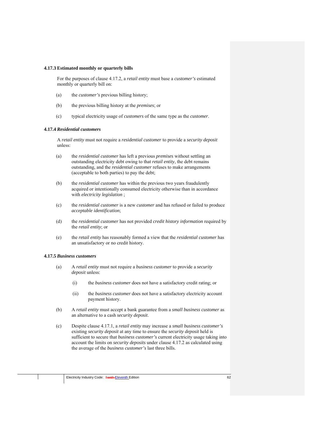#### **4.17.3 Estimated monthly or quarterly bills**

For the purposes of clause 4.17.2, a *retail entity* must base a *customer's* estimated monthly or quarterly bill on:

- (a) the *customer's* previous billing history;
- (b) the previous billing history at the *premises*; or
- (c) typical electricity usage of *customers* of the same type as the *customer*.

### **4.17.4** *Residential customers*

A *retail entity* must not require a *residential customer* to provide a *security deposit* unless:

- (a) the *residential customer* has left a previous *premises* without settling an outstanding electricity debt owing to that *retail entity*, the debt remains outstanding, and the *residential customer* refuses to make arrangements (acceptable to both parties) to pay the debt;
- (b) the *residential customer* has within the previous two years fraudulently acquired or intentionally consumed electricity otherwise than in accordance with *electricity legislation* ;
- (c) the *residential customer* is a new *customer* and has refused or failed to produce *acceptable identification*;
- (d) the *residential customer* has not provided *credit history information* required by the *retail entity*; or
- (e) the *retail entity* has reasonably formed a view that the *residential customer* has an unsatisfactory or no credit history.

#### **4.17.5** *Business customers*

- (a) A *retail entity* must not require a *business customer* to provide a *security deposit* unless:
	- (i) the *business customer* does not have a satisfactory credit rating; or
	- (ii) the *business customer* does not have a satisfactory electricity account payment history.
- (b) A *retail entity* must accept a bank guarantee from a *small business customer* as an alternative to a cash *security deposit*.
- (c) Despite clause 4.17.1, a *retail entity* may increase a *small business customer's*  existing *security deposit* at any time to ensure the *security deposit* held is sufficient to secure that *business customer's* current electricity usage taking into account the limits on *security deposits* under clause 4.17.2 as calculated using the average of the *business customer's* last three bills.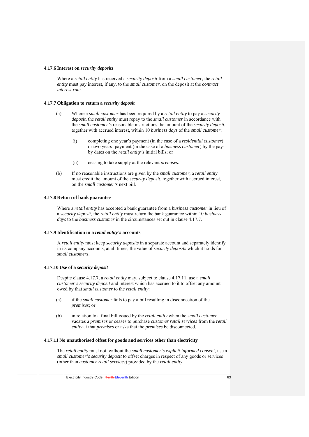#### **4.17.6 Interest on** *security deposits*

Where a *retail entity* has received a *security deposit* from a *small customer*, the *retail entity* must pay interest, if any, to the *small customer*, on the deposit at the *contract interest rate*.

### **4.17.7 Obligation to return a** *security deposit*

- (a) Where a *small customer* has been required by a *retail entity* to pay a *security deposit*, the *retail entity* must repay to the *small customer* in accordance with the *small customer's* reasonable instructions the amount of the *security deposit*, together with accrued interest, within 10 *business days* of the *small customer*:
	- (i) completing one year's payment (in the case of a *residential customer*) or two years' payment (in the case of a *business customer*) by the payby dates on the *retail entity's* initial bills; or
	- (ii) ceasing to take supply at the relevant *premises*.
- (b) If no reasonable instructions are given by the *small customer,* a *retail entity*  must credit the amount of the *security deposit*, together with accrued interest, on the *small customer's* next bill.

#### **4.17.8 Return of bank guarantee**

Where a *retail entity* has accepted a bank guarantee from a *business customer* in lieu of a *security deposit*, the *retail entity* must return the bank guarantee within 10 *business days* to the *business customer* in the circumstances set out in clause 4.17.7.

#### **4.17.9 Identification in a** *retail entity's* **accounts**

A *retail entity* must keep *security deposits* in a separate account and separately identify in its company accounts, at all times, the value of *security deposits* which it holds for *small customers*.

## **4.17.10 Use of a** *security deposit*

Despite clause 4.17.7, a *retail entity* may, subject to clause 4.17.11, use a *small customer's security deposit* and interest which has accrued to it to offset any amount owed by that *small customer* to the *retail entity*:

- (a) if the *small customer* fails to pay a bill resulting in disconnection of the *premises*; or
- (b) in relation to a final bill issued by the *retail entity* when the *small customer*  vacates a *premises* or ceases to purchase *customer retail services* from the *retail entity* at that *premises* or asks that the *premises* be disconnected.

## **4.17.11 No unauthorised offset for goods and services other than electricity**

The *retail entity* must not, without the *small customer*'*s explicit informed consent*, use a *small customer's security deposit* to offset charges in respect of any goods or services (other than *customer retail services*) provided by the *retail entity.*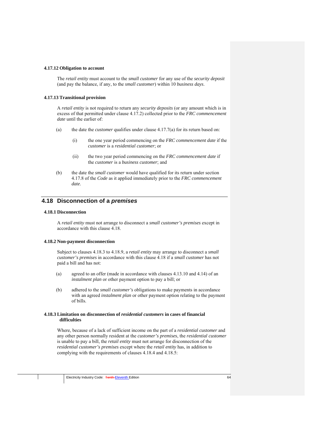#### **4.17.12 Obligation to account**

The *retail entity* must account to the *small customer* for any use of the *security deposit*  (and pay the balance, if any, to the *small customer*) within 10 *business days*.

#### **4.17.13 Transitional provision**

A *retail entity* is not required to return any *security deposits* (or any amount which is in excess of that permitted under clause 4.17.2) collected prior to the *FRC commencement date* until the earlier of:

- (a) the date the *customer* qualifies under clause 4.17.7(a) for its return based on:
	- (i) the one year period commencing on the *FRC commencement date* if the *customer* is a *residential customer*; or
	- (ii) the two year period commencing on the *FRC commencement date* if the *customer* is a *business customer*; and
- (b) the date the *small customer* would have qualified for its return under section 4.17.8 of the *Code* as it applied immediately prior to the *FRC commencement date*.

# **4.18 Disconnection of a** *premises*

## **4.18.1 Disconnection**

A *retail entity* must not arrange to disconnect a *small customer's premises* except in accordance with this clause 4.18.

## **4.18.2 Non-payment disconnection**

Subject to clauses 4.18.3 to 4.18.9, a *retail entity* may arrange to disconnect a *small customer's premises* in accordance with this clause 4.18 if a *small customer* has not paid a bill and has not:

- (a) agreed to an offer (made in accordance with clauses 4.13.10 and 4.14) of an *instalment plan* or other payment option to pay a bill; or
- (b) adhered to the *small customer's* obligations to make payments in accordance with an agreed *instalment plan* or other payment option relating to the payment of bills.

### **4.18.3 Limitation on disconnection of** *residential customers* **in cases of financial difficulties**

Where, because of a lack of sufficient income on the part of a *residential customer* and any other person normally resident at the *customer's premises*, the *residential customer*  is unable to pay a bill, the *retail entity* must not arrange for disconnection of the *residential customer's premises* except where the *retail entity* has, in addition to complying with the requirements of clauses 4.18.4 and 4.18.5: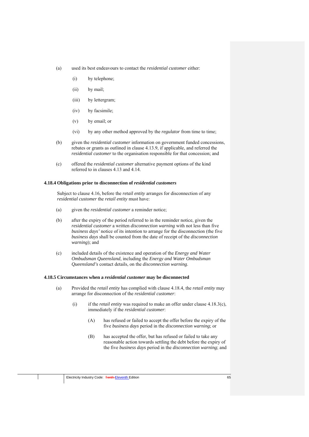- (a) used its best endeavours to contact the *residential customer* either:
	- (i) by telephone;
	- (ii) by mail;
	- (iii) by lettergram;
	- (iv) by facsimile;
	- (v) by email; or
	- (vi) by any other method approved by the *regulator* from time to time;
- (b) given the *residential customer* information on government funded concessions, rebates or grants as outlined in clause 4.13.9, if applicable, and referred the *residential customer* to the organisation responsible for that concession; and
- (c) offered the *residential customer* alternative payment options of the kind referred to in clauses 4.13 and 4.14.

#### **4.18.4 Obligations prior to disconnection of** *residential customers*

Subject to clause 4.16, before the *retail entity* arranges for disconnection of any *residential customer* the *retail entity* must have:

- (a) given the *residential customer* a reminder notice;
- (b) after the expiry of the period referred to in the reminder notice, given the *residential customer* a written *disconnection warning* with not less than five *business days'* notice of its intention to arrange for the disconnection (the five *business days* shall be counted from the date of receipt of the *disconnection warning*); and
- (c) included details of the existence and operation of the *Energy and Water Ombudsman Queensland*, including the *Energy and Water Ombudsman Queensland's* contact details, on the *disconnection warning*.

#### **4.18.5 Circumstances when a** *residential customer* **may be disconnected**

- (a) Provided the *retail entity* has complied with clause 4.18.4, the *retail entity* may arrange for disconnection of the *residential customer*:
	- (i) if the *retail entity* was required to make an offer under clause 4.18.3(c), immediately if the *residential customer*:
		- (A) has refused or failed to accept the offer before the expiry of the five *business days* period in the *disconnection warning*; or
		- (B) has accepted the offer, but has refused or failed to take any reasonable action towards settling the debt before the expiry of the five *business days* period in the *disconnection warning*; and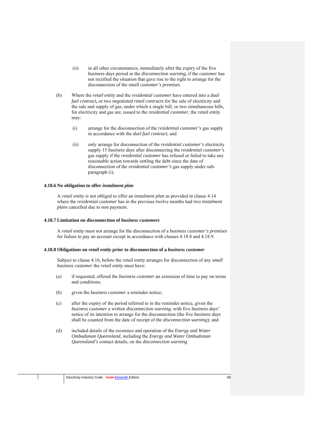- (ii) in all other circumstances, immediately after the expiry of the five *business days* period in the *disconnection warning*, if the *customer* has not rectified the situation that gave rise to the right to arrange for the disconnection of the *small customer's premises*.
- (b) Where the *retail entity* and the *residential customer* have entered into a *dual fuel contract***,** or two *negotiated retail contracts* for the sale of electricity and the sale and supply of gas, under which a single bill, or two simultaneous bills, for electricity and gas are, issued to the *residential customer,* the *retail entity*  may:
	- (i) arrange for the disconnection of the *residential customer's* gas supply in accordance with the *duel fuel contract*; and
	- (ii) only arrange for disconnection of the *residential customer's* electricity supply 15 *business days* after disconnecting the *residential customer's*  gas supply if the *residential customer* has refused or failed to take any reasonable action towards settling the debt since the date of disconnection of the *residential customer's* gas supply under subparagraph (i).

#### **4.18.6 No obligation to offer** *instalment plan*

A *retail entity* is not obliged to offer an *instalment plan* as provided in clause 4.14 where the *residential customer* has in the previous twelve months had two *instalment plan*s cancelled due to non payment.

#### **4.18.7 Limitation on disconnection of** *business customers*

A *retail entity* must not arrange for the disconnection of a *business customer's premises*  for failure to pay an account except in accordance with clauses 4.18.8 and 4.18.9.

#### **4.18.8 Obligations on** *retail entity* **prior to disconnection of a** *business customer*

Subject to clause 4.16, before the *retail entity* arranges for disconnection of any *small business customer* the *retail entity* must have:

- (a) if requested, offered the *business customer* an extension of time to pay on terms and conditions;
- (b) given the *business customer* a reminder notice;
- (c) after the expiry of the period referred to in the reminder notice, given the *business customer* a written *disconnection warning*, with five *business days'*  notice of its intention to arrange for the disconnection (the five *business days*  shall be counted from the date of receipt of the *disconnection warning*); and
- (d) included details of the existence and operation of the *Energy and Water Ombudsman Queensland*, including the *Energy and Water Ombudsman Queensland's* contact details, on the *disconnection warning*.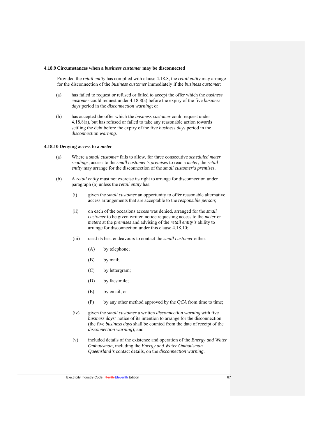#### **4.18.9 Circumstances when a** *business customer* **may be disconnected**

Provided the *retail entity* has complied with clause 4.18.8, the *retail entity* may arrange for the disconnection of the *business customer* immediately if the *business customer*:

- (a) has failed to request or refused or failed to accept the offer which the *business customer* could request under 4.18.8(a) before the expiry of the five *business days* period in the *disconnection warning*; or
- (b) has accepted the offer which the *business customer* could request under 4.18.8(a), but has refused or failed to take any reasonable action towards settling the debt before the expiry of the five *business days* period in the *disconnection warning*.

#### **4.18.10 Denying access to a** *meter*

- (a) Where a *small customer* fails to allow, for three consecutive *scheduled meter readings*, access to the *small customer's premises* to read a *meter*, the *retail entity* may arrange for the disconnection of the *small customer's premises*.
- (b) A *retail entity* must not exercise its right to arrange for disconnection under paragraph (a) unless the *retail entity* has:
	- (i) given the *small customer* an opportunity to offer reasonable alternative access arrangements that are acceptable to the *responsible person*;
	- (ii) on each of the occasions access was denied, arranged for the *small customer* to be given written notice requesting access to the *meter* or *meters* at the *premises* and advising of the *retail entity's* ability to arrange for disconnection under this clause 4.18.10;
	- (iii) used its best endeavours to contact the *small customer* either:
		- (A) by telephone;
		- (B) by mail;
		- (C) by lettergram;
		- (D) by facsimile;
		- (E) by email; or
		- (F) by any other method approved by the *QCA* from time to time;
	- (iv) given the *small customer* a written *disconnection warning* with five *business days'* notice of its intention to arrange for the disconnection (the five *business days* shall be counted from the date of receipt of the *disconnection warning*); and
	- (v) included details of the existence and operation of the *Energy and Water Ombudsman*, including the *Energy and Water Ombudsman Queensland's* contact details, on the *disconnection warning*.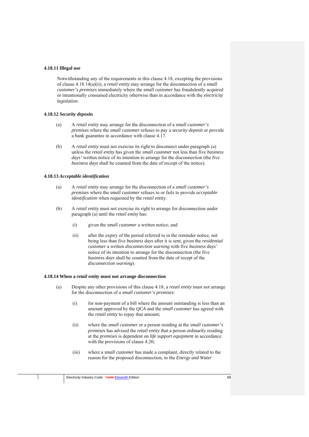### **4.18.11 Illegal use**

Notwithstanding any of the requirements in this clause 4.18, excepting the provisions of clause 4.18.14(a)(ii), a *retail entity* may arrange for the disconnection of a *small customer's premises* immediately where the *small customer* has fraudulently acquired or intentionally consumed electricity otherwise than in accordance with the *electricity legislation*.

#### **4.18.12** *Security deposits*

- (a) A *retail entity* may arrange for the disconnection of a *small customer's premises* where the *small customer* refuses to pay a *security deposit* or provide a bank guarantee in accordance with clause 4.17.
- (b) A *retail entity* must not exercise its right to disconnect under paragraph (a) unless the *retail entity* has given the *small customer* not less than five *business days'* written notice of its intention to arrange for the disconnection (the five *business days* shall be counted from the date of receipt of the notice).

#### **4.18.13** *Acceptable identification*

- (a) A *retail entity* may arrange for the disconnection of a *small customer's premises* where the *small customer* refuses to or fails to provide *acceptable identification* when requested by the *retail entity*.
- (b) A *retail entity* must not exercise its right to arrange for disconnection under paragraph (a) until the *retail entity* has:
	- (i) given the *small customer* a written notice; and
	- (ii) after the expiry of the period referred to in the reminder notice, not being less than five *business days* after it is sent*,* given the *residential customer* a written *disconnection warning* with five *business days'*  notice of its intention to arrange for the disconnection (the five *business days* shall be counted from the date of recept of the *disconnection warning*).

#### **4.18.14 When a** *retail entity* **must not arrange disconnection**

- (a) Despite any other provisions of this clause 4.18, a *retail entity* must not arrange for the disconnection of a *small customer's premises*:
	- (i) for non-payment of a bill where the amount outstanding is less than an amount approved by the *QCA* and the *small customer* has agreed with the *retail entity* to repay that amount;
	- (ii) where the *small customer* or a person residing at the *small customer's premises* has advised the *retail entity* that a person ordinarily residing at the *premises* is dependent on *life support equipment* in accordance with the provisions of clause 4.20;
	- (iii) where a *small customer* has made a complaint, directly related to the reason for the proposed disconnection, to the *Energy and Water*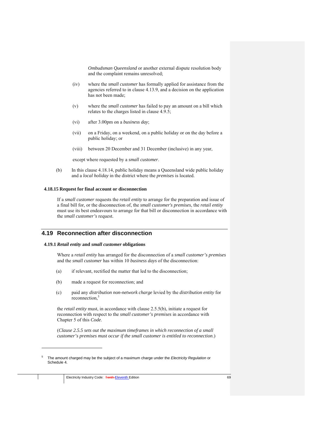*Ombudsman Queensland* or another external dispute resolution body and the complaint remains unresolved;

- (iv) where the *small customer* has formally applied for assistance from the agencies referred to in clause 4.13.9, and a decision on the application has not been made;
- (v) where the *small customer* has failed to pay an amount on a bill which relates to the charges listed in clause 4.9.5;
- (vi) after 3.00pm on a *business day*;
- (vii) on a Friday, on a weekend, on a public holiday or on the day before a public holiday; or
- (viii) between 20 December and 31 December (inclusive) in any year,

except where requested by a *small customer*.

(b) In this clause 4.18.14, public holiday means a Queensland wide public holiday and a *local holiday* in the district where the *premises* is located.

#### **4.18.15 Request for final account or disconnection**

If a *small customer* requests the *retail entity* to arrange for the preparation and issue of a final bill for, or the disconnection of, the *small customer's premises*, the *retail entity*  must use its best endeavours to arrange for that bill or disconnection in accordance with the *small customer's* request.

# **4.19 Reconnection after disconnection**

### **4.19.1** *Retail entity* **and** *small customer* **obligations**

Where a *retail entity* has arranged for the disconnection of a *small customer's premises* and the *small customer* has within 10 *business days* of the disconnection:

- (a) if relevant, rectified the matter that led to the disconnection;
- (b) made a request for reconnection; and
- (c) paid any *distribution non-network charge* levied by the *distribution entity* for reconnection,<sup>5</sup>

the *retail entity* must, in accordance with clause 2.5.5(b), initiate a request for reconnection with respect to the *small customer's premises* in accordance with Chapter 5 of this *Code*.

(*Clause 2.5.5 sets out the maximum timeframes in which reconnection of a small customer's premises must occur if the small customer is entitled to reconnection*.)

1

<sup>5</sup> The amount charged may be the subject of a maximum charge under the *Electricity Regulation* or Schedule 4.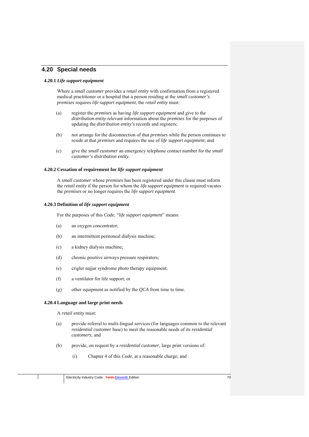# **4.20 Special needs**

#### **4.20.1** *Life support equipment*

Where a *small customer* provides a *retail entity* with confirmation from a registered medical practitioner or a hospital that a person residing at the *small customer's premises* requires *life support equipment*, the *retail entity* must:

- (a) register the *premises* as having *life support equipment* and give to the *distribution entity* relevant information about the *premises* for the purposes of updating the *distribution entity's* records and registers;
- (b) not arrange for the disconnection of that *premises* while the person continues to reside at that *premises* and requires the use of *life support equipment*; and
- (c) give the *small customer* an emergency telephone contact number for the *small customer'*s *distribution entity*.

# **4.20.2 Cessation of requirement for** *life support equipment*

A *small customer* whose *premises* has been registered under this clause must inform the *retail entity* if the person for whom the *life support equipment* is required vacates the *premises* or no longer requires the *life support equipment*.

#### **4.20.3 Definition of** *life support equipment*

For the purposes of this *Code*, "*life support equipment*" means:

- (a) an oxygen concentrator;
- (b) an intermittent peritoneal dialysis machine;
- (c) a kidney dialysis machine;
- (d) chronic positive airways pressure respirators;
- (e) crigler najjar syndrome photo therapy equipment;
- (f) a ventilator for life support; or
- (g) other equipment as notified by the *QCA* from time to time.

## **4.20.4 Language and large print needs**

A *retail entity* must:

- (a) provide referral to multi-lingual services (for languages common to the relevant *residential customer* base) to meet the reasonable needs of its *residential customers*; and
- (b) provide, on request by a *residential customer*, large print versions of:
	- (i) Chapter 4 of this *Code*, at a reasonable charge; and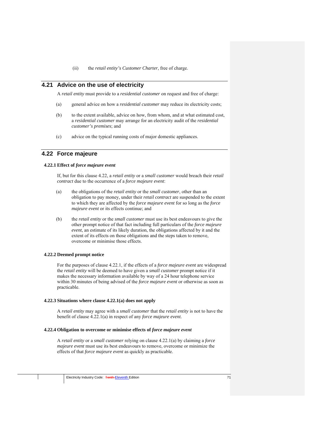(ii) the *retail entity's Customer Charter*, free of charge.

# **4.21 Advice on the use of electricity**

A *retail entity* must provide to a *residential customer* on request and free of charge:

- (a) general advice on how a *residential customer* may reduce its electricity costs;
- (b) to the extent available, advice on how, from whom, and at what estimated cost, a *residential customer* may arrange for an electricity audit of the *residential customer's premises*; and
- (c) advice on the typical running costs of major domestic appliances.

# **4.22 Force majeure**

## **4.22.1 Effect of** *force majeure event*

If, but for this clause 4.22, a *retail entity* or a *small customer* would breach their *retail contract* due to the occurrence of a *force majeure event*:

- (a) the obligations of the *retail entity* or the *small customer*, other than an obligation to pay money, under their *retail contract* are suspended to the extent to which they are affected by the *force majeure event* for so long as the *force majeure event* or its effects continue; and
- (b) the *retail entity* or the *small customer* must use its best endeavours to give the other prompt notice of that fact including full particulars of the *force majeure event*, an estimate of its likely duration, the obligations affected by it and the extent of its effects on those obligations and the steps taken to remove, overcome or minimise those effects.

## **4.22.2 Deemed prompt notice**

For the purposes of clause 4.22.1, if the effects of a *force majeure event* are widespread the *retail entity* will be deemed to have given a *small customer* prompt notice if it makes the necessary information available by way of a 24 hour telephone service within 30 minutes of being advised of the *force majeure event* or otherwise as soon as practicable.

### **4.22.3 Situations where clause 4.22.1(a) does not apply**

A *retail entity* may agree with a *small customer* that the *retail entity* is not to have the benefit of clause 4.22.1(a) in respect of any *force majeure event*.

#### **4.22.4 Obligation to overcome or minimise effects of** *force majeure event*

A *retail entity* or a *small customer* relying on clause 4.22.1(a) by claiming a *force majeure event* must use its best endeavours to remove, overcome or minimize the effects of that *force majeure event* as quickly as practicable.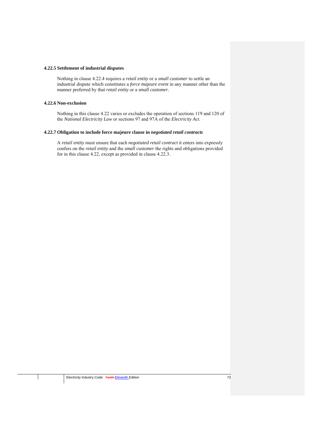### **4.22.5 Settlement of industrial disputes**

Nothing in clause 4.22.4 requires a *retail entity* or a *small customer* to settle an industrial dispute which constitutes a *force majeure event* in any manner other than the manner preferred by that *retail entity* or a *small customer*.

#### **4.22.6 Non-exclusion**

Nothing in this clause 4.22 varies or excludes the operation of sections 119 and 120 of the *National Electricity Law* or sections 97 and 97A of the *Electricity Act*.

## **4.22.7 Obligation to include force majeure clause in** *negotiated retail contracts*

A *retail entity* must ensure that each *negotiated retail contract* it enters into expressly confers on the *retail entity* and the *small customer* the rights and obligations provided for in this clause 4.22, except as provided in clause 4.22.3.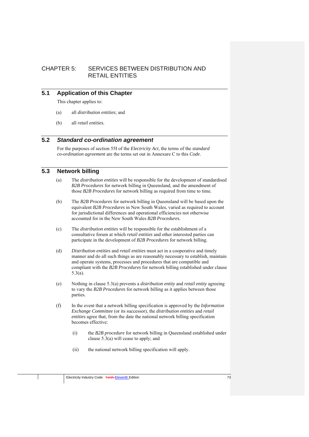# CHAPTER 5: SERVICES BETWEEN DISTRIBUTION AND RETAIL ENTITIES

# **5.1 Application of this Chapter**

This chapter applies to:

- (a) all *distribution entities*; and
- (b) all *retail entities*.

# **5.2** *Standard co-ordination agreement*

For the purposes of section 55I of the *Electricity Act*, the terms of the *standard co-ordination agreement* are the terms set out in Annexure C to this *Code*.

# **5.3 Network billing**

- (a) The *distribution entities* will be responsible for the development of standardised *B2B Procedures* for network billing in Queensland, and the amendment of those *B2B Procedures* for network billing as required from time to time.
- (b) The *B2B Procedures* for network billing in Queensland will be based upon the equivalent *B2B Procedures* in New South Wales, varied as required to account for jurisdictional differences and operational efficiencies not otherwise accounted for in the New South Wales *B2B Procedures.*
- (c) The *distribution entities* will be responsible for the establishment of a consultative forum at which *retail entities* and other interested parties can participate in the development of *B2B Procedures* for network billing.
- (d) *Distribution entities* and *retail entities* must act in a cooperative and timely manner and do all such things as are reasonably necessary to establish, maintain and operate systems, processes and procedures that are compatible and compliant with the *B2B Procedures* for network billing established under clause 5.3(a).
- (e) Nothing in clause 5.3(a) prevents a *distribution entity* and *retail entity* agreeing to vary the *B2B Procedures* for network billing as it applies between those parties.
- (f) In the event that a network billing specification is approved by the *Information Exchange Committee* (or its successor), the *distribution entities* and *retail entities* agree that, from the date the national network billing specification becomes effective:
	- (i) the *B2B procedure* for network billing in Queensland established under clause  $5.\overline{3}$ (a) will cease to apply; and
	- (ii) the national network billing specification will apply.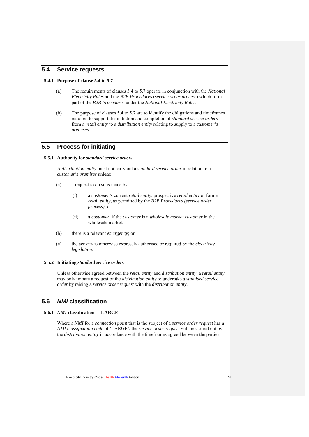# **5.4 Service requests**

### **5.4.1 Purpose of clause 5.4 to 5.7**

- (a) The requirements of clauses 5.4 to 5.7 operate in conjunction with the *National Electricity Rules* and the *B2B Procedures* (*service order process*) which form part of the *B2B Procedures* under the *National Electricity Rules.*
- (b) The purpose of clauses 5.4 to 5.7 are to identify the obligations and timeframes required to support the initiation and completion of *standard service orders* from a *retail entity* to a *distribution entity* relating to supply to a *customer's premises*.

# **5.5 Process for initiating**

### **5.5.1 Authority for** *standard service orders*

A *distribution entity* must not carry out a *standard service order* in relation to a *customer's premises* unless:

- (a) a request to do so is made by:
	- (i) a *customer's* current *retail entity*, prospective *retail entity* or former *retail entity*, as permitted by the *B2B Procedures (service order process)*; or
	- (ii) a *customer*, if the *customer* is a *wholesale market customer* in the wholesale market;
- (b) there is a relevant *emergency*; or
- (c) the activity is otherwise expressly authorised or required by the *electricity legislation*.

#### **5.5.2 Initiating** *standard service orders*

Unless otherwise agreed between the *retail entity* and *distribution entity*, a *retail entity* may only initiate a request of the *distribution entity* to undertake a *standard service order* by raising a *service order request* with the *distribution entity*.

# **5.6** *NMI* **classification**

# **5.6.1** *NMI* **classification – 'LARGE'**

Where a *NMI* for a *connection point* that is the subject of a *service order request* has a *NMI classification code* of 'LARGE', the *service order request* will be carried out by the *distribution entity* in accordance with the timeframes agreed between the parties.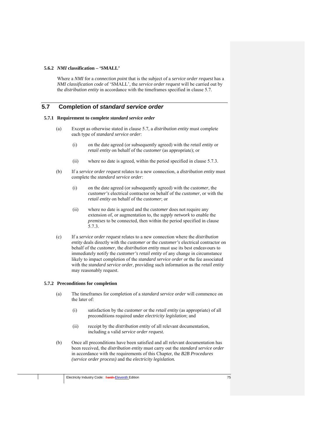### **5.6.2** *NMI* **classification – 'SMALL'**

Where a *NMI* for a *connection point* that is the subject of a *service order request* has a *NMI classification code* of 'SMALL', the *service order request* will be carried out by the *distribution entity* in accordance with the timeframes specified in clause 5.7.

# **5.7 Completion of** *standard service order*

#### **5.7.1 Requirement to complete** *standard service order*

- (a) Except as otherwise stated in clause 5.7, a *distribution entity* must complete each type of *standard service order*:
	- (i) on the date agreed (or subsequently agreed) with the *retail entity* or *retail entity* on behalf of the *customer* (as appropriate); or
	- (ii) where no date is agreed, within the period specified in clause 5.7.3.
- (b) If a *service order request* relates to a new connection, a *distribution entity* must complete the *standard service order*:
	- (i) on the date agreed (or subsequently agreed) with the *customer*, the *customer's* electrical contractor on behalf of the *customer*, or with the *retail entity* on behalf of the *customer*; or
	- (ii) where no date is agreed and the *customer* does not require any extension of, or augmentation to, the *supply network* to enable the *premises* to be connected, then within the period specified in clause 5.7.3.
- (c) If a *service order request* relates to a new connection where the *distribution entity* deals directly with the *customer* or the *customer's* electrical contractor on behalf of the *customer*, the *distribution entity* must use its best endeavours to immediately notify the *customer's retail entity* of any change in circumstance likely to impact completion of the *standard service order* or the fee associated with the *standard service order*, providing such information as the *retail entity* may reasonably request.

#### **5.7.2 Preconditions for completion**

- (a) The timeframes for completion of a *standard service order* will commence on the later of:
	- (i) satisfaction by the *customer* or the *retail entity* (as appropriate) of all preconditions required under *electricity legislation*; and
	- (ii) receipt by the *distribution entity* of all relevant documentation, including a valid *service order request.*
- (b) Once all preconditions have been satisfied and all relevant documentation has been received, the *distribution entity* must carry out the *standard service order* in accordance with the requirements of this Chapter, the *B2B Procedures (service order process)* and the *electricity legislation.*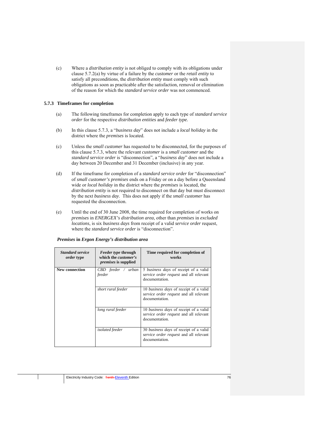(c) Where a *distribution entity* is not obliged to comply with its obligations under clause 5.7.2(a) by virtue of a failure by the *customer* or the *retail entity* to satisfy all preconditions, the *distribution entity* must comply with such obligations as soon as practicable after the satisfaction, removal or elimination of the reason for which the *standard service order* was not commenced.

## **5.7.3 Timeframes for completion**

- (a) The following timeframes for completion apply to each type of *standard service order* for the respective *distribution entities* and *feeder type.*
- (b) In this clause 5.7.3, a "*business day*" does not include a *local holiday* in the district where the *premises* is located.
- (c) Unless the *small customer* has requested to be disconnected, for the purposes of this clause 5.7.3, where the relevant *customer* is a *small customer* and the *standard service order* is "disconnection", a "*business day*" does not include a day between 20 December and 31 December (inclusive) in any year.
- (d) If the timeframe for completion of a *standard service order* for "disconnection" of *small customer's premises* ends on a Friday or on a day before a Queensland wide or *local holiday* in the district where the *premises* is located, the *distribution entity* is not required to disconnect on that day but must disconnect by the next *business day*. This does not apply if the *small customer* has requested the disconnection.
- (e) Until the end of 30 June 2008, the time required for completion of works on *premises* in *ENERGEX's distribution area*, other than *premises* in *excluded locations*, is six *business days* from receipt of a valid *service order* request, where the *standard service order* is "disconnection".

| <b>Standard service</b><br><i>order</i> type | <i>Feeder type through</i><br>which the <i>customer's</i><br><i>premises</i> is supplied | Time required for completion of<br>works                                                                  |
|----------------------------------------------|------------------------------------------------------------------------------------------|-----------------------------------------------------------------------------------------------------------|
| New connection                               | $CBD$ feeder / urban<br>feeder                                                           | 5 <i>business days</i> of receipt of a valid<br>service order request and all relevant<br>documentation.  |
|                                              | short rural feeder                                                                       | 10 <i>business days</i> of receipt of a valid<br>service order request and all relevant<br>documentation. |
|                                              | long rural feeder                                                                        | 10 <i>business days</i> of receipt of a valid<br>service order request and all relevant<br>documentation. |
|                                              | <i>isolated</i> feeder                                                                   | 30 <i>business days</i> of receipt of a valid<br>service order request and all relevant<br>documentation. |

#### *Premises* **in** *Ergon Energy's distribution area*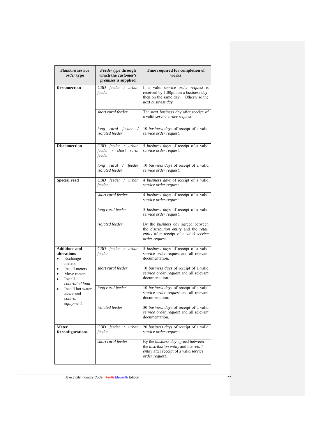| <b>Standard service</b><br><i>order</i> type                          | <i>Feeder type through</i><br>which the <i>customer's</i><br><i>premises</i> is supplied | Time required for completion of<br>works                                                                                                         |
|-----------------------------------------------------------------------|------------------------------------------------------------------------------------------|--------------------------------------------------------------------------------------------------------------------------------------------------|
| <b>Reconnection</b>                                                   | CBD feeder / urban<br>feeder                                                             | If a valid service order request is<br>received by 1.00pm on a business day,<br>then on the same day. Otherwise the<br>next business day.        |
|                                                                       | short rural feeder                                                                       | The next business day after receipt of<br>a valid service order request.                                                                         |
|                                                                       | long rural feeder<br>isolated feeder                                                     | 10 business days of receipt of a valid<br>service order request.                                                                                 |
| <b>Disconnection</b>                                                  | CBD feeder / urban<br>feeder / short rural<br>feeder                                     | 5 business days of receipt of a valid<br>service order request.                                                                                  |
|                                                                       | long rural / feeder<br>isolated feeder                                                   | 10 business days of receipt of a valid<br>service order request.                                                                                 |
| <b>Special read</b>                                                   | CBD feeder / urban<br>feeder                                                             | 4 business days of receipt of a valid<br>service order request.                                                                                  |
|                                                                       | short rural feeder                                                                       | 4 business days of receipt of a valid<br>service order request.                                                                                  |
|                                                                       | long rural feeder                                                                        | 5 business days of receipt of a valid<br>service order request.                                                                                  |
|                                                                       | isolated feeder                                                                          | By the business day agreed between<br>the <i>distribution</i> entity and the retail<br>entity after receipt of a valid service<br>order request. |
| <b>Additions and</b><br>alterations<br>Exchange<br>٠<br>meters        | CBD feeder / urban<br>feeder                                                             | 5 business days of receipt of a valid<br>service order request and all relevant<br>documentation.                                                |
| Install meters<br>Move meters<br>٠<br>Install<br>٠<br>controlled load | short rural feeder                                                                       | 10 business days of receipt of a valid<br>service order request and all relevant<br>documentation.                                               |
| Install hot water<br>٠<br><i>meter</i> and<br>control<br>equipment    | long rural feeder                                                                        | 10 business days of receipt of a valid<br>service order request and all relevant<br>documentation.                                               |
|                                                                       | isolated feeder                                                                          | 30 business days of receipt of a valid<br>service order request and all relevant<br>documentation                                                |
| <b>Meter</b><br>Reconfigurations                                      | CBD feeder / urban<br>feeder                                                             | 20 business days of receipt of a valid<br>service order request.                                                                                 |
|                                                                       | short rural feeder                                                                       | By the business day agreed between<br>the distribution entity and the retail<br>entity after receipt of a valid service<br>order request.        |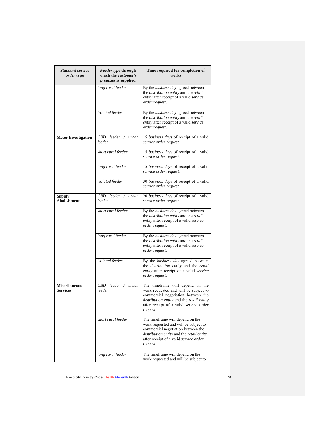| <b>Standard service</b><br><i>order</i> type | <i>Feeder type through</i><br>which the <i>customer's</i><br><i>premises</i> is supplied | Time required for completion of<br>works                                                                                                                                                                                  |
|----------------------------------------------|------------------------------------------------------------------------------------------|---------------------------------------------------------------------------------------------------------------------------------------------------------------------------------------------------------------------------|
|                                              | long rural feeder                                                                        | By the business day agreed between<br>the distribution entity and the retail<br>entity after receipt of a valid service<br>order request.                                                                                 |
|                                              | isolated feeder                                                                          | By the business day agreed between<br>the distribution entity and the retail<br>entity after receipt of a valid service<br>order request.                                                                                 |
| <b>Meter Investigation</b>                   | CBD feeder / urban<br>feeder                                                             | 15 business days of receipt of a valid<br>service order request.                                                                                                                                                          |
|                                              | short rural feeder                                                                       | 15 business days of receipt of a valid<br>service order request.                                                                                                                                                          |
|                                              | long rural feeder                                                                        | 15 business days of receipt of a valid<br>service order request.                                                                                                                                                          |
|                                              | isolated feeder                                                                          | 30 business days of receipt of a valid<br>service order request.                                                                                                                                                          |
| <b>Supply</b><br><b>Abolishment</b>          | CBD feeder / urban<br>feeder                                                             | 20 business days of receipt of a valid<br>service order request.                                                                                                                                                          |
|                                              | short rural feeder                                                                       | By the business day agreed between<br>the distribution entity and the retail<br>entity after receipt of a valid service<br>order request.                                                                                 |
|                                              | long rural feeder                                                                        | By the business day agreed between<br>the distribution entity and the retail<br>entity after receipt of a valid service<br>order request.                                                                                 |
|                                              | isolated feeder                                                                          | By the business day agreed between<br>the distribution entity and the retail<br>entity after receipt of a valid service<br>order request.                                                                                 |
| <b>Miscellaneous</b><br><b>Services</b>      | CBD feeder /<br>urban<br>feeder                                                          | The timeframe will depend on the<br>work requested and will be subject to<br>commercial negotiation between the<br>distribution entity and the retail entity<br>after receipt of a valid <i>service</i> order<br>request. |
|                                              | short rural feeder                                                                       | The timeframe will depend on the<br>work requested and will be subject to<br>commercial negotiation between the<br>distribution entity and the retail entity<br>after receipt of a valid service order<br>request.        |
|                                              | long rural feeder                                                                        | The timeframe will depend on the<br>work requested and will be subject to                                                                                                                                                 |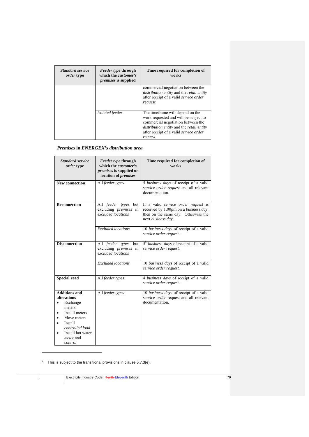| <b>Standard service</b><br><i>order</i> type | <i>Feeder type through</i><br>which the <i>customer's</i><br><i>premises</i> is supplied | Time required for completion of<br>works                                                                                                                                                                                                 |
|----------------------------------------------|------------------------------------------------------------------------------------------|------------------------------------------------------------------------------------------------------------------------------------------------------------------------------------------------------------------------------------------|
|                                              |                                                                                          | commercial negotiation between the<br>distribution entity and the retail entity<br>after receipt of a valid service order<br>request.                                                                                                    |
|                                              | <i>isolated</i> feeder                                                                   | The time frame will depend on the<br>work requested and will be subject to<br>commercial negotiation between the<br><i>distribution entity</i> and the <i>retail entity</i><br>after receipt of a valid <i>service</i> order<br>request. |

## *Premises* **in** *ENERGEX's distribution area*

| <b>Standard service</b><br><i>order</i> type                                                                                                                                 | Feeder type through<br>which the <i>customer's</i><br><i>premises</i> is supplied or<br>location of premises | Time required for completion of<br>works                                                                                                                 |
|------------------------------------------------------------------------------------------------------------------------------------------------------------------------------|--------------------------------------------------------------------------------------------------------------|----------------------------------------------------------------------------------------------------------------------------------------------------------|
| <b>New connection</b>                                                                                                                                                        | All feeder types                                                                                             | 5 business days of receipt of a valid<br>service order request and all relevant<br>documentation.                                                        |
| <b>Reconnection</b>                                                                                                                                                          | All feeder types<br>but<br>excluding <i>premises</i> in<br>excluded locations                                | If a valid <i>service order request</i> is<br>received by 1.00pm on a <i>business day</i> ,<br>then on the same day. Otherwise the<br>next business day. |
|                                                                                                                                                                              | <b>Excluded</b> locations                                                                                    | 10 business days of receipt of a valid<br>service order request.                                                                                         |
| <b>Disconnection</b>                                                                                                                                                         | All feeder types but<br>excluding <i>premises</i> in<br>excluded locations                                   | 5 <sup>6</sup> business days of receipt of a valid<br>service order request.                                                                             |
|                                                                                                                                                                              | <b>Excluded</b> locations                                                                                    | 10 business days of receipt of a valid<br>service order request.                                                                                         |
| <b>Special read</b>                                                                                                                                                          | All feeder types                                                                                             | 4 business days of receipt of a valid<br>service order request.                                                                                          |
| <b>Additions and</b><br>alterations<br>Exchange<br>meters<br>Install meters<br>Move meters<br>Install<br>controlled load<br>Install hot water<br><i>meter</i> and<br>control | All feeder types                                                                                             | 10 business days of receipt of a valid<br>service order request and all relevant<br>documentation.                                                       |

 $6$  This is subject to the transitional provisions in clause 5.7.3(e).

<u>.</u>

Electricity Industry Code: Tenth Eleventh Edition 79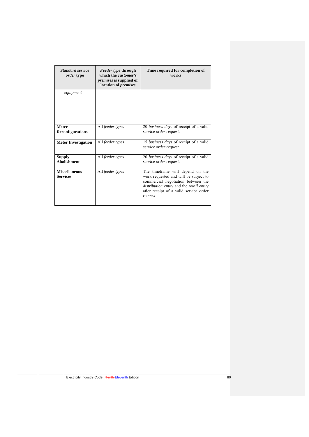| <b>Standard service</b><br>order type   | <i>Feeder type through</i><br>which the <i>customer's</i><br><i>premises</i> is supplied or<br>location of <i>premises</i> | Time required for completion of<br>works                                                                                                                                                                           |
|-----------------------------------------|----------------------------------------------------------------------------------------------------------------------------|--------------------------------------------------------------------------------------------------------------------------------------------------------------------------------------------------------------------|
| equipment                               |                                                                                                                            |                                                                                                                                                                                                                    |
| <b>Meter</b><br><b>Reconfigurations</b> | All feeder types                                                                                                           | 20 business days of receipt of a valid<br>service order request.                                                                                                                                                   |
| <b>Meter Investigation</b>              | All feeder types                                                                                                           | 15 business days of receipt of a valid<br>service order request.                                                                                                                                                   |
| <b>Supply</b><br><b>Abolishment</b>     | All feeder types                                                                                                           | 20 business days of receipt of a valid<br>service order request.                                                                                                                                                   |
| <b>Miscellaneous</b><br><b>Services</b> | All feeder types                                                                                                           | The timeframe will depend on the<br>work requested and will be subject to<br>commercial negotiation between the<br>distribution entity and the retail entity<br>after receipt of a valid service order<br>request. |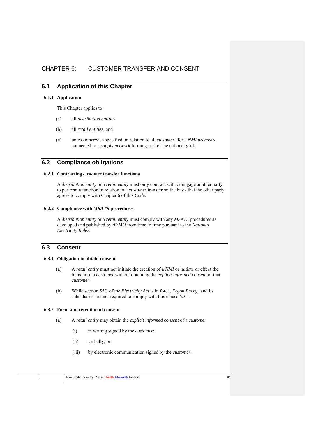# CHAPTER 6: CUSTOMER TRANSFER AND CONSENT

# **6.1 Application of this Chapter**

## **6.1.1 Application**

This Chapter applies to:

- (a) all *distribution entities*;
- (b) all *retail entities*; and
- (c) unless otherwise specified, in relation to all *customers* for a *NMI premises*  connected to a *supply network* forming part of the national grid.

# **6.2 Compliance obligations**

# **6.2.1 Contracting** *customer* **transfer functions**

A *distribution entity* or a *retail entity* must only contract with or engage another party to perform a function in relation to a *customer* transfer on the basis that the other party agrees to comply with Chapter 6 of this *Code*.

## **6.2.2 Compliance with** *MSATS* **procedures**

A *distribution entity* or a *retail entity* must comply with any *MSATS* procedures as developed and published by *AEMO* from time to time pursuant to the *National Electricity Rules*.

# **6.3 Consent**

# **6.3.1 Obligation to obtain consent**

- (a) A *retail entity* must not initiate the creation of a *NMI* or initiate or effect the transfer of a *customer* without obtaining the *explicit informed consent* of that *customer*.
- (b) While section 55G of the *Electricity Act* is in force, *Ergon Energy* and its subsidiaries are not required to comply with this clause 6.3.1.

## **6.3.2 Form and retention of consent**

- (a) A *retail entity* may obtain the *explicit informed consent* of a *customer*:
	- (i) in writing signed by the *customer*;
	- (ii) verbally; or
	- (iii) by electronic communication signed by the *customer*.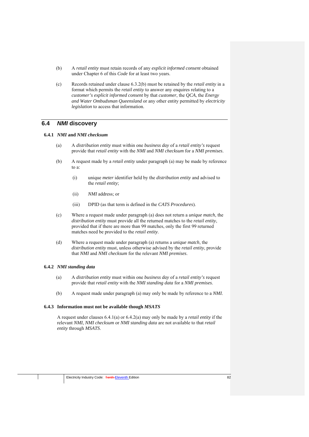- (b) A *retail entity* must retain records of any *explicit informed consent* obtained under Chapter 6 of this *Code* for at least two years.
- (c) Records retained under clause 6.3.2(b) must be retained by the *retail entity* in a format which permits the *retail entity* to answer any enquires relating to a *customer's explicit informed consent* by that *customer*, the *QCA*, the *Energy and Water Ombudsman Queensland* or any other entity permitted by *electricity legislation* to access that information.

# **6.4** *NMI* **discovery**

### **6.4.1** *NMI* **and** *NMI checksum*

- (a) A *distribution entity* must within one *business day* of a *retail entity's* request provide that *retail entity* with the *NMI* and *NMI checksum* for a *NMI premises*.
- (b) A request made by a *retail entity* under paragraph (a) may be made by reference to a:
	- (i) unique *meter* identifier held by the *distribution entity* and advised to the *retail entity*;
	- (ii) *NMI* address; or
	- (iii) DPID (as that term is defined in the *CATS Procedures*).
- (c) Where a request made under paragraph (a) does not return a *unique match*, the *distribution entity* must provide all the returned matches to the *retail entity*, provided that if there are more than 99 matches, only the first 99 returned matches need be provided to the *retail entity*.
- (d) Where a request made under paragraph (a) returns a *unique match*, the *distribution entity* must, unless otherwise advised by the *retail entity*, provide that *NMI* and *NMI checksum* for the relevant *NMI premises*.

### **6.4.2** *NMI standing data*

- (a) A *distribution entity* must within one *business day* of a *retail entity's* request provide that *retail entity* with the *NMI standing data* for a *NMI premises*.
- (b) A request made under paragraph (a) may only be made by reference to a *NMI*.

### **6.4.3 Information must not be available though** *MSATS*

A request under clauses 6.4.1(a) or 6.4.2(a) may only be made by a *retail entity* if the relevant *NMI*, *NMI checksum* or *NMI standing data* are not available to that *retail entity* through *MSATS*.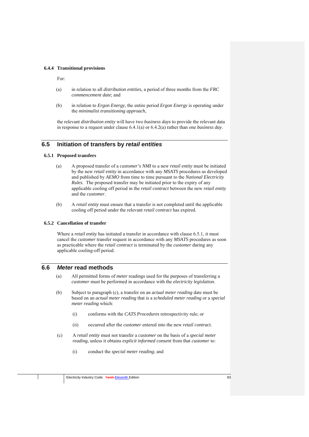#### **6.4.4 Transitional provisions**

For:

- (a) in relation to all *distribution entities,* a period of three months from the *FRC commencement date*; and
- (b) in relation to *Ergon Energy*, the entire period *Ergon Energy* is operating under the *minimalist transitioning approach*,

the relevant *distribution entity* will have two *business days* to provide the relevant data in response to a request under clause 6.4.1(a) or 6.4.2(a) rather than one *business day*.

# **6.5 Initiation of transfers by** *retail entities*

#### **6.5.1 Proposed transfers**

- (a) A proposed transfer of a *customer's NMI* to a new *retail entity* must be initiated by the new *retail entity* in accordance with any *MSATS* procedures as developed and published by *AEMO* from time to time pursuant to the *National Electricity Rules*. The proposed transfer may be initiated prior to the expiry of any applicable cooling off period in the *retail contract* between the new *retail entity* and the *customer*.
- (b) A *retail entity* must ensure that a transfer is not completed until the applicable cooling off period under the relevant *retail contract* has expired.

#### **6.5.2 Cancellation of transfer**

Where a *retail entity* has initiated a transfer in accordance with clause 6.5.1, it must cancel the *customer* transfer request in accordance with any *MSATS* procedures as soon as practicable where the *retail contract* is terminated by the *customer* during any applicable cooling-off period.

# **6.6** *Meter* **read methods**

- (a) All permitted forms of *meter* readings used for the purposes of transferring a *customer* must be performed in accordance with the *electricity legislation*.
- (b) Subject to paragraph (c), a transfer on an *actual meter reading* date must be based on an *actual meter reading* that is a *scheduled meter reading* or a *special meter reading* which:
	- (i) conforms with the *CATS Procedures* retrospectivity rule; or
	- (ii) occurred after the *customer* entered into the new *retail contract.*
- (c) A *retail entity* must not transfer a *customer* on the basis of a *special meter reading*, unless it obtains *explicit informed consent* from that *customer* to:
	- (i) conduct the *special meter reading*; and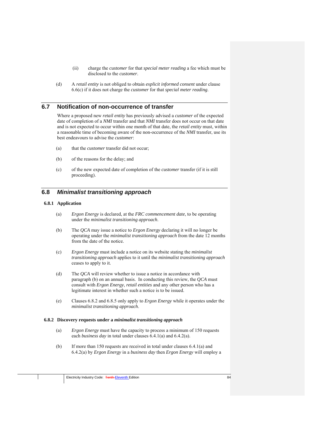- (ii) charge the *customer* for that *special meter reading* a fee which must be disclosed to the *customer*.
- (d) A *retail entity* is not obliged to obtain *explicit informed consent* under clause 6.6(c) if it does not charge the *customer* for that *special meter reading*.

# **6.7 Notification of non-occurrence of transfer**

Where a proposed new *retail entity* has previously advised a *customer* of the expected date of completion of a *NMI* transfer and that *NMI* transfer does not occur on that date and is not expected to occur within one month of that date, the *retail entity* must, within a reasonable time of becoming aware of the non-occurrence of the *NMI* transfer, use its best endeavours to advise the *customer*:

- (a) that the *customer* transfer did not occur;
- (b) of the reasons for the delay; and
- (c) of the new expected date of completion of the *customer* transfer (if it is still proceeding).

# **6.8** *Minimalist transitioning approach*

#### **6.8.1 Application**

- (a) *Ergon Energy* is declared, at the *FRC commencement date*, to be operating under the *minimalist transitioning approach*.
- (b) The *QCA* may issue a notice to *Ergon Energy* declaring it will no longer be operating under the *minimalist transitioning approach* from the date 12 months from the date of the notice.
- (c) *Ergon Energy* must include a notice on its website stating the *minimalist transitioning approach* applies to it until the *minimalist transitioning approach* ceases to apply to it.
- (d) The *QCA* will review whether to issue a notice in accordance with paragraph (b) on an annual basis. In conducting this review, the *QCA* must consult with *Ergon Energy*, *retail entities* and any other person who has a legitimate interest in whether such a notice is to be issued.
- (e) Clauses 6.8.2 and 6.8.5 only apply to *Ergon Energy* while it operates under the *minimalist transitioning approach*.

#### **6.8.2 Discovery requests under a** *minimalist transitioning approach*

- (a) *Ergon Energy* must have the capacity to process a minimum of 150 requests each *business day* in total under clauses 6.4.1(a) and 6.4.2(a).
- (b) If more than 150 requests are received in total under clauses 6.4.1(a) and 6.4.2(a) by *Ergon Energy* in a *business day* then *Ergon Energy* will employ a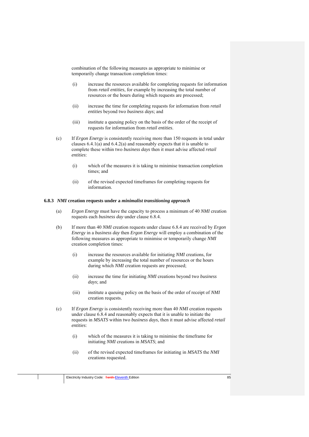combination of the following measures as appropriate to minimise or temporarily change transaction completion times:

- (i) increase the resources available for completing requests for information from *retail entities*, for example by increasing the total number of resources or the hours during which requests are processed;
- (ii) increase the time for completing requests for information from *retail entities* beyond two *business days*; and
- (iii) institute a queuing policy on the basis of the order of the receipt of requests for information from *retail entities*.
- (c) If *Ergon Energy* is consistently receiving more than 150 requests in total under clauses 6.4.1(a) and 6.4.2(a) and reasonably expects that it is unable to complete these within two *business days* then it must advise affected *retail entities*:
	- (i) which of the measures it is taking to minimise transaction completion times; and
	- (ii) of the revised expected timeframes for completing requests for information.

#### **6.8.3** *NMI* **creation requests under a** *minimalist transitioning approach*

- (a) *Ergon Energy* must have the capacity to process a minimum of 40 *NMI* creation requests each *business day* under clause 6.8.4.
- (b) If more than 40 *NMI* creation requests under clause 6.8.4 are received by *Ergon Energy* in a *business day* then *Ergon Energy* will employ a combination of the following measures as appropriate to minimise or temporarily change *NMI* creation completion times:
	- (i) increase the resources available for initiating *NMI* creations, for example by increasing the total number of resources or the hours during which *NMI* creation requests are processed;
	- (ii) increase the time for initiating *NMI* creations beyond two *business days*; and
	- (iii) institute a queuing policy on the basis of the order of receipt of *NMI* creation requests.
- (c) If *Ergon Energy* is consistently receiving more than 40 *NMI* creation requests under clause 6.8.4 and reasonably expects that it is unable to initiate the requests in *MSATS* within two *business days*, then it must advise affected *retail entities*:
	- (i) which of the measures it is taking to minimise the timeframe for initiating *NMI* creations in *MSATS*; and
	- (ii) of the revised expected timeframes for initiating in *MSATS* the *NMI* creations requested.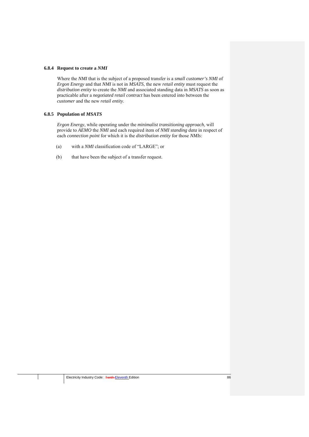#### **6.8.4 Request to create a** *NMI*

Where the *NMI* that is the subject of a proposed transfer is a *small customer's NMI* of *Ergon Energy* and that *NMI* is not in *MSATS*, the new *retail entity* must request the *distribution entity* to create the *NMI* and associated standing data in *MSATS* as soon as practicable after a *negotiated retail contract* has been entered into between the *customer* and the new *retail entity*.

## **6.8.5 Population of** *MSATS*

*Ergon Energy*, while operating under the *minimalist transitioning approach*, will provide to *AEMO* the *NMI* and each required item of *NMI standing data* in respect of each *connection point* for which it is the *distribution entity* for those *NMIs*:

- (a) with a *NMI* classification code of "LARGE"; or
- (b) that have been the subject of a transfer request.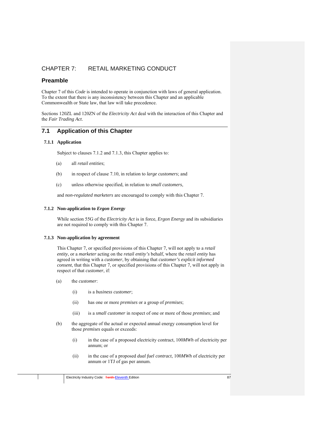# CHAPTER 7: RETAIL MARKETING CONDUCT

# **Preamble**

Chapter 7 of this *Code* is intended to operate in conjunction with laws of general application. To the extent that there is any inconsistency between this Chapter and an applicable Commonwealth or State law, that law will take precedence.

Sections 120ZL and 120ZN of the *Electricity Act* deal with the interaction of this Chapter and the *Fair Trading Act*.

# **7.1 Application of this Chapter**

## **7.1.1 Application**

Subject to clauses 7.1.2 and 7.1.3, this Chapter applies to:

- (a) all *retail entities*;
- (b) in respect of clause 7.10, in relation to *large customers*; and
- (c) unless otherwise specified, in relation to *small customers*,

and *non-regulated marketers* are encouraged to comply with this Chapter 7.

## **7.1.2 Non-application to** *Ergon Energy*

While section 55G of the *Electricity Act* is in force, *Ergon Energy* and its subsidiaries are not required to comply with this Chapter 7.

## **7.1.3 Non-application by agreement**

This Chapter 7, or specified provisions of this Chapter 7, will not apply to a *retail entity*, or a *marketer* acting on the *retail entity's* behalf, where the *retail entity* has agreed in writing with a *customer*, by obtaining that *customer's explicit informed consent*, that this Chapter 7, or specified provisions of this Chapter 7, will not apply in respect of that *customer*, if:

- (a) the *customer*:
	- (i) is a *business customer*;
	- (ii) has one or more *premises* or a group of *premises*;
	- (iii) is a *small customer* in respect of one or more of those *premises*; and
- (b) the aggregate of the actual or expected annual energy consumption level for those *premises* equals or exceeds:
	- (i) in the case of a proposed electricity contract, 100*MWh* of electricity per annum; or
	- (ii) in the case of a proposed *dual fuel contract*, 100*MWh* of electricity per annum or 1TJ of gas per annum.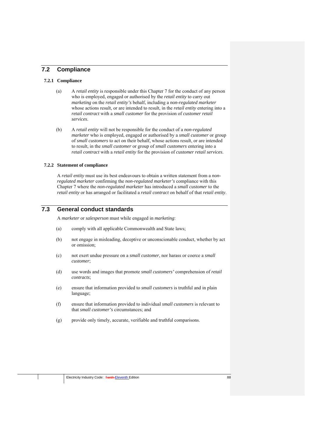# **7.2 Compliance**

## **7.2.1 Compliance**

- (a) A *retail entity* is responsible under this Chapter 7 for the conduct of any person who is employed, engaged or authorised by the *retail entity* to carry out *marketing* on the *retail entity's* behalf, including a *non-regulated marketer* whose actions result, or are intended to result, in the *retail entity* entering into a *retail contract* with a *small customer* for the provision of *customer retail services*.
- (b) A *retail entity* will not be responsible for the conduct of a *non-regulated marketer* who is employed, engaged or authorised by a *small customer* or group of *small customers* to act on their behalf, whose actions result, or are intended to result, in the *small customer* or group of *small customers* entering into a *retail contract* with a *retail entity* for the provision of *customer retail services*.

#### **7.2.2 Statement of compliance**

A *retail entity* must use its best endeavours to obtain a written statement from a *nonregulated marketer* confirming the *non-regulated marketer's* compliance with this Chapter 7 where the *non-regulated marketer* has introduced a *small customer* to the *retail entity* or has arranged or facilitated a *retail contract* on behalf of that *retail entity*.

# **7.3 General conduct standards**

A *marketer* or *salesperson* must while engaged in *marketing*:

- (a) comply with all applicable Commonwealth and State laws;
- (b) not engage in misleading, deceptive or unconscionable conduct, whether by act or omission;
- (c) not exert undue pressure on a *small customer*, nor harass or coerce a *small customer*;
- (d) use words and images that promote *small customers'* comprehension of *retail contracts*;
- (e) ensure that information provided to *small customers* is truthful and in plain language;
- (f) ensure that information provided to individual *small customers* is relevant to that *small customer's* circumstances; and
- (g) provide only timely, accurate, verifiable and truthful comparisons.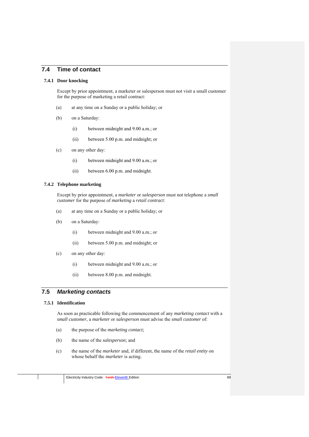# **7.4 Time of contact**

#### **7.4.1 Door knocking**

Except by prior appointment, a marketer or salesperson must not visit a small customer for the purpose of marketing a retail contract:

- (a) at any time on a Sunday or a public holiday; or
- (b) on a Saturday:
	- (i) between midnight and 9.00 a.m.; or
	- (ii) between 5.00 p.m. and midnight; or
- (c) on any other day:
	- (i) between midnight and 9.00 a.m.; or
	- (ii) between 6.00 p.m. and midnight.

# **7.4.2 Telephone marketing**

Except by prior appointment, a *marketer* or *salesperson* must not telephone a *small customer* for the purpose of *marketing* a *retail contract*:

- (a) at any time on a Sunday or a public holiday; or
- (b) on a Saturday:
	- (i) between midnight and 9.00 a.m.; or
	- (ii) between 5.00 p.m. and midnight; or
- (c) on any other day:
	- (i) between midnight and 9.00 a.m.; or
	- (ii) between 8.00 p.m. and midnight.

# **7.5** *Marketing contacts*

## **7.5.1 Identification**

As soon as practicable following the commencement of any *marketing contact* with a *small customer*, a *marketer* or *salesperson* must advise the *small customer* of:

- (a) the purpose of the *marketing contact;*
- (b) the name of the *salesperson*; and
- (c) the name of the *marketer* and, if different, the name of the *retail entity* on whose behalf the *marketer* is acting.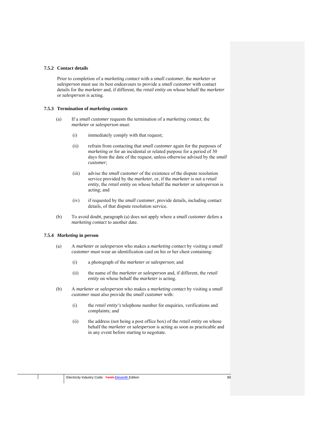#### **7.5.2 Contact details**

Prior to completion of a *marketing contact* with a *small customer*, the *marketer* or *salesperson* must use its best endeavours to provide a *small customer* with contact details for the *marketer* and, if different, the *retail entity* on whose behalf the *marketer* or *salesperson* is acting.

#### **7.5.3 Termination of** *marketing contacts*

- (a) If a *small customer* requests the termination of a *marketing contact*, the *marketer* or *salesperson* must:
	- (i) immediately comply with that request;
	- (ii) refrain from contacting that *small customer* again for the purposes of *marketing* or for an incidental or related purpose for a period of 30 days from the date of the request, unless otherwise advised by the *small customer*;
	- (iii) advise the *small customer* of the existence of the dispute resolution service provided by the *marketer*, or, if the *marketer* is not a *retail entity*, the *retail entity* on whose behalf the *marketer* or *salesperson* is acting; and
	- (iv) if requested by the *small customer*, provide details, including contact details, of that dispute resolution service.
- (b) To avoid doubt, paragraph (a) does not apply where a *small customer* defers a *marketing contact* to another date.

## **7.5.4** *Marketing* **in person**

- (a) A *marketer* or *salesperson* who makes a *marketing contact* by visiting a *small customer* must wear an identification card on his or her chest containing:
	- (i) a photograph of the *marketer* or *salesperson*; and
	- (ii) the name of the *marketer* or *salesperson* and, if different, the *retail entity* on whose behalf the *marketer* is acting.
- (b) A *marketer* or *salesperson* who makes a *marketing contact* by visiting a *small customer* must also provide the *small customer* with:
	- (i) the *retail entity's* telephone number for enquiries, verifications and complaints; and
	- (ii) the address (not being a post office box) of the *retail entity* on whose behalf the *marketer* or *salesperson* is acting as soon as practicable and in any event before starting to negotiate.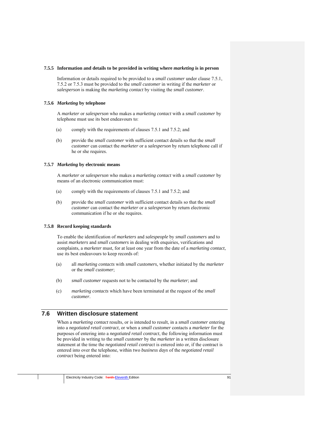#### **7.5.5 Information and details to be provided in writing where** *marketing* **is in person**

Information or details required to be provided to a *small customer* under clause 7.5.1, 7.5.2 or 7.5.3 must be provided to the *small customer* in writing if the *marketer* or *salesperson* is making the *marketing contact* by visiting the *small customer*.

#### **7.5.6** *Marketing* **by telephone**

A *marketer* or *salesperson* who makes a *marketing contact* with a *small customer* by telephone must use its best endeavours to:

- (a) comply with the requirements of clauses 7.5.1 and 7.5.2; and
- (b) provide the *small customer* with sufficient contact details so that the *small customer* can contact the *marketer* or a *salesperson* by return telephone call if he or she requires.

#### **7.5.7** *Marketing* **by electronic means**

A *marketer* or *salesperson* who makes a *marketing contact* with a *small customer* by means of an electronic communication must:

- (a) comply with the requirements of clauses 7.5.1 and 7.5.2; and
- (b) provide the *small customer* with sufficient contact details so that the *small customer* can contact the *marketer* or a *salesperson* by return electronic communication if he or she requires.

## **7.5.8 Record keeping standards**

To enable the identification of *marketers* and *salespeople* by *small customers* and to assist *marketers* and *small customers* in dealing with enquiries, verifications and complaints, a *marketer* must, for at least one year from the date of a *marketing contact,* use its best endeavours to keep records of:

- (a) all *marketing contacts* with *small customers*, whether initiated by the *marketer* or the *small customer*;
- (b) *small customer* requests not to be contacted by the *marketer*; and
- (c) *marketing contacts* which have been terminated at the request of the *small customer*.

# **7.6 Written disclosure statement**

When a *marketing contact* results, or is intended to result, in a *small customer* entering into a *negotiated retail contract*, or when a *small customer* contacts a *marketer* for the purposes of entering into a *negotiated retail contract*, the following information must be provided in writing to the *small customer* by the *marketer* in a written disclosure statement at the time the *negotiated retail contract* is entered into or, if the contract is entered into over the telephone, within two *business days* of the *negotiated retail contract* being entered into: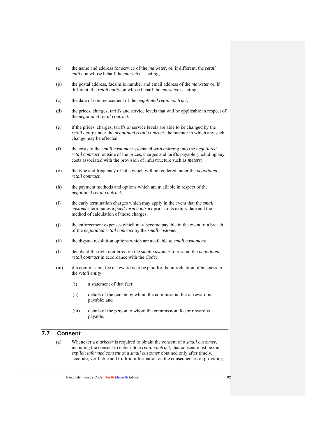- (a) the name and address for service of the *marketer*, or, if different, the *retail entity* on whose behalf the *marketer* is acting;
- (b) the postal address, facsimile number and email address of the *marketer* or, if different, the *retail entity* on whose behalf the *marketer* is acting;
- (c) the date of commencement of the *negotiated retail contract*;
- (d) the prices, charges, tariffs and service levels that will be applicable in respect of the *negotiated retail contract*;
- (e) if the prices, charges, tariffs or service levels are able to be changed by the *retail entity* under the *negotiated retail contract*, the manner in which any such change may be effected;
- (f) the costs to the *small customer* associated with entering into the *negotiated retail contract*, outside of the prices, charges and tariffs payable (including any costs associated with the provision of infrastructure such as *meters*);
- (g) the type and frequency of bills which will be rendered under the *negotiated retail contract*;
- (h) the payment methods and options which are available in respect of the *negotiated retail contract*;
- (i) the early termination charges which may apply in the event that the *small customer* terminates a *fixed-term contract* prior to its expiry date and the method of calculation of those charges;
- (j) the enforcement expenses which may become payable in the event of a breach of the *negotiated retail contract* by the *small customer*;
- (k) the dispute resolution options which are available to *small customers*;
- (l) details of the right conferred on the *small customer* to rescind the *negotiated retail contract* in accordance with the *Code*;
- (m) if a commission, fee or reward is to be paid for the introduction of business to the *retail entity*:
	- (i) a statement of that fact;
	- (ii) details of the person by whom the commission, fee or reward is payable; and
	- (iii) details of the person to whom the commission, fee or reward is payable.

# **7.7 Consent**

(a) Whenever a *marketer* is required to obtain the consent of a *small customer*, including the consent to enter into a *retail contract*, that consent must be the *explicit informed consent* of a *small customer* obtained only after timely, accurate, verifiable and truthful information on the consequences of providing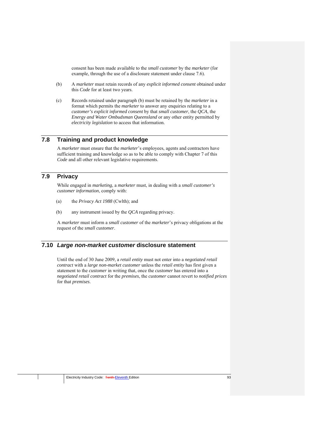consent has been made available to the *small customer* by the *marketer* (for example, through the use of a disclosure statement under clause 7.6).

- (b) A *marketer* must retain records of any *explicit informed consent* obtained under this *Code* for at least two years.
- (c) Records retained under paragraph (b) must be retained by the *marketer* in a format which permits the *marketer* to answer any enquiries relating to a *customer's explicit informed consent* by that *small customer*, the *QCA*, the *Energy and Water Ombudsman Queensland* or any other entity permitted by *electricity legislation* to access that information.

# **7.8 Training and product knowledge**

A *marketer* must ensure that the *marketer*'s employees, agents and contractors have sufficient training and knowledge so as to be able to comply with Chapter 7 of this *Code* and all other relevant legislative requirements.

# **7.9 Privacy**

While engaged in *marketing*, a *marketer* must, in dealing with a *small customer's customer information*, comply with:

- (a) the *Privacy Act 1988* (Cwlth); and
- (b) any instrument issued by the *QCA* regarding privacy.

A *marketer* must inform a *small customer* of the *marketer*'s privacy obligations at the request of the *small customer*.

# **7.10** *Large non-market customer* **disclosure statement**

Until the end of 30 June 2009, a *retail entity* must not enter into a *negotiated retail contract* with a *large non-market customer* unless the *retail entity* has first given a statement to the *customer* in writing that, once the *customer* has entered into a *negotiated retail contract* for the *premises*, the *customer* cannot revert to *notified prices* for that *premises*.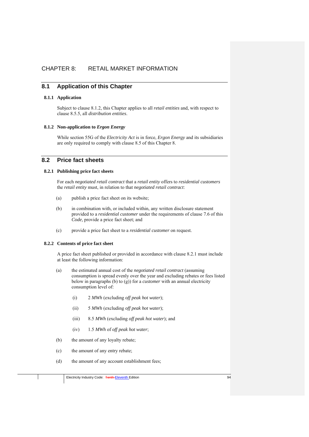# CHAPTER 8: RETAIL MARKET INFORMATION

# **8.1 Application of this Chapter**

## **8.1.1 Application**

Subject to clause 8.1.2, this Chapter applies to all *retail entities* and, with respect to clause 8.5.5, all *distribution entities*.

### **8.1.2 Non-application to** *Ergon Energy*

While section 55G of the *Electricity Act* is in force, *Ergon Energy* and its subsidiaries are only required to comply with clause 8.5 of this Chapter 8.

# **8.2 Price fact sheets**

## **8.2.1 Publishing price fact sheets**

For each *negotiated retail contract* that a *retail entity* offers to *residential customers* the *retail entity* must, in relation to that *negotiated retail contract*:

- (a) publish a price fact sheet on its website;
- (b) in combination with, or included within, any written disclosure statement provided to a *residential customer* under the requirements of clause 7.6 of this *Code,* provide a price fact sheet; and
- (c) provide a price fact sheet to a *residential customer* on request.

# **8.2.2 Contents of price fact sheet**

A price fact sheet published or provided in accordance with clause 8.2.1 must include at least the following information:

- (a) the estimated annual cost of the *negotiated retail contract* (assuming consumption is spread evenly over the year and excluding rebates or fees listed below in paragraphs (b) to (g)) for a *customer* with an annual electricity consumption level of:
	- (i) 2 *MWh* (excluding *off peak hot water*);
	- (ii) 5 *MWh* (excluding *off peak hot water*);
	- (iii) 8.5 *MWh* (excluding *off peak hot water*); and
	- (iv) 1.5 *MWh* of *off peak hot water*;
- (b) the amount of any loyalty rebate;
- (c) the amount of any entry rebate;
- (d) the amount of any account establishment fees;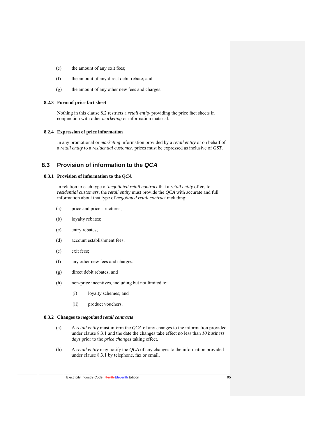- (e) the amount of any exit fees;
- (f) the amount of any direct debit rebate; and
- (g) the amount of any other new fees and charges.

#### **8.2.3 Form of price fact sheet**

Nothing in this clause 8.2 restricts a *retail entity* providing the price fact sheets in conjunction with other *marketing* or information material.

#### **8.2.4 Expression of price information**

In any promotional or *marketing* information provided by a *retail entity* or on behalf of a *retail entity* to a *residential customer*, prices must be expressed as inclusive of *GST*.

# **8.3 Provision of information to the** *QCA*

#### **8.3.1 Provision of information to the** *QCA*

In relation to each type of *negotiated retail contract* that a *retail entity* offers to *residential customers*, the *retail entity* must provide the *QCA* with accurate and full information about that type of *negotiated retail contract* including:

- (a) price and price structures;
- (b) loyalty rebates;
- (c) entry rebates;
- (d) account establishment fees;
- (e) exit fees;
- (f) any other new fees and charges;
- (g) direct debit rebates; and
- (h) non-price incentives, including but not limited to:
	- (i) loyalty schemes; and
	- (ii) product vouchers.

#### **8.3.2 Changes to** *negotiated retail contract***s**

- (a) A *retail entity* must inform the *QCA* of any changes to the information provided under clause 8.3.1 and the date the changes take effect no less than *10 business days* prior to the *price changes* taking effect.
- (b) A *retail entity* may notify the *QCA* of any changes to the information provided under clause 8.3.1 by telephone, fax or email.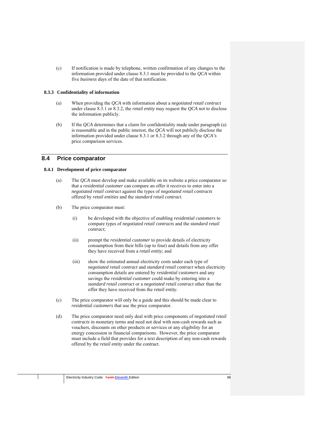(c) If notification is made by telephone, written confirmation of any changes to the information provided under clause 8.3.1 must be provided to the *QCA* within five *business days* of the date of that notification.

## **8.3.3 Confidentiality of information**

- (a) When providing the *QCA* with information about a *negotiated retail contract* under clause 8.3.1 or 8.3.2, the *retail entity* may request the *QCA* not to disclose the information publicly.
- (b) If the *QCA* determines that a claim for confidentiality made under paragraph (a) is reasonable and in the public interest, the *QCA* will not publicly disclose the information provided under clause 8.3.1 or 8.3.2 through any of the *QCA's* price comparison services.

# **8.4 Price comparator**

## **8.4.1 Development of price comparator**

- (a) The *QCA* must develop and make available on its website a price comparator so that a *residential customer* can compare an offer it receives to enter into a *negotiated retail contract* against the types of *negotiated retail contracts* offered by *retail entities* and the *standard retail contract*.
- (b) The price comparator must:
	- (i) be developed with the objective of enabling *residential customers* to compare types of *negotiated retail contracts* and the *standard retail contract*;
	- (ii) prompt the *residential customer* to provide details of electricity consumption from their bills (up to four) and details from any offer they have received from a *retail entity*; and
	- (iii) show the estimated annual electricity costs under each type of *negotiated retail contract* and *standard retail contract* when electricity consumption details are entered by *residential customers* and any savings the *residential customer* could make by entering into a *standard retail contract* or a *negotiated retail contract* other than the offer they have received from the *retail entity*.
- (c) The price comparator will only be a guide and this should be made clear to *residential customers* that use the price comparator.
- (d) The price comparator need only deal with price components of *negotiated retail contracts* in monetary terms and need not deal with non-cash rewards such as vouchers, discounts on other products or services or any eligibility for an energy concession in financial comparisons. However, the price comparator must include a field that provides for a text description of any non-cash rewards offered by the *retail entity* under the contract.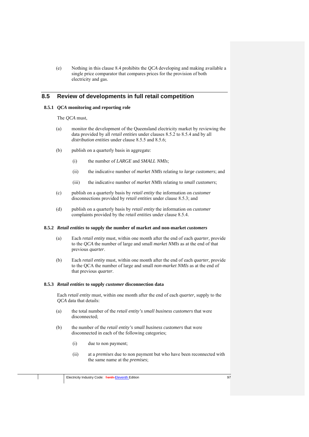(e) Nothing in this clause 8.4 prohibits the *QCA* developing and making available a single price comparator that compares prices for the provision of both electricity and gas.

# **8.5 Review of developments in full retail competition**

## **8.5.1** *QCA* **monitoring and reporting role**

The *QCA* must,

- (a) monitor the development of the Queensland electricity market by reviewing the data provided by all *retail entities* under clauses 8.5.2 to 8.5.4 and by all *distribution entities* under clause 8.5.5 and 8.5.6;
- (b) publish on a quarterly basis in aggregate:
	- (i) the number of *LARGE* and *SMALL NMIs*;
	- (ii) the indicative number of *market NMIs* relating to *large customers*; and
	- (iii) the indicative number of *market NMIs* relating to *small customers*;
- (c) publish on a quarterly basis by *retail entity* the information on *customer* disconnections provided by *retail entities* under clause 8.5.3; and
- (d) publish on a quarterly basis by *retail entity* the information on *customer* complaints provided by the *retail entities* under clause 8.5.4.

### **8.5.2** *Retail entities* **to supply the number of market and non-market** *customers*

- (a) Each *retail entity* must, within one month after the end of each *quarter,* provide to the *QCA* the number of large and small *market NMIs* as at the end of that previous *quarter*.
- (b) Each *retail entity* must, within one month after the end of each *quarter,* provide to the QCA the number of large and small *non-market NMIs* as at the end of that previous *quarter*.

### **8.5.3** *Retail entities* **to supply** *customer* **disconnection data**

Each *retail entity* must, within one month after the end of each *quarter,* supply to the *QCA* data that details:

- (a) the total number of the *retail entity's small business customers* that were disconnected;
- (b) the number of the *retail entity's small business customers* that were disconnected in each of the following categories;
	- (i) due to non payment;
	- (ii) at a *premises* due to non payment but who have been reconnected with the same name at the *premises*;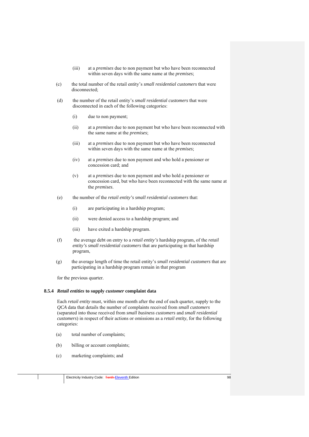- (iii) at a *premises* due to non payment but who have been reconnected within seven days with the same name at the *premises*;
- (c) the total number of the retail entity's *small residential customers* that were disconnected;
- (d) the number of the retail entity's *small residential customers* that were disconnected in each of the following categories:
	- (i) due to non payment;
	- (ii) at a *premises* due to non payment but who have been reconnected with the same name at the *premises*;
	- (iii) at a *premises* due to non payment but who have been reconnected within seven days with the same name at the *premises*;
	- (iv) at a *premises* due to non payment and who hold a pensioner or concession card; and
	- (v) at a *premises* due to non payment and who hold a pensioner or concession card, but who have been reconnected with the same name at the *premises*.
- (e) the number of the *retail entity's small residential customers* that:
	- (i) are participating in a hardship program;
	- (ii) were denied access to a hardship program; and
	- (iii) have exited a hardship program.
- (f) the average debt on entry to a *retail entity's* hardship program, of the *retail entity's small residential customers* that are participating in that hardship program,
- (g) the average length of time the retail entity's *small residential customers* that are participating in a hardship program remain in that program

for the previous quarter.

#### **8.5.4** *Retail entities* **to supply** *customer* **complaint data**

Each *retail entity* must, within one month after the end of each quarter, supply to the *QCA* data that details the number of complaints received from *small customers* (separated into those received from *small business customers* and *small residential customers*) in respect of their actions or omissions as a *retail entity*, for the following categories:

- (a) total number of complaints;
- (b) billing or account complaints;
- (c) marketing complaints; and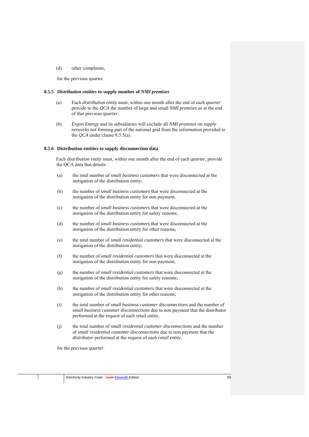(d) other complaints,

for the previous quarter.

#### **8.5.5** *Distribution entities* **to supply number of** *NMI premises*

- (a) Each *distribution entity* must, within one month after the end of each *quarter* provide to the *QCA* the number of large and small *NMI premises* as at the end of that previous *quarter*.
- (b) *Ergon Energy* and its subsidiaries will exclude all *NMI premises* on *supply networks* not forming part of the national grid from the information provided to the *QCA* under clause 8.5.5(a).

#### **8.5.6 Distribution entities to supply disconnection data**

Each *distribution entity* must, within one month after the end of each *quarter*, provide the QCA data that details:

- (a) the total number of *small business customers* that were disconnected at the instigation of the distribution entity;
- (b) the number of *small business customers* that were disconnected at the instigation of the distribution entity for non payment;
- (c) the number of *small business customers* that were disconnected at the instigation of the distribution entity for safety reasons;
- (d) the number of *small business customers* that were disconnected at the instigation of the distribution entity for other reasons;
- (e) the total number of *small residential customers* that were disconnected at the instigation of the distribution entity;
- (f) the number of *small residential customers* that were disconnected at the instigation of the distribution entity for non payment;
- (g) the number of *small residential customers* that were disconnected at the instigation of the distribution entity for safety reasons;
- (h) the number of *small residential customers* that were disconnected at the instigation of the distribution entity for other reasons;
- (i) the total number of *small business customer disconnections* and the number of *small business customer disconnections* due to non payment that the distributor performed at the request of each retail entity,
- (j) the total number of *small residential customer disconnections* and the number of *small residential customer disconnections* due to non payment that the *distributor* performed at the request of each *retail entity*,

for the previous *quarter*.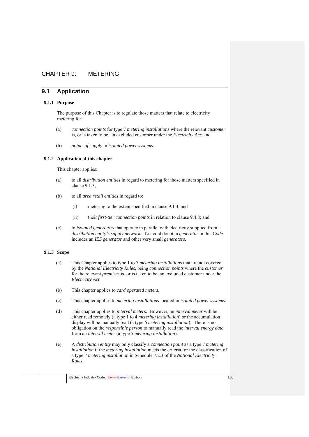# CHAPTER 9: METERING

# **9.1 Application**

### **9.1.1 Purpose**

The purpose of this Chapter is to regulate those matters that relate to electricity metering for:

- (a) *connection points* for type 7 *metering installations* where the relevant *customer*  is, or is taken to be, an excluded customer under the *Electricity Act*; and
- (b) *points of supply* in *isolated power systems*.

### **9.1.2 Application of this chapter**

This chapter applies:

- (a) to all *distribution entities* in regard to metering for those matters specified in clause 9.1.3;
- (b) to all *area retail entities* in regard to:
	- (i) metering to the extent specified in clause 9.1.3; and
	- (ii) their *first-tier connection points* in relation to clause 9.4.8; and
- (c) to *isolated generators* that operate in parallel with electricity supplied from a *distribution entity's supply network.* To avoid doubt, a *generator* in this *Code* includes an *IES generator* and other very small *generators*.

# **9.1.3 Scope**

- (a) This Chapter applies to type 1 to 7 *metering installations* that are not covered by the *National Electricity Rules*, being *connection points* where the *customer* for the relevant *premises* is, or is taken to be, an excluded customer under the *Electricity Act.*
- (b) This chapter applies to *card operated meters*.
- (c) This chapter applies to *metering installations* located in *isolated power systems*.
- (d) This chapter applies to *interval meters.* However, an *interval meter* will be either read remotely (a type 1 to 4 *metering installation*) or the accumulation display will be manually read (a type 6 *metering installation*). There is no obligation on the *responsible person* to manually read the *interval energy data* from an *interval meter* (a type 5 *metering installation*).
- (e) A *distribution entity* may only classify a *connection point* as a type 7 *metering installation* if the *metering installation* meets the criteria for the classification of a type *7 metering installation* in Schedule 7.2.3 of the *National Electricity Rules*.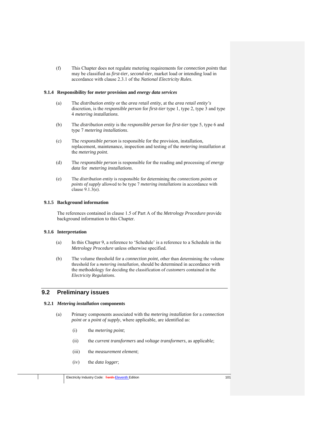(f) This Chapter does not regulate metering requirements for *connection points* that may be classified as *first-tier*, *second-tier*, market load or intending load in accordance with clause 2.3.1 of the *National Electricity Rules*.

## **9.1.4 Responsibility for** *meter* **provision and** *energy data services*

- (a) The *distribution entity* or the *area retail entity*, at the *area retail entity's* discretion, is the *responsible person* for *first-tier* type 1, type 2, type 3 and type 4 *metering installations*.
- (b) The *distribution entity* is the *responsible person* for *first-tier* type 5, type 6 and type 7 *metering installations*.
- (c) The *responsible person* is responsible for the provision, installation, replacement, maintenance, inspection and testing of the *metering installation* at the *metering point*.
- (d) The *responsible person* is responsible for the reading and processing of *energy data* for *metering installations*.
- (e) The *distribution entity* is responsible for determining the *connections points* or *points of supply* allowed to be type 7 *metering installations* in accordance with clause 9.1.3(e).

## **9.1.5 Background information**

The references contained in clause 1.5 of Part A of the *Metrology Procedure* provide background information to this Chapter.

## **9.1.6 Interpretation**

- (a) In this Chapter 9, a reference to 'Schedule' is a reference to a Schedule in the *Metrology Procedure* unless otherwise specified.
- (b) The volume threshold for a *connection point*, other than determining the volume threshold for a *metering installation*, should be determined in accordance with the methodology for deciding the classification of *customers* contained in the *Electricity Regulations*.

# **9.2 Preliminary issues**

### **9.2.1** *Metering installation* **components**

- (a) Primary components associated with the *metering installation* for a *connection point* or a *point of supply*, where applicable, are identified as:
	- (i) the *metering point*;
	- (ii) the *current transformers* and *voltage transformers*, as applicable;
	- (iii) the *measurement element*;
	- (iv) the *data logger*;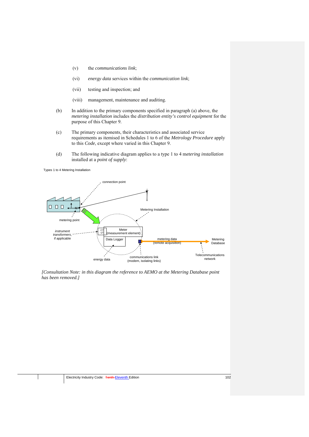- (v) the *communications link*;
- (vi) *energy data* services within the *communication link*;
- (vii) testing and inspection; and
- (viii) management, maintenance and auditing.
- (b) In addition to the primary components specified in paragraph (a) above, the *metering installation* includes the *distribution entity's control equipment* for the purpose of this Chapter 9.
- (c) The primary components, their characteristics and associated service requirements as itemised in Schedules 1 to 6 of the *Metrology Procedure* apply to this *Code*, except where varied in this Chapter 9.
- (d) The following indicative diagram applies to a type 1 to 4 m*etering installation* installed at a *point of supply*:

Types 1 to 4 Metering Installation



*[Consultation Note: in this diagram the reference to AEMO at the Metering Database point has been removed.]*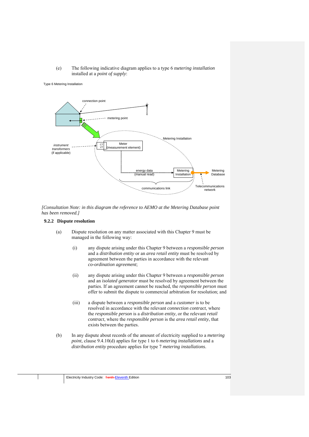## (e) The following indicative diagram applies to a type 6 m*etering installation*  installed at a *point of supply*:

#### Type 6 Metering Installation



*[Consultation Note: in this diagram the reference to AEMO at the Metering Database point has been removed.]* 

### **9.2.2 Dispute resolution**

- (a) Dispute resolution on any matter associated with this Chapter 9 must be managed in the following way:
	- (i) any dispute arising under this Chapter 9 between a *responsible person* and a *distribution entity* or an *area retail entity* must be resolved by agreement between the parties in accordance with the relevant *co-ordination agreement*;
	- (ii) any dispute arising under this Chapter 9 between a *responsible person* and an *isolated generator* must be resolved by agreement between the parties. If an agreement cannot be reached, the *responsible person* must offer to submit the dispute to commercial arbitration for resolution; and
	- (iii) a dispute between a *responsible person* and a *customer* is to be resolved in accordance with the relevant *connection contract*, where the *responsible person* is a *distribution entity*, or the relevant *retail contract*, where the *responsible person* is the *area retail entity*, that exists between the parties.
- (b) In any dispute about records of the amount of electricity supplied to a *metering point*, clause 9.4.10(d) applies for type 1 to 6 *metering installations* and a *distribution entity* procedure applies for type 7 *metering installations*.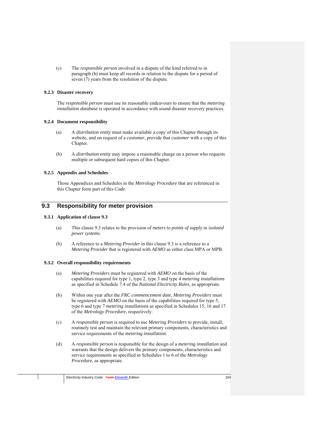(c) The *responsible person* involved in a dispute of the kind referred to in paragraph (b) must keep all records in relation to the dispute for a period of seven (7) years from the resolution of the dispute.

# **9.2.3 Disaster recovery**

The *responsible person* must use its reasonable endeavours to ensure that the *metering installation database* is operated in accordance with sound disaster recovery practices.

## **9.2.4 Document responsibility**

- (a) A *distribution entity* must make available a copy of this Chapter through its website, and on request of a *customer*, provide that *customer* with a copy of this Chapter.
- (b) A *distribution entity* may impose a reasonable charge on a person who requests multiple or subsequent hard copies of this Chapter.

# **9.2.5 Appendix and Schedules**

Those Appendices and Schedules in the *Metrology Procedure* that are referenced in this Chapter form part of this *Code*.

# **9.3 Responsibility for meter provision**

## **9.3.1 Application of clause 9.3**

- (a) This clause 9.3 relates to the provision of *meters* to *points of supply* in *isolated power systems*.
- (b) A reference to a *Metering Provider* in this clause 9.3 is a reference to a *Metering Provider* that is registered with *AEMO* as either class MPA or MPB.

### **9.3.2 Overall responsibility requirements**

- (a) *Metering Providers* must be registered with *AEMO* on the basis of the capabilities required for type 1, type 2, type 3 and type 4 *metering installations* as specified in Schedule 7.4 of the *National Electricity Rules*, as appropriate*.*
- (b) Within one year after the *FRC commencement date*, *Metering Providers* must be registered with *AEMO* on the basis of the capabilities required for type 5, type 6 and type 7 *metering installations* as specified in Schedules 15, 16 and 17 of the *Metrology Procedure*, respectively.
- (c) A *responsible person* is required to use *Metering Providers* to provide, install, routinely test and maintain the relevant primary components, characteristics and service requirements of the *metering installation*.
- (d) A *responsible person* is responsible for the design of a *metering installation* and warrants that the design delivers the primary components, characteristics and service requirements as specified in Schedules 1 to 6 of the *Metrology Procedure*, as appropriate.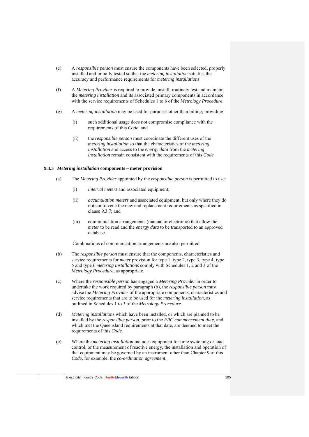- (e) A *responsible person* must ensure the components have been selected, properly installed and initially tested so that the *metering installation* satisfies the accuracy and performance requirements for *metering installations*.
- (f) A *Metering Provider* is required to provide, install, routinely test and maintain the *metering installation* and its associated primary components in accordance with the service requirements of Schedules 1 to 6 of the *Metrology Procedure*.
- (g) A *metering installation* may be used for purposes other than billing, providing:
	- (i) such additional usage does not compromise compliance with the requirements of this *Code*; and
	- (ii) the *responsible person* must coordinate the different uses of the *metering installation* so that the characteristics of the *metering installation* and access to the *energy data* from the *metering installation* remain consistent with the requirements of this *Code*.

### **9.3.3** *Metering installation* **components – meter provision**

- (a) The *Metering Provider* appointed by the *responsible person* is permitted to use:
	- (i) *interval meters* and associated equipment;
	- (ii) *accumulation meters* and associated equipment, but only where they do not contravene the new and replacement requirements as specified in clause 9.3.7; and
	- (iii) communication arrangements (manual or electronic) that allow the *meter* to be read and the *energy data* to be transported to an approved database.

Combinations of communication arrangements are also permitted.

- (b) The *responsible person* must ensure that the components, characteristics and service requirements for *meter* provision for type 1, type 2, type 3, type 4, type 5 and type 6 *metering installations* comply with Schedules 1, 2 and 3 of the *Metrology Procedure*, as appropriate.
- (c) Where the *responsible person* has engaged a *Metering Provider* in order to undertake the work required by paragraph (b), the *responsible person* must advise the *Metering Provider* of the appropriate components, characteristics and service requirements that are to be used for the *metering installation*, as outlined in Schedules 1 to 3 of the *Metrology Procedure*.
- (d) *Metering installation*s which have been installed, or which are planned to be installed by the *responsible person*, prior to the *FRC commencement date*, and which met the Queensland requirements at that date, are deemed to meet the requirements of this *Code*.
- (e) Where the *metering installation* includes equipment for time switching or load control, or the measurement of reactive energy, the installation and operation of that equipment may be governed by an instrument other than Chapter 9 of this *Code*, for example, the *co-ordination agreement*.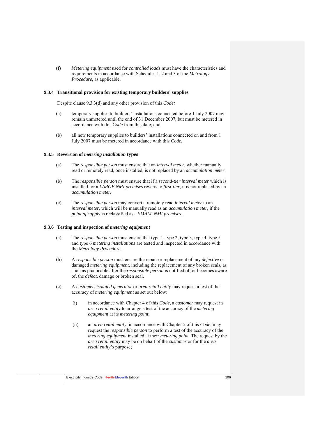(f) *Metering equipment* used for *controlled loads* must have the characteristics and requirements in accordance with Schedules 1, 2 and 3 of the *Metrology Procedure*, as applicable.

#### **9.3.4 Transitional provision for existing temporary builders' supplies**

Despite clause 9.3.3(d) and any other provision of this *Code:* 

- (a) temporary supplies to builders' installations connected before 1 July 2007 may remain unmetered until the end of 31 December 2007, but must be metered in accordance with this *Code* from this date; and
- (b) all new temporary supplies to builders' installations connected on and from 1 July 2007 must be metered in accordance with this *Code*.

#### **9.3.5 Reversion of** *metering installation* **types**

- (a) The *responsible person* must ensure that an *interval meter*, whether manually read or remotely read, once installed, is not replaced by an *accumulation meter*.
- (b) The *responsible person* must ensure that if a *second-tier interval meter* which is installed for a *LARGE NMI premises* reverts to *first-tier*, it is not replaced by an *accumulation meter.*
- (c) The *responsible person* may convert a remotely read *interval meter* to an *interval meter*, which will be manually read as an *accumulation meter*, if the *point of supply* is reclassified as a *SMALL NMI premises*.

#### **9.3.6 Testing and inspection of** *metering equipment*

- (a) The *responsible person* must ensure that type 1, type 2, type 3, type 4, type 5 and type 6 *metering installations* are tested and inspected in accordance with the *Metrology Procedure*.
- (b) A *responsible person* must ensure the repair or replacement of any *defective* or damaged *metering equipment*, including the replacement of any broken seals, as soon as practicable after the *responsible person* is notified of, or becomes aware of, the *defect*, damage or broken seal.
- (c) A *customer*, *isolated generator* or *area retail entity* may request a test of the accuracy of *metering equipment* as set out below:
	- (i) in accordance with Chapter 4 of this *Code*, a *customer* may request its *area retail entity* to arrange a test of the accuracy of the *metering equipment* at its *metering point*;
	- (ii) an *area retail entity*, in accordance with Chapter 5 of this *Code*, may request the *responsible person* to perform a test of the accuracy of the *metering equipment* installed at their *metering point*. The request by the *area retail entity* may be on behalf of the *customer* or for the *area retail entity's* purpose;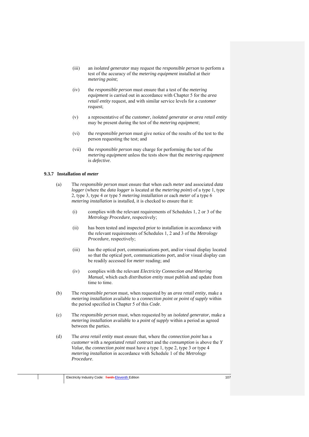- (iii) an *isolated generator* may request the *responsible person* to perform a test of the accuracy of the *metering equipment* installed at their *metering point*;
- (iv) the *responsible person* must ensure that a test of the *metering equipment* is carried out in accordance with Chapter 5 for the *area retail entity* request, and with similar service levels for a *customer* request;
- (v) a representative of the *customer*, *isolated generator* or *area retail entity*  may be present during the test of the *metering equipment*;
- (vi) the *responsible person* must give notice of the results of the test to the person requesting the test; and
- (vii) the *responsible person* may charge for performing the test of the *metering equipment* unless the tests show that the *metering equipment* is *defective*.

# **9.3.7 Installation of** *meter*

- (a) The *responsible person* must ensure that when each *meter* and associated *data logger* (where the *data logger* is located at the *metering point*) of a type 1, type 2, type 3, type 4 or type 5 *metering installation* or each *meter* of a type 6 *metering installation* is installed, it is checked to ensure that it:
	- (i) complies with the relevant requirements of Schedules 1, 2 or 3 of the *Metrology Procedure*, respectively;
	- (ii) has been tested and inspected prior to installation in accordance with the relevant requirements of Schedules 1, 2 and 3 of the *Metrology Procedure*, respectively;
	- (iii) has the optical port, communications port, and/or visual display located so that the optical port, communications port, and/or visual display can be readily accessed for *meter* reading; and
	- (iv) complies with the relevant *Electricity Connection and Metering Manual*, which each *distribution entity* must publish and update from time to time.
- (b) The *responsible person* must, when requested by an *area retail entity,* make a *metering installation* available to a *connection point* or *point of supply* within the period specified in Chapter 5 of this *Code*.
- (c) The *responsible person* must, when requested by an *isolated generator,* make a *metering installation* available to a *point of supply* within a period as agreed between the parties.
- (d) The *area retail entity* must ensure that, where the *connection point* has a *customer* with a *negotiated retail contract* and the *consumption* is above the *Y Value*, the *connection point* must have a type 1, type 2, type 3 or type 4 *metering installation* in accordance with Schedule 1 of the *Metrology Procedure*.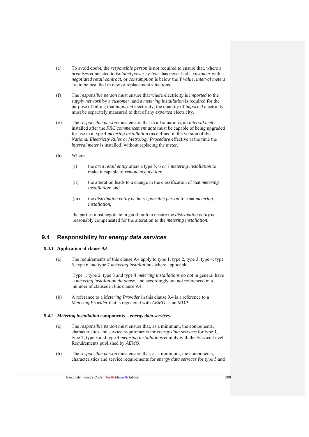- (e) To avoid doubt, the *responsible person* is not required to ensure that, where a *premises* connected to *isolated power systems* has never had a *customer* with a *negotiated retail contract*, or *consumption* is below the *Y value*, *interval meters* are to be installed in new or replacement situations.
- (f) The *responsible person* must ensure that where electricity is *imported* to the *supply network* by a *customer*, and a *metering installation* is required for the purpose of billing that *imported* electricity, the quantity of *imported* electricity must be separately measured to that of any *exported* electricity.
- (g) The *responsible person* must ensure that in all situations, an *interval meter* installed after the *FRC commencement date* must be capable of being upgraded for use in a type 4 *metering installation* (as defined in the version of the *National Electricity Rules* or *Metrology Procedure* effective at the time the *interval meter* is installed) without replacing the *meter*.
- (h) Where:
	- (i) the *area retail entity* alters a type 5, 6 or 7 *metering installation* to make it capable of *remote acquisition*;
	- (ii) the alteration leads to a change in the classification of that *metering installation*; and
	- (iii) the *distribution entity* is the *responsible person* for that *metering installation*,

the parties must negotiate in good faith to ensure the *distribution entity* is reasonably compensated for the alteration to the *metering installation*.

# **9.4 Responsibility for** *energy data services*

### **9.4.1 Application of clause 9.4**

(a) The requirements of this clause 9.4 apply to type 1, type 2, type 3, type 4, type 5, type 6 and type 7 *metering installations* where applicable.

Type 1, type 2, type 3 and type 4 *metering installations* do not in general have a *metering installation database*, and accordingly are not referenced in a number of clauses in this clause 9.4.

(b) A reference to a *Metering Provider* in this clause 9.4 is a reference to a *Metering Provider* that is registered with *AEMO* as an *MDP*.

### **9.4.2** *Metering installation* **components –** *energy data services*

- (a) The *responsible person* must ensure that, as a minimum, the components, characteristics and service requirements for *energy data services* for type 1, type 2, type 3 and type 4 *metering installations* comply with the Service Level Requirements published by *AEMO*.
- (b) The *responsible person* must ensure that, as a minimum, the components, characteristics and service requirements for *energy data services* for type 5 and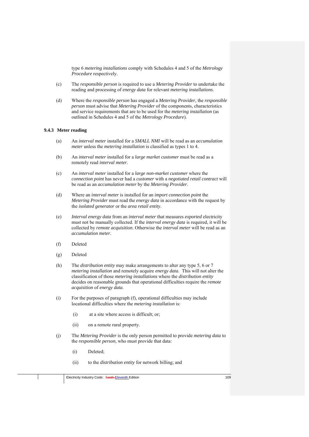type 6 *metering installations* comply with Schedules 4 and 5 of the *Metrology Procedure* respectively.

- (c) The *responsible person* is required to use a *Metering Provider* to undertake the reading and processing of *energy data* for relevant *metering installations*.
- (d) Where the *responsible person* has engaged a *Metering Provider,* the *responsible person* must advise that *Metering Provider* of the components, characteristics and service requirements that are to be used for the *metering installation* (as outlined in Schedules 4 and 5 of the *Metrology Procedure*).

# **9.4.3 Meter reading**

- (a) An *interval meter* installed for a *SMALL NMI* will be read as an *accumulation meter* unless the *metering installation* is classified as types 1 to 4.
- (b) An *interval meter* installed for a *large market customer* must be read as a remotely read *interval meter*.
- (c) An *interval meter* installed for a *large non-market customer* where the *connection point* has never had a *customer* with a *negotiated retail contract* will be read as an *accumulation meter* by the *Metering Provider*.
- (d) Where an *interval meter* is installed for an *import connection point* the *Metering Provider* must read the *energy data* in accordance with the request by the *isolated generator* or the *area retail entity*.
- (e) *Interval energy data* from an *interval meter* that measures *exported* electricity must not be manually collected. If the *interval energy data* is required, it will be collected by *remote acquisition*. Otherwise the *interval meter* will be read as an *accumulation meter*.
- (f) Deleted
- (g) Deleted
- (h) The *distribution entity* may make arrangements to alter any type 5, 6 or 7 *metering installation* and remotely acquire *energy data*. This will not alter the classification of those *metering installations* where the *distribution entity* decides on reasonable grounds that operational difficulties require the *remote acquisition* of *energy data*.
- (i) For the purposes of paragraph (f), operational difficulties may include locational difficulties where the *metering installation* is:
	- (i) at a site where access is difficult; or;
	- (ii) on a remote rural property.
- (j) The *Metering Provider* is the only person permitted to provide *metering data* to the *responsible person*, who must provide that data:
	- (i) Deleted;
	- (ii) to the *distribution entity* for network billing; and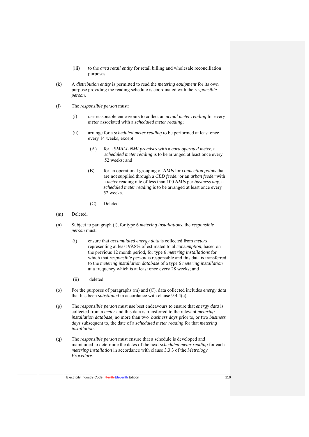- (iii) to the *area retail entity* for retail billing and wholesale reconciliation purposes.
- (k) A *distribution entity* is permitted to read the *metering equipment* for its own purpose providing the reading schedule is coordinated with the *responsible person*.
- (l) The *responsible person* must:
	- (i) use reasonable endeavours to collect an *actual meter reading* for every *meter* associated with a *scheduled meter reading*;
	- (ii) arrange for a *scheduled meter reading* to be performed at least once every 14 weeks, except:
		- (A) for a *SMALL NMI premises* with a *card operated meter*, a *scheduled meter reading* is to be arranged at least once every 52 weeks; and
		- (B) for an operational grouping of *NMIs* for *connection points* that are not supplied through a *CBD feeder* or an *urban feeder* with a *meter* reading rate of less than 100 *NMIs* per *business day*, a *scheduled meter reading* is to be arranged at least once every 52 weeks.
		- (C) Deleted
- (m) Deleted.
- (n) Subject to paragraph (l), for type 6 *metering installations*, the *responsible person* must:
	- (i) ensure that *accumulated energy data* is collected from *meters*  representing at least 99.8% of estimated total *consumption*, based on the previous 12 month period, for type 6 *metering installations* for which that *responsible person* is responsible and this data is transferred to the *metering installation database* of a type 6 *metering installation* at a frequency which is at least once every 28 weeks; and
	- (ii) deleted
- (o) For the purposes of paragraphs (m) and (C), data collected includes *energy data*  that has been *substituted* in accordance with clause 9.4.4(c).
- (p) The *responsible person* must use best endeavours to ensure that *energy data* is collected from a *meter* and this data is transferred to the relevant *metering installation database,* no more than two *business days* prior to, or two *business days* subsequent to, the date of a *scheduled meter reading* for that *metering installation*.
- (q) The *responsible person* must ensure that a schedule is developed and maintained to determine the dates of the next *scheduled meter reading* for each *metering installation* in accordance with clause 3.3.3 of the *Metrology Procedure*.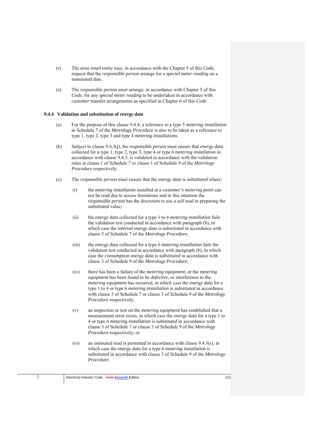- (r) The *area retail entity* may, in accordance with the Chapter 5 of this *Code*, request that the *responsible person* arrange for a *special meter reading* on a nominated date.
- (s) The *responsible person* must arrange, in accordance with Chapter 5 of this *Code*, for any *special meter reading* to be undertaken in accordance with *customer* transfer arrangements as specified in Chapter 6 of this *Code*.

### **9.4.4 Validation and substitution of** *energy data*

- (a) For the purpose of this clause 9.4.4, a reference to a type 5 *metering installation* in Schedule 7 of the *Metrology Procedure* is also to be taken as a reference to type 1, type 2, type 3 and type 4 *metering installations*.
- (b) Subject to clause 9.4.3(j), the *responsible person* must ensure that *energy data* collected for a type 1, type 2, type 3, type 4 or type 6 *metering installation* in accordance with clause 9.4.3, is validated in accordance with the validation rules in clause 1 of Schedule 7 or clause 1 of Schedule 9 of the *Metrology Procedure* respectively.
- (c) The *responsible person* must ensure that the *energy data* is *substituted* where:
	- (i) the *metering installation* installed at a *customer's metering point* can not be read due to access limitations and in this situation the *responsible person* has the discretion to use a self read in preparing the *substituted* value;
	- (ii) the *energy data* collected for a type 1 to 4 *metering installation* fails the validation test conducted in accordance with paragraph (b), in which case the *interval energy data* is *substituted* in accordance with clause 3 of Schedule 7 of the *Metrology Procedure*;
	- (iii) the *energy data* collected for a type 6 *metering installation* fails the validation test conducted in accordance with paragraph (b), in which case the *consumption energy data* is *substituted* in accordance with clause 3 of Schedule 9 of the *Metrology Procedure*;
	- (iv) there has been a failure of the *metering equipment*, or the *metering equipment* has been found to be *defective*, or interference to the *metering equipment* has occurred, in which case the *energy data* for a type 1 to 4 or type 6 *metering installation* is *substituted* in accordance with clause 3 of Schedule 7 or clause 3 of Schedule 9 of the *Metrology Procedure* respectively;
	- (v) an inspection or test on the *metering equipment* has established that a measurement error exists, in which case the *energy data* for a type 1 to 4 or type 6 *metering installation* is *substituted* in accordance with clause 3 of Schedule 7 or clause 3 of Schedule 9 of the *Metrology Procedure* respectively; or
	- (vi) an estimated read is permitted in accordance with clause 9.4.3(s), in which case the *energy data* for a type 6 *metering installation* is *substituted* in accordance with clause 3 of Schedule 9 of the *Metrology Procedure*.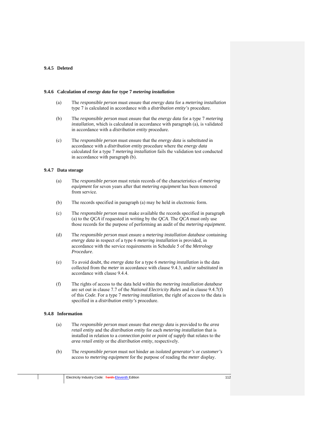# **9.4.5 Deleted**

#### **9.4.6 Calculation of** *energy data* **for type 7** *metering installation*

- (a) The *responsible person* must ensure that *energy data* for a *metering installation* type 7 is calculated in accordance with a *distribution entity's* procedure.
- (b) The *responsible person* must ensure that the *energy data* for a type 7 *metering installation*, which is calculated in accordance with paragraph (a), is validated in accordance with a *distribution entity* procedure.
- (c) The *responsible person* must ensure that the *energy data* is *substituted* in accordance with a *distribution entity* procedure where the *energy data* calculated for a type 7 *metering installation* fails the validation test conducted in accordance with paragraph (b).

### **9.4.7 Data storage**

- (a) The *responsible person* must retain records of the characteristics of *metering equipment* for seven years after that *metering equipment* has been removed from service.
- (b) The records specified in paragraph (a) may be held in electronic form.
- (c) The *responsible person* must make available the records specified in paragraph (a) to the *QCA* if requested in writing by the *QCA*. The *QCA* must only use those records for the purpose of performing an audit of the *metering equipment*.
- (d) The *responsible person* must ensure a *metering installation database* containing *energy data* in respect of a type 6 *metering installation* is provided, in accordance with the service requirements in Schedule 5 of the *Metrology Procedure*.
- (e) To avoid doubt, the *energy data* for a type 6 *metering installation* is the data collected from the *meter* in accordance with clause 9.4.3, and/or *substituted* in accordance with clause 9.4.4.
- (f) The rights of access to the data held within the *metering installation database*  are set out in clause 7.7 of the *National Electricity Rules* and in clause 9.4.7(f) of this *Code*. For a type 7 *metering installation*, the right of access to the data is specified in a *distribution entity's* procedure.

## **9.4.8 Information**

- (a) The *responsible person* must ensure that *energy data* is provided to the *area retail entity* and the *distribution entity* for each *metering installation* that is installed in relation to a *connection point* or *point of supply* that relates to the *area retail entity* or the *distribution entity*, respectively.
- (b) The *responsible person* must not hinder an *isolated generator's* or *customer's* access to *metering equipment* for the purpose of reading the *meter* display.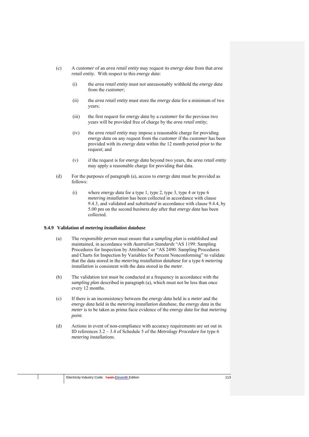- (c) A *customer* of an *area retail entity* may request its *energy data* from that *area retail entity*. With respect to this *energy data*:
	- (i) the *area retail entity* must not unreasonably withhold the *energy data* from the *customer*;
	- (ii) the *area retail entity* must store the *energy data* for a minimum of two years;
	- (iii) the first request for *energy data* by a *customer* for the previous two years will be provided free of charge by the *area retail entity*;
	- (iv) the *area retail entity* may impose a reasonable charge for providing *energy data* on any request from the *customer* if the *customer* has been provided with its *energy data* within the 12 month period prior to the request; and
	- (v) if the request is for *energy data* beyond two years, the *area retail entity* may apply a reasonable charge for providing that data.
- (d) For the purposes of paragraph (a), access to *energy data* must be provided as follows:
	- (i) where *energy data* for a type 1, type 2, type 3, type 4 or type 6 *metering installation* has been collected in accordance with clause 9.4.3, and validated and *substituted* in accordance with clause 9.4.4, by 5.00 pm on the second *business day* after that *energy data* has been collected.

#### **9.4.9 Validation of** *metering installation database*

- (a) The *responsible person* must ensure that a *sampling plan* is established and maintained, in accordance with *Australian Standards* "AS 1199: Sampling Procedures for Inspection by Attributes" or "AS 2490: Sampling Procedures and Charts for Inspection by Variables for Percent Nonconforming" to validate that the data stored in the *metering installation database* for a type 6 *metering installation* is consistent with the data stored in the *meter*.
- (b) The validation test must be conducted at a frequency in accordance with the *sampling plan* described in paragraph (a), which must not be less than once every 12 months.
- (c) If there is an inconsistency between the *energy data* held in a *meter* and the *energy data* held in the *metering installation database*, the *energy data* in the *meter* is to be taken as prima facie evidence of the *energy data* for that *metering point*.
- (d) Actions in event of non-compliance with accuracy requirements are set out in ID references 3.2 – 3.4 of Schedule 5 of the *Metrology Procedure* for type 6 *metering installations*.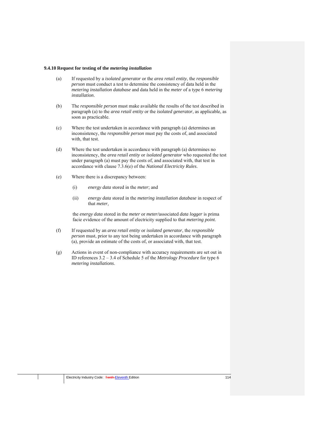#### **9.4.10 Request for testing of the** *metering installation*

- (a) If requested by a *isolated generator* or the *area retail entity*, the *responsible person* must conduct a test to determine the consistency of data held in the *metering installation database* and data held in the *meter* of a type 6 *metering installation*.
- (b) The *responsible person* must make available the results of the test described in paragraph (a) to the *area retail entity* or the *isolated generator*, as applicable, as soon as practicable.
- (c) Where the test undertaken in accordance with paragraph (a) determines an inconsistency, the *responsible person* must pay the costs of, and associated with, that test.
- (d) Where the test undertaken in accordance with paragraph (a) determines no inconsistency, the *area retail entity* or *isolated generator* who requested the test under paragraph (a) must pay the costs of, and associated with, that test in accordance with clause 7.3.6(e) of the *National Electricity Rules*.
- (e) Where there is a discrepancy between:
	- (i) *energy data* stored in the *meter*; and
	- (ii) *energy data* stored in the *metering installation database* in respect of that *meter*,

the *energy data* stored in the *meter* or *meter/*associated *data logger* is prima facie evidence of the amount of electricity supplied to that *metering point*.

- (f) If requested by an *area retail entity* or *isolated generator*, the *responsible person* must, prior to any test being undertaken in accordance with paragraph (a), provide an estimate of the costs of, or associated with, that test.
- (g) Actions in event of non-compliance with accuracy requirements are set out in ID references 3.2 – 3.4 of Schedule 5 of the *Metrology Procedure* for type 6 *metering installations*.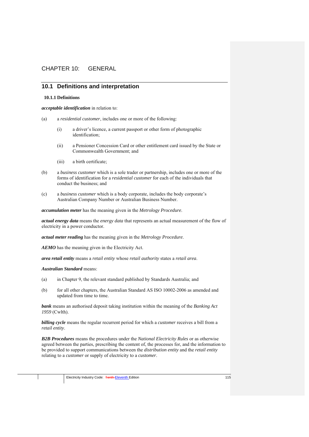# CHAPTER 10: GENERAL

# **10.1 Definitions and interpretation**

## **10.1.1 Definitions**

*acceptable identification* in relation to:

- (a) a *residential customer*, includes one or more of the following:
	- (i) a driver's licence, a current passport or other form of photographic identification;
	- (ii) a Pensioner Concession Card or other entitlement card issued by the State or Commonwealth Government; and
	- (iii) a birth certificate;
- (b) a *business customer* which is a sole trader or partnership, includes one or more of the forms of identification for a *residential customer* for each of the individuals that conduct the business; and
- (c) a *business customer* which is a body corporate, includes the body corporate's Australian Company Number or Australian Business Number.

*accumulation meter* has the meaning given in the *Metrology Procedure*.

*actual energy data* means the *energy data* that represents an actual measurement of the flow of electricity in a power conductor.

*actual meter reading* has the meaning given in the *Metrology Procedure*.

*AEMO* has the meaning given in the Electricity Act.

*area retail entity* means a *retail entity* whose *retail authority* states a *retail area*.

#### *Australian Standard* means:

- (a) in Chapter 9, the relevant standard published by Standards Australia; and
- (b) for all other chapters, the Australian Standard AS ISO 10002-2006 as amended and updated from time to time.

*bank* means an authorised deposit taking institution within the meaning of the *Banking Act 1959* (Cwlth).

*billing cycle* means the regular recurrent period for which a *customer* receives a bill from a *retail entity*.

*B2B Procedures* means the procedures under the *National Electricity Rules* or as otherwise agreed between the parties, prescribing the content of, the processes for, and the information to be provided to support communications between the *distribution entity* and the *retail entity* relating to a *customer* or supply of electricity to a *customer*.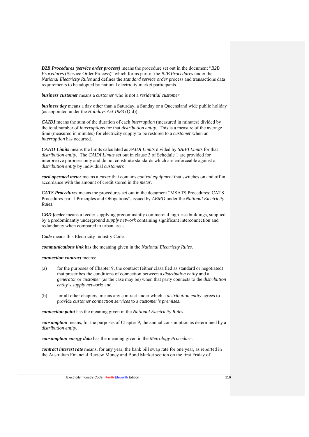*B2B Procedures (service order process)* means the procedure set out in the document "*B2B Procedures* (Service Order Process)" which forms part of the *B2B Procedures* under the *National Electricity Rules* and defines the *standard service order* process and transactions data requirements to be adopted by national electricity market participants.

*business customer* means a *customer* who is not a *residential customer*.

*business day* means a day other than a Saturday, a Sunday or a Queensland wide public holiday (as appointed under the *Holidays Act 1983* (Qld)).

*CAIDI* means the sum of the duration of each *interruption* (measured in minutes) divided by the total number of *interruptions* for that *distribution entity*. This is a measure of the average time (measured in minutes) for electricity supply to be restored to a *customer* when an *interruption* has occurred.

*CAIDI Limits* means the limits calculated as *SAIDI Limits* divided by *SAIFI Limits* for that *distribution entity*. The *CAIDI Limits* set out in clause 3 of Schedule 1 are provided for interpretive purposes only and do not constitute standards which are enforceable against a *distribution entity* by individual *customers*

*card operated meter* means a *meter* that contains *control equipment* that switches on and off in accordance with the amount of credit stored in the *meter*.

*CATS Procedures* means the procedures set out in the document "MSATS Procedures: CATS Procedures part 1 Principles and Obligations", issued by *AEMO* under the *National Electricity Rules*.

*CBD feeder* means a feeder supplying predominantly commercial high-rise buildings, supplied by a predominantly underground *supply network* containing significant interconnection and redundancy when compared to urban areas.

*Code* means this Electricity Industry Code.

*communications link* has the meaning given in the *National Electricity Rules.*

*connection contract* means:

- (a) for the purposes of Chapter 9, the contract (either classified as standard or negotiated) that prescribes the conditions of connection between a *distribution entity* and a *generator* or *customer* (as the case may be) when that party connects to the *distribution entity's supply network*; and
- (b) for all other chapters, means any contract under which a *distribution entity* agrees to provide *customer connection services* to a *customer's premises*.

*connection point* has the meaning given in the *National Electricity Rules*.

*consumption* means, for the purposes of Chapter 9, the annual consumption as determined by a *distribution entity*.

*consumption energy data* has the meaning given in the *Metrology Procedure*.

*contract interest rate* means, for any year, the bank bill swap rate for one year, as reported in the Australian Financial Review Money and Bond Market section on the first Friday of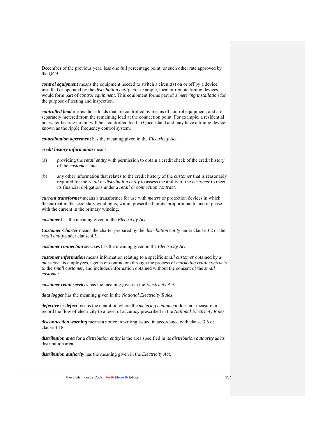December of the previous year, less one full percentage point, or such other rate approved by the *QCA*.

*control equipment* means the equipment needed to switch a circuit(s) on or off by a device installed or operated by the *distribution entity*. For example, local or remote timing devices would form part of *control equipment*. This equipment forms part of a *metering installation* for the purpose of testing and inspection.

*controlled load* means those loads that are controlled by means of control equipment, and are separately metered from the remaining load at the connection point. For example, a residential hot water heating circuit will be a controlled load in Queensland and may have a timing device known as the ripple frequency control system.

*co-ordination agreement* has the meaning given in the *Electricity Act*.

*credit history information* means:

- (a) providing the *retail entity* with permission to obtain a credit check of the credit history of the *customer*; and
- (b) any other information that relates to the credit history of the *customer* that is reasonably required for the *retail* or *distribution entity* to assess the ability of the *customer* to meet its financial obligations under a *retail* or *connection contract.*

*current transformer* means a transformer for use with *meters* or protection devices in which the current in the secondary winding is, within prescribed limits, proportional to and in phase with the current in the primary winding.

*customer* has the meaning given in the *Electricity Act*.

*Customer Charter* means the charter prepared by the *distribution entity* under clause 3.2 or the *retail entity* under clause 4.5.

*customer connection services* has the meaning given in the *Electricity Act*.

*customer information* means information relating to a specific *small customer* obtained by a *marketer*, its employees, agents or contractors through the process of *marketing retail contracts* to the *small customer*, and includes information obtained without the consent of the *small customer*.

*customer retail services* has the meaning given in the *Electricity Act*.

*data logger* has the meaning given in the *National Electricity Rules*

*defective* or *defect* means the condition where the *metering equipment* does not measure or record the flow of electricity to a level of accuracy prescribed in the *National Electricity Rules*.

*disconnection warning* means a notice in writing issued in accordance with clause 3.6 or clause 4.18.

*distribution area* for a *distribution entity* is the area specified in its *distribution authority* as its distribution area.

*distribution authority* has the meaning given in the *Electricity Act*.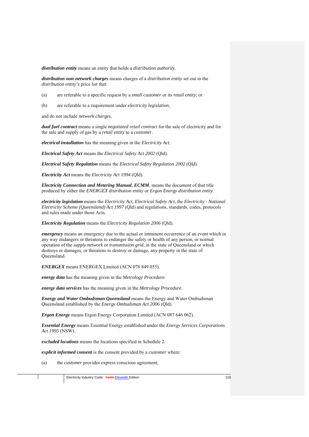*distribution entity* means an entity that holds a *distribution authority*.

*distribution non-network charges* means charges of a *distribution entity* set out in the *distribution entity's* price list that:

- (a) are referable to a specific request by a *small customer* or its *retail entity*; or
- (b) are referable to a requirement under *electricity legislation*,

and do not include *network charges*.

*dual fuel contract* means a single *negotiated retail contract* for the sale of electricity and for the sale and supply of gas by a *retail entity* to a *customer*.

*electrical installation* has the meaning given in the *Electricity Act*.

*Electrical Safety Act* means the *Electrical Safety Act 2002* (Qld).

*Electrical Safety Regulation* means the *Electrical Safety Regulation 2002* (Qld).

*Electricity Act* means the *Electricity Act 1994* (Qld).

*Electricity Connection and Metering Manual, ECMM*, means the document of that title produced by either the *ENERGEX distribution entity* or *Ergon Energy distribution entity*.

*electricity legislation* means the *Electricity Act*, *Electrical Safety Act*, the *Electricity - National Electricity Scheme (Queensland) Act 1997* (Qld) and regulations, standards, codes, protocols and rules made under those Acts.

*Electricity Regulation* means the *Electricity Regulation 2006* (Qld).

*emergency* means an emergency due to the actual or imminent occurrence of an event which in any way endangers or threatens to endanger the safety or health of any person, or normal operation of the *supply network* or *transmission grid*, in the state of Queensland or which destroys or damages, or threatens to destroy or damage, any property in the state of Queensland.

*ENERGEX* means ENERGEX Limited (ACN 078 849 055).

*energy data* has the meaning given in the *Metrology Procedure.*

*energy data services* has the meaning given in the *Metrology Procedure*.

*Energy and Water Ombudsman Queensland* means the Energy and Water Ombudsman Queensland established by the *Energy Ombudsman Act 2006* (Qld).

*Ergon Energy* means Ergon Energy Corporation Limited (ACN 087 646 062).

*Essential Energy* means Essential Energy established under the *Energy Services Corporations Act 1995* (NSW).

*excluded locations* means the locations specified in Schedule 2.

*explicit informed consent* is the consent provided by a *customer* where:

(a) the *customer* provides express conscious agreement;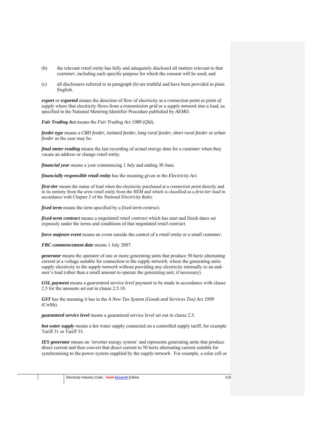- (b) the relevant *retail entity* has fully and adequately disclosed all matters relevant to that *customer*, including each specific purpose for which the consent will be used; and
- (c) all disclosures referred to in paragraph (b) are truthful and have been provided in plain English.

*export* or *exported* means the direction of flow of electricity at a *connection point* or *point of supply* where that electricity flows from a *transmission grid* or a *supply network* into a load, as specified in the National Metering Identifier Procedure published by *AEMO*.

*Fair Trading Act* means the *Fair Trading Act 1989* (Qld).

*feeder type* means a *CBD feeder*, *isolated feeder*, *long rural feeder*, *short rural feeder* or *urban feeder* as the case may be.

*final meter reading* means the last recording of *actual energy data* for a *customer* when they vacate an address or change *retail entity*.

*financial year* means a year commencing 1 July and ending 30 June.

*financially responsible retail entity* has the meaning given in the *Electricity Act*.

*first-tier* means the status of load when the electricity purchased at a *connection point* directly and in its entirety from the *area retail entity* from the *NEM* and which is classified as a *first-tier load* in accordance with Chapter 2 of the *National Electricity Rules*.

*fixed term* means the term specified by a *fixed-term contract*.

*fixed-term contract* means a *negotiated retail contract* which has start and finish dates set expressly under the terms and conditions of that *negotiated retail contract*.

*force majeure event* means an event outside the control of a *retail entity* or a *small customer*.

*FRC commencement date* means 1 July 2007.

*generator* means the operator of one or more generating units that produce 50 hertz alternating current at a voltage suitable for connection to the *supply network*, where the generating units supply electricity to the *supply network* without providing any electricity internally to an enduser's load (other than a small amount to operate the generating unit, if necessary).

*GSL payment* means a *guaranteed service level* payment to be made in accordance with clause 2.5 for the amounts set out in clause 2.5.10.

*GST* has the meaning it has in the *A New Tax System (Goods and Services Tax) Act 1999*  (Cwlth).

*guaranteed service level* means a guaranteed service level set out in clause 2.5.

*hot water supply* means a hot water supply connected on a controlled supply tariff, for example Tariff 31 or Tariff 33.

*IES generator* means an 'inverter energy system' and represents generating units that produce direct current and then convert that direct current to 50 hertz alternating current suitable for synchronising to the power system supplied by the *supply network*. For example, a solar cell or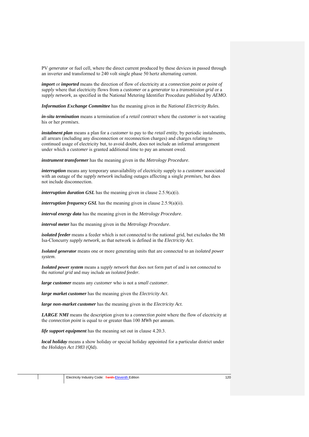PV *generator* or fuel cell, where the direct current produced by these devices in passed through an inverter and transformed to 240 volt single phase 50 hertz alternating current.

*import* or *imported* means the direction of flow of electricity at a *connection point* or *point of supply* where that electricity flows from a *customer* or a *generator* to a *transmission grid* or a *supply network*, as specified in the National Metering Identifier Procedure published by *AEMO*.

*Information Exchange Committee* has the meaning given in the *National Electricity Rules*.

*in-situ termination* means a termination of a *retail contract* where the *customer* is not vacating his or her *premises*.

*instalment plan* means a plan for a *customer* to pay to the *retail entity*, by periodic instalments, all arrears (including any disconnection or reconnection charges) and charges relating to continued usage of electricity but, to avoid doubt, does not include an informal arrangement under which a *customer* is granted additional time to pay an amount owed.

*instrument transformer* has the meaning given in the *Metrology Procedure*.

*interruption* means any temporary unavailability of electricity supply to a *customer* associated with an outage of the *supply network* including outages affecting a single *premises*, but does not include disconnection.

*interruption duration GSL* has the meaning given in clause 2.5.9(a)(i).

*interruption frequency GSL* has the meaning given in clause 2.5.9(a)(ii).

*interval energy data* has the meaning given in the *Metrology Procedure*.

*interval meter* has the meaning given in the *Metrology Procedure*.

*isolated feeder* means a feeder which is not connected to the national grid, but excludes the Mt Isa-Cloncurry *supply network*, as that network is defined in the *Electricity Act*.

*Isolated generator* means one or more generating units that are connected to an *isolated power system*.

*Isolated power system* means a *supply network* that does not form part of and is not connected to the *national grid* and may include an *isolated feeder.*

*large customer* means any *customer* who is not a *small customer*.

*large market customer* has the meaning given the *Electricity Act*.

*large non-market customer* has the meaning given in the *Electricity Act*.

*LARGE NMI* means the description given to a *connection point* where the flow of electricity at the *connection point* is equal to or greater than 100 *MWh* per annum.

*life support equipment* has the meaning set out in clause 4.20.3.

*local holiday* means a show holiday or special holiday appointed for a particular district under the *Holidays Act 1983* (Qld).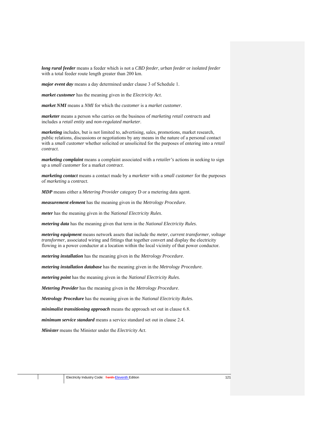*long rural feeder* means a feeder which is not a *CBD feeder*, *urban feeder* or *isolated feeder* with a total feeder route length greater than 200 km.

*major event day* means a day determined under clause 3 of Schedule 1.

*market customer* has the meaning given in the *Electricity Act*.

*market NMI* means a *NMI* for which the *customer* is a *market customer*.

*marketer* means a person who carries on the business of *marketing retail contracts* and includes a *retail entity* and *non-regulated marketer*.

*marketing* includes, but is not limited to, advertising, sales, promotions, market research, public relations, discussions or negotiations by any means in the nature of a personal contact with a *small customer* whether solicited or unsolicited for the purposes of entering into a *retail contract*.

*marketing complaint* means a complaint associated with a *retailer's* actions in seeking to sign up a *small customer* for a market *contract*.

*marketing contact* means a contact made by a *marketer* with a *small customer* for the purposes of *marketing* a *contract*.

*MDP* means either a *Metering Provider* category D or a metering data agent.

*measurement element* has the meaning given in the *Metrology Procedure*.

*meter* has the meaning given in the *National Electricity Rules*.

*metering data* has the meaning given that term in the *National Electricity Rules*.

*metering equipment* means network assets that include the *meter*, *current transformer*, *voltage transformer*, associated wiring and fittings that together convert and display the electricity flowing in a power conductor at a location within the local vicinity of that power conductor.

*metering installation* has the meaning given in the *Metrology Procedure*.

*metering installation database* has the meaning given in the *Metrology Procedure*.

*metering point* has the meaning given in the *National Electricity Rules*.

*Metering Provider* has the meaning given in the *Metrology Procedure*.

*Metrology Procedure* has the meaning given in the *National Electricity Rules.*

*minimalist transitioning approach* means the approach set out in clause 6.8.

*minimum service standard* means a service standard set out in clause 2.4.

*Minister* means the Minister under the *Electricity Act*.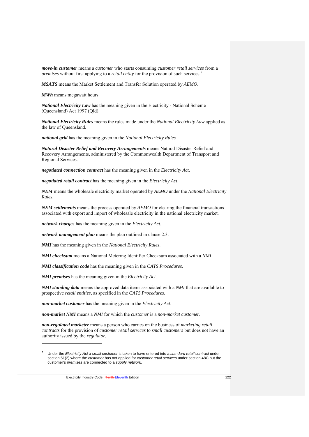*move-in customer* means a *customer* who starts consuming *customer retail services* from a *premises* without first applying to a *retail entity* for the provision of such services.7

*MSATS* means the Market Settlement and Transfer Solution operated by *AEMO*.

*MWh* means megawatt hours.

*National Electricity Law* has the meaning given in the Electricity - National Scheme (Queensland) Act 1997 (Qld).

*National Electricity Rules* means the rules made under the *National Electricity Law* applied as the law of Queensland.

*national grid* has the meaning given in the *National Electricity Rules*

*Natural Disaster Relief and Recovery Arrangements* means Natural Disaster Relief and Recovery Arrangements, administered by the Commonwealth Department of Transport and Regional Services.

*negotiated connection contract* has the meaning given in the *Electricity Act*.

*negotiated retail contract* has the meaning given in the *Electricity Act*.

*NEM* means the wholesale electricity market operated by *AEMO* under the *National Electricity Rules*.

*NEM settlements* means the process operated by *AEMO* for clearing the financial transactions associated with export and import of wholesale electricity in the national electricity market.

*network charges* has the meaning given in the *Electricity Act*.

*network management plan* means the plan outlined in clause 2.3.

*NMI* has the meaning given in the *National Electricity Rules*.

*NMI checksum* means a National Metering Identifier Checksum associated with a *NMI*.

*NMI classification code* has the meaning given in the *CATS Procedures*.

*NMI premises* has the meaning given in the *Electricity Act*.

*NMI standing data* means the approved data items associated with a *NMI* that are available to prospective *retail entities*, as specified in the *CATS Procedures*.

*non-market customer* has the meaning given in the *Electricity Act*.

*non-market NMI* means a *NMI* for which the *customer* is a *non-market customer*.

*non-regulated marketer* means a person who carries on the business of *marketing retail contracts* for the provision of *customer retail services* to *small customers* but does not have an authority issued by the *regulator*.

1

<sup>7</sup> Under the *Electricity Act* a *small customer* is taken to have entered into a *standard retail contract* under section 51(2) where the *customer* has not applied for *customer retail services* under section 48C but the customer's *premises* are connected to a *supply network*.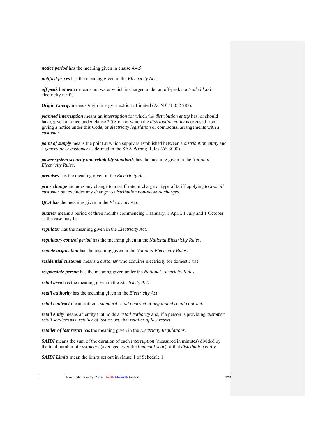*notice period* has the meaning given in clause 4.4.5.

*notified prices* has the meaning given in the *Electricity Act*.

*off peak hot water* means hot water which is charged under an off-peak *controlled load* electricity tariff.

*Origin Energy* means Origin Energy Electricity Limited (ACN 071 052 287).

*planned interruption* means an *interruption* for which the *distribution entity* has, or should have, given a notice under clause 2.5.8 or for which the *distribution entity* is excused from giving a notice under this *Code*, or *electricity legislation* or contractual arrangements with a *customer*.

*point of supply* means the point at which supply is established between a *distribution entity* and a *generator* or *customer* as defined in the SAA Wiring Rules (*AS* 3000).

*power system security and reliability standards* has the meaning given in the *National Electricity Rules*.

*premises* has the meaning given in the *Electricity Act*.

*price change* includes any change to a tariff rate or charge or type of tariff applying to a *small customer* but excludes any change to *distribution non-network charges*.

*QCA* has the meaning given in the *Electricity Act*.

*quarter* means a period of three months commencing 1 January, 1 April, 1 July and 1 October as the case may be.

*regulator* has the meaning given in the *Electricity Act*.

*regulatory control period* has the meaning given in the *National Electricity Rules*.

*remote acquisition* has the meaning given in the *National Electricity Rules*.

*residential customer* means a *customer* who acquires electricity for domestic use.

*responsible person* has the meaning given under the *National Electricity Rules*.

*retail area* has the meaning given in the *Electricity Act*.

*retail authority* has the meaning given in the *Electricity Act*.

*retail contract* means either a *standard retail contract* or *negotiated retail contract*.

*retail entity* means an entity that holds a *retail authority* and, if a person is providing *customer retail services* as a *retailer of last resort*, that *retailer of last resort*.

*retailer of last resort* has the meaning given in the *Electricity Regulations.*

*SAIDI* means the sum of the duration of each *interruption* (measured in minutes) divided by the total number of *customers* (averaged over the *financial year*) of that *distribution entity*.

*SAIDI Limits* mean the limits set out in clause 1 of Schedule 1.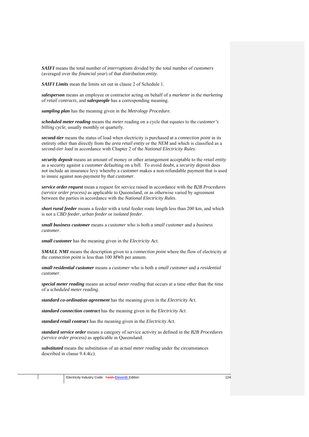*SAIFI* means the total number of *interruptions* divided by the total number of *customers* (averaged over the *financial year*) of that *distribution entity*.

*SAIFI Limits* mean the limits set out in clause 2 of Schedule 1.

*salesperson* means an employee or contractor acting on behalf of a *marketer* in the *marketing* of *retail contracts*, and *salespeople* has a corresponding meaning.

*sampling plan* has the meaning given in the *Metrology Procedure*.

*scheduled meter reading* means the *meter* reading on a cycle that equates to the *customer's billing cycle*, usually monthly or quarterly.

*second-tier* means the status of load when electricity is purchased at a *connection point* in its entirety other than directly from the *area retail entity* or the *NEM* and which is classified as a *second-tier load* in accordance with Chapter 2 of the *National Electricity Rules*.

*security deposit* means an amount of money or other arrangement acceptable to the *retail entity*  as a security against a *customer* defaulting on a bill. To avoid doubt, a *security deposit* does not include an insurance levy whereby a *customer* makes a non-refundable payment that is used to insure against non-payment by that *customer*.

*service order request* mean a request for service raised in accordance with the *B2B Procedures (service order process)* as applicable to Queensland, or as otherwise varied by agreement between the parties in accordance with the *National Electricity Rules*.

*short rural feeder* means a feeder with a total feeder route length less than 200 km, and which is not a *CBD feeder*, *urban feeder* or *isolated feeder*.

*small business customer* means a *customer* who is both a *small customer* and a *business customer*.

*small customer* has the meaning given in the *Electricity Act*.

*SMALL NMI* means the description given to a *connection point* where the flow of electricity at the *connection point* is less than 100 *MWh* per annum.

*small residential customer* means a *customer* who is both a *small customer* and a *residential customer*.

*special meter reading* means an *actual meter reading* that occurs at a time other than the time of a *scheduled meter reading*.

*standard co-ordination agreement* has the meaning given in the *Electricity Act*.

*standard connection contract* has the meaning given in the *Electricity Act*.

*standard retail contract* has the meaning given in the *Electricity Act*.

*standard service order* means a category of service activity as defined in the *B2B Procedures (service order process)* as applicable in Queensland.

*substituted* means the substitution of an *actual meter reading* under the circumstances described in clause 9.4.4(c).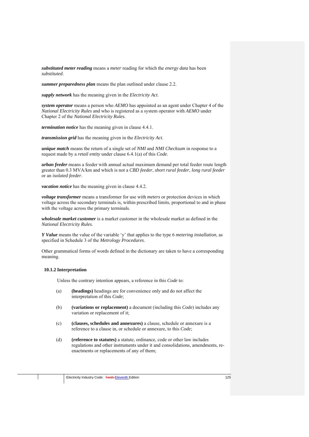*substituted meter reading* means a *meter* reading for which the *energy data* has been *substituted*.

*summer preparedness plan* means the plan outlined under clause 2.2.

*supply network* has the meaning given in the *Electricity Act*.

*system operator* means a person who *AEMO* has appointed as an agent under Chapter 4 of the *National Electricity Rules* and who is registered as a system operator with *AEMO* under Chapter 2 of the *National Electricity Rules*.

*termination notice* has the meaning given in clause 4.4.1.

*transmission grid* has the meaning given in the *Electricity Act*.

*unique match* means the return of a single set of *NMI* and *NMI Checksum* in response to a request made by a *retail entity* under clause 6.4.1(a) of this *Code*.

*urban feeder* means a feeder with annual actual maximum demand per total feeder route length greater than 0.3 MVA/km and which is not a *CBD feeder*, *short rural feeder*, *long rural feeder* or an *isolated feeder*.

*vacation notice* has the meaning given in clause 4.4.2.

*voltage transformer* means a transformer for use with *meters* or protection devices in which voltage across the secondary terminals is, within prescribed limits, proportional to and in phase with the voltage across the primary terminals.

*wholesale market customer* is a market customer in the wholesale market as defined in the *National Electricity Rules*.

*Y Value* means the value of the variable 'y' that applies to the type 6 *metering installation*, as specified in Schedule 3 of the *Metrology Procedures*.

Other grammatical forms of words defined in the dictionary are taken to have a corresponding meaning.

## **10.1.2 Interpretation**

Unless the contrary intention appears, a reference in this *Code* to:

- (a) **(headings)** headings are for convenience only and do not affect the interpretation of this *Code*;
- (b) **(variations or replacement)** a document (including this *Code*) includes any variation or replacement of it;
- (c) **(clauses, schedules and annexures)** a clause, schedule or annexure is a reference to a clause in, or schedule or annexure, to this *Code*;
- (d) **(reference to statutes)** a statute, ordinance, code or other law includes regulations and other instruments under it and consolidations, amendments, reenactments or replacements of any of them;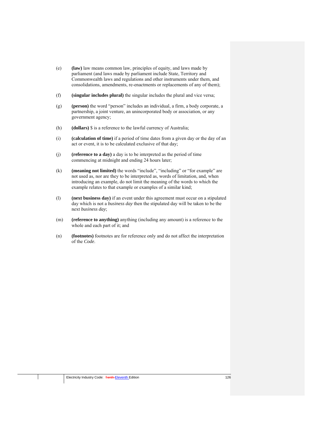- (e) **(law)** law means common law, principles of equity, and laws made by parliament (and laws made by parliament include State, Territory and Commonwealth laws and regulations and other instruments under them, and consolidations, amendments, re-enactments or replacements of any of them);
- (f) **(singular includes plural)** the singular includes the plural and vice versa;
- (g) **(person)** the word "person" includes an individual, a firm, a body corporate, a partnership, a joint venture, an unincorporated body or association, or any government agency;
- (h) **(dollars)** \$ is a reference to the lawful currency of Australia;
- (i) **(calculation of time)** if a period of time dates from a given day or the day of an act or event, it is to be calculated exclusive of that day;
- (j) **(reference to a day)** a day is to be interpreted as the period of time commencing at midnight and ending 24 hours later;
- (k) **(meaning not limited)** the words "include", "including" or "for example" are not used as, nor are they to be interpreted as, words of limitation, and, when introducing an example, do not limit the meaning of the words to which the example relates to that example or examples of a similar kind;
- (l) **(next business day)** if an event under this agreement must occur on a stipulated day which is not a *business day* then the stipulated day will be taken to be the next *business day*;
- (m) **(reference to anything)** anything (including any amount) is a reference to the whole and each part of it; and
- (n) **(footnotes)** footnotes are for reference only and do not affect the interpretation of the *Code*.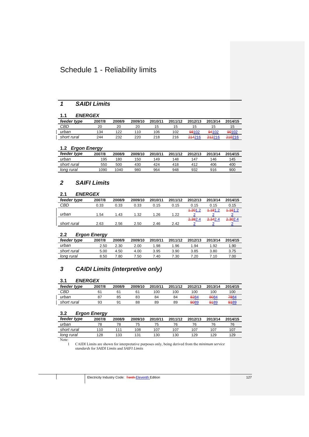# Schedule 1 - Reliability limits

# *1 SAIDI Limits*

# **1.1** *ENERGEX*

| feeder type | 2007/8 | 2008/9 | 2009/10 | 2010/11 | 2011/12 | 2012/13 | 2013/14 | 2014/15 |
|-------------|--------|--------|---------|---------|---------|---------|---------|---------|
| CBD         | 20     | 20     | 20      | 15      | 15      | 15      |         | 15      |
| urban       | 134    | 122    | 110     | 106     | 102     | 98102   | 94102   | 90102   |
| short rural | 244    | 232    | 220     | 218     | 216     | 214216  | 212216  | 210216  |

# **1.2** *Ergon Energy*

| feeder type | 2007/8 | 2008/9 | 2009/10 | 2010/11 | 2011/12 | 2012/13 | 2013/14 | 2014/15 |
|-------------|--------|--------|---------|---------|---------|---------|---------|---------|
| urban       | 195    | 180    | 150     | 149     | 148     | 147     | 146     | 145     |
| short rural | 550    | 500    | 430     | 424     | 418     | 412     | 406     | 400     |
| long rural  | 1090   | 1040   | 980     | 964     | 948     | 932     | 916     | 900     |

# *2 SAIFI Limits*

# **2.1** *ENERGEX*

| feeder type | 2007/8 | 2008/9 | 2009/10 | 2010/11 | 2011/12 | 2012/13 | 2013/14 | 2014/15 |
|-------------|--------|--------|---------|---------|---------|---------|---------|---------|
| CBD         | 0.33   | 0.33   | 0.33    | 0.15    | 0.15    | 0.15    | 0.15    | 0.15    |
|             |        |        |         |         |         | 4,201.2 | 4.181.2 | 4.161.2 |
| urban       | 1.54   | 1.43   | 1.32    | 1.26    | 1.22    |         |         |         |
|             |        |        |         |         |         | 2.382.4 | 2.342.4 | 2.302.4 |
| short rural | 2.63   | 2.56   | 2.50    | 2.46    | 2.42    |         |         |         |

## **2.2** *Ergon Energy*

| --          | --     |        |         |         |         |         |         |         |
|-------------|--------|--------|---------|---------|---------|---------|---------|---------|
| feeder type | 2007/8 | 2008/9 | 2009/10 | 2010/11 | 2011/12 | 2012/13 | 2013/14 | 2014/15 |
| urban       | 2.50   | 2.30   | 2.00    | 1.98    | .96     | 1.94    | 1.92    | 1.90    |
| short rural | 5.00   | 4.50   | 4.00    | 3.95    | 3.90    | 3.85    | 3.80    | 3.75    |
| long rural  | 8.50   | 7.80   | 7.50    | 7.40    | 7.30    | 7.20    | 7.10    | 7.00    |
|             |        |        |         |         |         |         |         |         |

# *3 CAIDI Limits (interpretive only)*

# **3.1** *ENERGEX*

| feeder type | 2007/8 | 2008/9 | 2009/10 | 2010/11 | 2011/12 | 2012/13 | 2013/14 | 2014/15 |
|-------------|--------|--------|---------|---------|---------|---------|---------|---------|
| CBD         |        |        |         | 100     | 100     | 100     | 100     | 100     |
| urban       | 87     | 85     | 83      | 84      | 84      | 8284    | 8084    | 7884    |
| short rural | 93     | 91     | 88      | 89      | 89      | 9089    | 9189    | 9189    |

## **3.2** *Ergon Energy*

|             | ິ      |        |         |         |         |         |         |         |
|-------------|--------|--------|---------|---------|---------|---------|---------|---------|
| feeder type | 2007/8 | 2008/9 | 2009/10 | 2010/11 | 2011/12 | 2012/13 | 2013/14 | 2014/15 |
| urban       |        |        | 75      | 75      | 76      | 76      | 76      |         |
| short rural | 110    | 111    | 108     | 107     | 107     | 107     | 107     | 107     |
| long rural  | 128    | 133    | 131     | 130     | 130     | 129     | 129     | 129     |

Note:  $\frac{1}{1}$ 

1 CAIDI Limits are shown for interpretative purposes only, being derived from the *minimum service standards* for *SAIDI Limits* and *SAIFI Limits*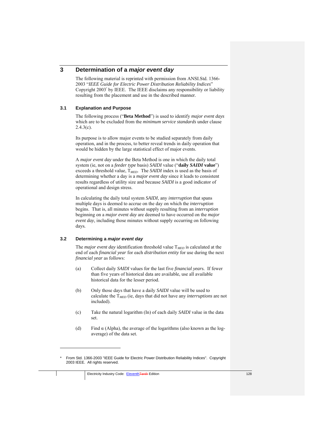# **3 Determination of a** *major event day*

The following material is reprinted with permission from ANSI.Std. 1366- 2003 "*IEEE Guide for Electric Power Distribution Reliability Indices*" Copyright 2003\* by IEEE. The IEEE disclaims any responsibility or liability resulting from the placement and use in the described manner.

## **3.1 Explanation and Purpose**

The following process ("**Beta Method**") is used to identify *major event days*  which are to be excluded from the *minimum service standards* under clause  $2.4.3(c)$ .

Its purpose is to allow major events to be studied separately from daily operation, and in the process, to better reveal trends in daily operation that would be hidden by the large statistical effect of major events.

A *major event day* under the Beta Method is one in which the daily total system (ie, not on a *feeder type* basis) *SAIDI* value ("**daily** *SAIDI* **value**") exceeds a threshold value, T*MED*. The *SAIDI* index is used as the basis of determining whether a day is a *major event day* since it leads to consistent results regardless of utility size and because *SAIDI* is a good indicator of operational and design stress.

In calculating the daily total system *SAIDI*, any *interruption* that spans multiple days is deemed to accrue on the day on which the *interruption* begins. That is, all minutes without supply resulting from an *interruption*  beginning on a *major event day* are deemed to have occurred on the *major event day,* including those minutes without supply occurring on following days*.*

### **3.2 Determining a** *major event day*

1

The *major event day* identification threshold value T*MED* is calculated at the end of each *financial year* for each *distribution entity* for use during the next *financial year* as follows:

- (a) Collect daily *SAIDI* values for the last five *financial year*s. If fewer than five years of historical data are available, use all available historical data for the lesser period.
- (b) Only those days that have a daily *SAIDI* value will be used to calculate the T*MED* (ie, days that did not have any *interruptions* are not included).
- (c) Take the natural logarithm (In) of each daily *SAIDI* value in the data set.
- (d) Find  $\alpha$  (Alpha), the average of the logarithms (also known as the logaverage) of the data set.

From Std. 1366-2003 "IEEE Guide for Electric Power Distribution Reliability Indices". Copyright 2003 IEEE. All rights reserved.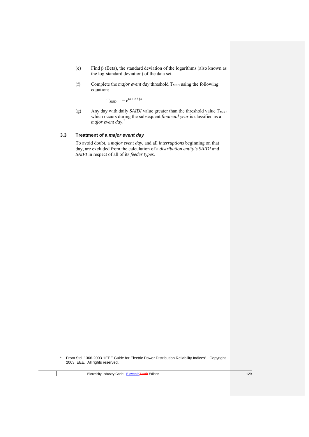- (e) Find β (Beta), the standard deviation of the logarithms (also known as the log-standard deviation) of the data set.
- (f) Complete the *major event day* threshold T*MED* using the following equation:

 $T_{MED}$  =  $e^{(\alpha + 2.5 \beta)}$ 

(g) Any day with daily *SAIDI* value greater than the threshold value T*MED* which occurs during the subsequent *financial year* is classified as a *major event day*. \*

## **3.3 Treatment of a** *major event day*

To avoid doubt, a *major event day*, and all *interruptions* beginning on that day, are excluded from the calculation of a *distribution entity's SAIDI* and *SAIFI* in respect of all of its *feeder types*.

1

<sup>\*</sup> From Std. 1366-2003 "IEEE Guide for Electric Power Distribution Reliability Indices". Copyright 2003 IEEE. All rights reserved.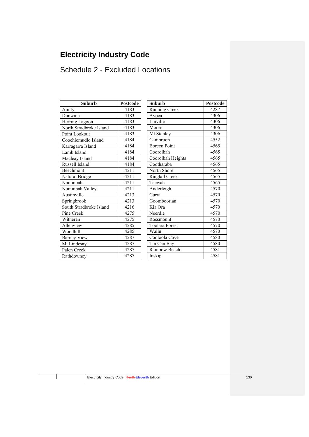# **Electricity Industry Code**

# Schedule 2 - Excluded Locations

| <b>Suburb</b>           | <b>Postcode</b> | <b>Suburb</b>         | Postcod |
|-------------------------|-----------------|-----------------------|---------|
| Amity                   | 4183            | Running Creek         | 4287    |
| Dunwich                 | 4183            | Avoca                 | 4306    |
| Herring Lagoon          | 4183            | Linville              | 4306    |
| North Stradbroke Island | 4183            | Moore                 | 4306    |
| Point Lookout           | 4183            | Mt Stanley            | 4306    |
| Coochiemudlo Island     | 4184            | Cambroon              | 4552    |
| Karragarra Island       | 4184            | <b>Boreen Point</b>   | 4565    |
| Lamb Island             | 4184            | Cooroibah             | 4565    |
| Macleay Island          | 4184            | Cooroibah Heights     | 4565    |
| Russell Island          | 4184            | Cootharaba            | 4565    |
| Beechmont               | 4211            | North Shore           | 4565    |
| Natural Bridge          | 4211            | Ringtail Creek        | 4565    |
| Numinbah                | 4211            | Teewah                | 4565    |
| Numinbah Valley         | 4211            | Anderleigh            | 4570    |
| Austinville             | 4213            | Curra                 | 4570    |
| Springbrook             | 4213            | Goomboorian           | 4570    |
| South Stradbroke Island | 4216            | Kia Ora               | 4570    |
| Pine Creek              | 4275            | Neerdie               | 4570    |
| Witheren                | 4275            | Rossmount             | 4570    |
| Allenview               | 4285            | <b>Toolara Forest</b> | 4570    |
| Woodhill                | 4285            | Wallu                 | 4570    |
| <b>Barney View</b>      | 4287            | Cooloola Cove         | 4580    |
| Mt Lindesay             | 4287            | Tin Can Bay           | 4580    |
| Palen Creek             | 4287            | Rainbow Beach         | 4581    |
| Rathdowney              | 4287            | Inskip                | 4581    |

| Suburb                   | <b>Postcode</b> | <b>Suburb</b>         | <b>Postcode</b> |
|--------------------------|-----------------|-----------------------|-----------------|
|                          | 4183            | <b>Running Creek</b>  | 4287            |
|                          | 4183            | Avoca                 | 4306            |
| agoon                    | 4183            | Linville              | 4306            |
| adbroke Island           | 4183            | Moore                 | 4306            |
| kout                     | 4183            | Mt Stanley            | 4306            |
| udlo Island              | 4184            | Cambroon              | 4552            |
| a Island                 | 4184            | <b>Boreen Point</b>   | 4565            |
| nd                       | 4184            | Cooroibah             | 4565            |
| sland                    | 4184            | Cooroibah Heights     | 4565            |
| land                     | 4184            | Cootharaba            | 4565            |
| ıt                       | 4211            | North Shore           | 4565            |
| ridge                    | 4211            | Ringtail Creek        | 4565            |
| Ĩ.                       | 4211            | Teewah                | 4565            |
| n Valley                 | 4211            | Anderleigh            | 4570            |
| e                        | 4213            | Curra                 | 4570            |
| $\overline{\mathrm{ok}}$ | 4213            | Goomboorian           | 4570            |
| adbroke Island           | 4216            | Kia Ora               | 4570            |
| k                        | 4275            | Neerdie               | 4570            |
|                          | 4275            | Rossmount             | 4570            |
| Ī.                       | 4285            | <b>Toolara Forest</b> | 4570            |
|                          | 4285            | Wallu                 | 4570            |
| iew                      | 4287            | Cooloola Cove         | 4580            |
| say                      | 4287            | Tin Can Bay           | 4580            |
| ek                       | 4287            | Rainbow Beach         | 4581            |
| ev                       | 4287            | Inskip                | 4581            |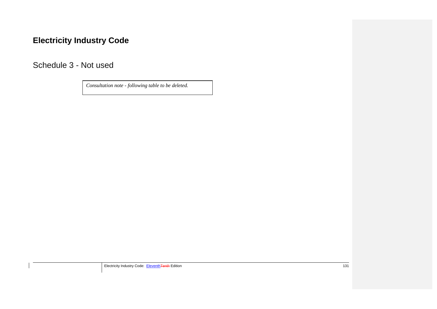# **Electricity Industry Code**

Schedule 3 - Not used

*Consultation note - following table to be deleted.*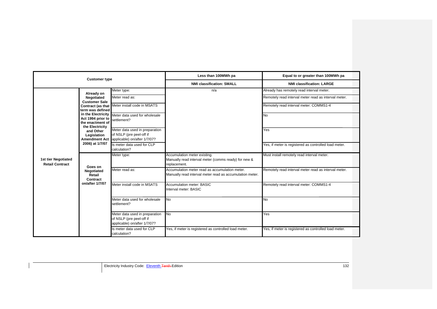|                                               | <b>Customer type</b>                        |                                                                                                          | Less than 100MWh pa                                                                                        | Equal to or greater than 100MWh pa                                                                |
|-----------------------------------------------|---------------------------------------------|----------------------------------------------------------------------------------------------------------|------------------------------------------------------------------------------------------------------------|---------------------------------------------------------------------------------------------------|
|                                               |                                             |                                                                                                          | <b>NMI classification: SMALL</b>                                                                           | <b>NMI classification: LARGE</b>                                                                  |
|                                               | Already on<br>Negotiated                    | Meter type:<br>Meter read as:                                                                            | n/a                                                                                                        | Already has remotely read interval meter.<br>Remotely read interval meter read as interval meter. |
|                                               | <b>Customer Sale</b>                        | Contract (as that Meter install code in MSATS                                                            |                                                                                                            | Remotely read interval meter: COMMS1-4                                                            |
|                                               | term was defined<br>Act 1994 prior to       | in the Electricity Meter data used for wholesale                                                         |                                                                                                            | No                                                                                                |
|                                               | the enactment of<br>the Electricity         | settlement?                                                                                              |                                                                                                            |                                                                                                   |
|                                               | and Other<br>Legislation                    | Meter data used in preparation<br>of NSLP (pre peel-off if<br>Amendment Act applicable) on/after 1/7/07? |                                                                                                            | Yes                                                                                               |
|                                               | 2006) at 1/7/07                             | Is meter data used for CLP<br>calculation?                                                               |                                                                                                            | Yes, if meter is registered as controlled load meter.                                             |
| 1st tier Negotiated<br><b>Retail Contract</b> | Goes on<br>Negotiated<br>Retail<br>Contract | Meter type:                                                                                              | Accumulation meter existing.<br>Manually read interval meter (comms ready) for new &<br>replacement.       | Must install remotely read interval meter.                                                        |
|                                               |                                             | Meter read as:                                                                                           | Accumulation meter read as accumulation meter.<br>Manually read interval meter read as accumulation meter. | Remotely read interval meter read as interval meter.                                              |
|                                               | on/after 1/7/07                             | Meter install code in MSATS                                                                              | <b>Accumulation meter: BASIC</b><br>Interval meter: BASIC                                                  | Remotely read interval meter: COMMS1-4                                                            |
|                                               |                                             | Meter data used for wholesale<br>settlement?                                                             | <b>No</b>                                                                                                  | No                                                                                                |
|                                               |                                             | Meter data used in preparation<br>of NSLP (pre peel-off if<br>applicable) on/after 1/7/07?               | No                                                                                                         | Yes                                                                                               |
|                                               |                                             | Is meter data used for CLP<br>calculation?                                                               | Yes, if meter is registered as controlled load meter.                                                      | Yes, if meter is registered as controlled load meter.                                             |

Electricity Industry Code: Eleventh Tenth-Edition 132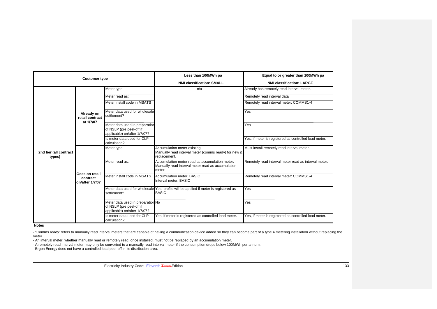|                                  | <b>Customer type</b>                          |                                                                                               | Less than 100MWh pa                                                                                           | Equal to or greater than 100MWh pa                    |
|----------------------------------|-----------------------------------------------|-----------------------------------------------------------------------------------------------|---------------------------------------------------------------------------------------------------------------|-------------------------------------------------------|
|                                  |                                               |                                                                                               | <b>NMI classification: SMALL</b>                                                                              | <b>NMI classification: LARGE</b>                      |
|                                  |                                               | Meter type:                                                                                   | n/a                                                                                                           | Already has remotely read interval meter.             |
|                                  |                                               | Meter read as:                                                                                |                                                                                                               | Remotely read interval data                           |
|                                  |                                               | Meter install code in MSATS                                                                   |                                                                                                               | Remotely read interval meter: COMMS1-4                |
|                                  | Already on<br>retail contract                 | Meter data used for wholesale<br>settlement?                                                  |                                                                                                               | Yes                                                   |
|                                  | at 1/7/07                                     | Meter data used in preparation<br>of NSLP (pre peel-off if<br>applicable) on/after 1/7/07?    |                                                                                                               | Yes                                                   |
|                                  |                                               | Is meter data used for CLP<br>calculation?                                                    |                                                                                                               | Yes, if meter is registered as controlled load meter. |
| 2nd tier (all contract<br>types) | Goes on retail<br>contract<br>on/after 1/7/07 | Meter type:                                                                                   | Accumulation meter existing.<br>Manually read interval meter (comms ready) for new &<br>replacement.          | Must install remotely read interval meter.            |
|                                  |                                               | Meter read as:                                                                                | Accumulation meter read as accumulation meter.<br>Manually read interval meter read as accumulation<br>meter. | Remotely read interval meter read as interval meter.  |
|                                  |                                               | Meter install code in MSATS                                                                   | Accumulation meter: BASIC<br>Interval meter: BASIC                                                            | Remotely read interval meter: COMMS1-4                |
|                                  |                                               | settlement?                                                                                   | Meter data used for wholesale Yes, profile will be applied if meter is registered as<br><b>BASIC</b>          | Yes                                                   |
|                                  |                                               | Meter data used in preparation No<br>of NSLP (pre peel-off if<br>applicable) on/after 1/7/07? |                                                                                                               | Yes                                                   |
|                                  |                                               | Is meter data used for CLP<br>calculation?                                                    | Yes, if meter is registered as controlled load meter.                                                         | Yes, if meter is registered as controlled load meter. |

**Notes**

- "Comms ready' refers to manually read interval meters that are capable of having a communication device added so they can become part of a type 4 metering installation without replacing the meter

- An interval meter, whether manually read or remotely read, once installed, must not be replaced by an accumulation meter.

- A remotely read interval meter may only be converted to a manually read interval meter if the consumption drops below 100MWh per annum.

- Ergon Energy does not have a controlled load peel-off in its distribution area.

Electricity Industry Code: Eleventh Tenth Edition 133